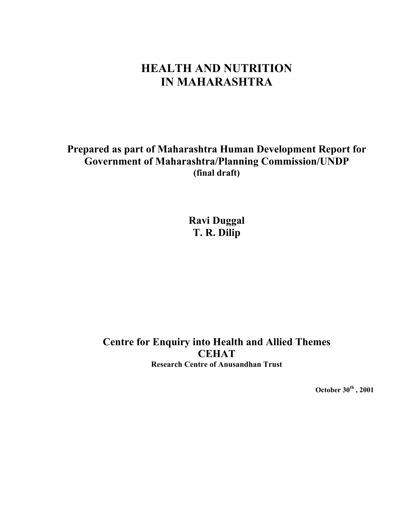# **HEALTH AND NUTRITION IN MAHARASHTRA**

**Prepared as part of Maharashtra Human Development Report for Government of Maharashtra/Planning Commission/UNDP (final draft)** 

> **Ravi Duggal T. R. Dilip**

**Centre for Enquiry into Health and Allied Themes CEHAT Research Centre of Anusandhan Trust**

**October 30th , 2001**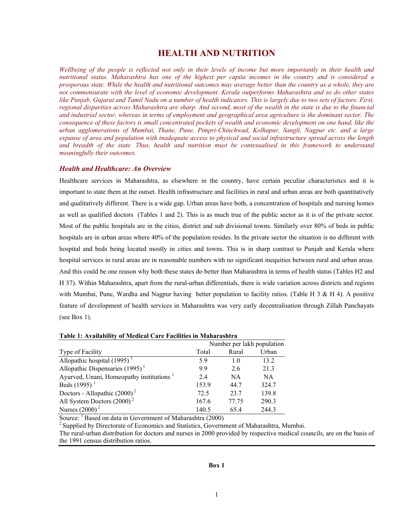# **HEALTH AND NUTRITION**

*Wellbeing of the people is reflected not only in their levels of income but more importantly in their health and nutritional status. Maharashtra has one of the highest per capita incomes in the country and is considered a prosperous state. While the health and nutritional outcomes may average better than the country as a whole, they are not commensurate with the level of economic development. Kerala outperforms Maharashtra and so do other states like Punjab, Gujarat and Tamil Nadu on a number of health indicators. This is largely due to two sets of factors. First, regional disparities across Maharashtra are sharp. And second, most of the wealth in the state is due to the financial and industrial sector, whereas in terms of employment and geographical area agriculture is the dominant sector. The consequence of these factors is small concentrated pockets of wealth and economic development on one hand, like the urban agglomerations of Mumbai, Thane, Pune, Pimpri-Chinchwad, Kolhapur, Sangli, Nagpur etc. and a large expanse of area and population with inadequate access to physical and social infrastructure spread across the length and breadth of the state. Thus, health and nutrition must be contexualised in this framework to understand meaningfully their outcomes.* 

### *Health and Healthcare: An Overview*

Healthcare services in Maharashtra, as elsewhere in the country, have certain peculiar characteristics and it is important to state them at the outset. Health infrastructure and facilities in rural and urban areas are both quantitatively and qualitatively different. There is a wide gap. Urban areas have both, a concentration of hospitals and nursing homes as well as qualified doctors (Tables 1 and 2). This is as much true of the public sector as it is of the private sector. Most of the public hospitals are in the cities, district and sub divisional towns. Similarly over 80% of beds in public hospitals are in urban areas where 40% of the population resides. In the private sector the situation is no different with hospital and beds being located mostly in cities and towns. This is in sharp contrast to Punjab and Kerala where hospital services in rural areas are in reasonable numbers with no significant inequities between rural and urban areas. And this could be one reason why both these states do better than Maharashtra in terms of health status (Tables H2 and H 37). Within Maharashtra, apart from the rural-urban differentials, there is wide variation across districts and regions with Mumbai, Pune, Wardha and Nagpur having better population to facility ratios. (Table H  $3 \& H 4$ ). A positive feature of development of health services in Maharashtra was very early decentralisation through Zillah Panchayats (see Box 1).

|                                                      | Number per lakh population |                |           |  |  |
|------------------------------------------------------|----------------------------|----------------|-----------|--|--|
| Type of Facility                                     | Total                      | Rural          | Urban     |  |  |
| Allopathic hospital $(1995)^{1}$                     | 5.9                        | 1 <sub>0</sub> | 13.2      |  |  |
| Allopathic Dispensaries $(1995)^{1}$                 | 99                         | 26             | 21.3      |  |  |
| Ayurved, Unani, Homeopathy institutions <sup>1</sup> | 24                         | NA             | <b>NA</b> |  |  |
| Beds $(1995)^{1}$                                    | 153.9                      | 44.7           | 324.7     |  |  |
| Doctors - Allopathic $(2000)^2$                      | 72.5                       | 23.7           | 139.8     |  |  |
| All System Doctors $(2000)^2$                        | 167.6                      | 77.75          | 290.3     |  |  |
| Nurses $(2000)^2$                                    | 140.5                      | 65.4           | 244.3     |  |  |

Source: <sup>1</sup> Based on data in Government of Maharashtra (2000)<br><sup>2</sup> Supplied by Directorate of Economics and Statistics, Government of Maharashtra, Mumbai.

The rural-urban distribution for doctors and nurses in 2000 provided by respective medical councils, are on the basis of the 1991 census distribution ratios.

#### **Box 1**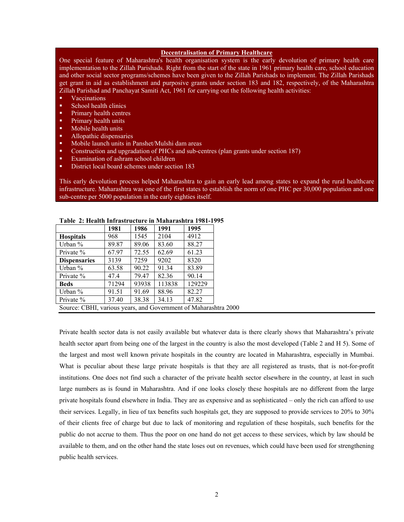#### **Decentralisation of Primary Healthcare**

One special feature of Maharashtra's health organisation system is the early devolution of primary health care implementation to the Zillah Parishads. Right from the start of the state in 1961 primary health care, school education and other social sector programs/schemes have been given to the Zillah Parishads to implement. The Zillah Parishads get grant in aid as establishment and purposive grants under section 183 and 182, respectively, of the Maharashtra Zillah Parishad and Panchayat Samiti Act, 1961 for carrying out the following health activities:

- Vaccinations
- **School health clinics**
- Primary health centres
- **Primary health units**
- **Mobile health units**
- Allopathic dispensaries
- Mobile launch units in Panshet/Mulshi dam areas
- Construction and upgradation of PHCs and sub-centres (plan grants under section 187)
- **Examination of ashram school children**
- District local board schemes under section 183

This early devolution process helped Maharashtra to gain an early lead among states to expand the rural healthcare infrastructure. Maharashtra was one of the first states to establish the norm of one PHC per 30,000 population and one sub-centre per 5000 population in the early eighties itself.

|                                                                 | 1981  | 1986  | 1991   | 1995   |
|-----------------------------------------------------------------|-------|-------|--------|--------|
| <b>Hospitals</b>                                                | 968   | 1545  | 2104   | 4912   |
| Urban $\%$                                                      | 89.87 | 89.06 | 83.60  | 88.27  |
| Private $\%$                                                    | 67.97 | 72.55 | 62.69  | 61.23  |
| <b>Dispensaries</b>                                             | 3139  | 7259  | 9202   | 8320   |
| Urban $\%$                                                      | 63.58 | 90.22 | 91.34  | 83.89  |
| Private $\%$                                                    | 47.4  | 79.47 | 82.36  | 90.14  |
| <b>Beds</b>                                                     | 71294 | 93938 | 113838 | 129229 |
| Urban %                                                         | 91.51 | 91.69 | 88.96  | 82.27  |
| Private $\%$                                                    | 37.40 | 38.38 | 34.13  | 47.82  |
| Source: CBHI, various years, and Government of Maharashtra 2000 |       |       |        |        |

#### **Table 2: Health Infrastructure in Maharashtra 1981-1995**

Private health sector data is not easily available but whatever data is there clearly shows that Maharashtra's private health sector apart from being one of the largest in the country is also the most developed (Table 2 and H 5). Some of the largest and most well known private hospitals in the country are located in Maharashtra, especially in Mumbai. What is peculiar about these large private hospitals is that they are all registered as trusts, that is not-for-profit institutions. One does not find such a character of the private health sector elsewhere in the country, at least in such large numbers as is found in Maharashtra. And if one looks closely these hospitals are no different from the large private hospitals found elsewhere in India. They are as expensive and as sophisticated – only the rich can afford to use their services. Legally, in lieu of tax benefits such hospitals get, they are supposed to provide services to 20% to 30% of their clients free of charge but due to lack of monitoring and regulation of these hospitals, such benefits for the public do not accrue to them. Thus the poor on one hand do not get access to these services, which by law should be available to them, and on the other hand the state loses out on revenues, which could have been used for strengthening public health services.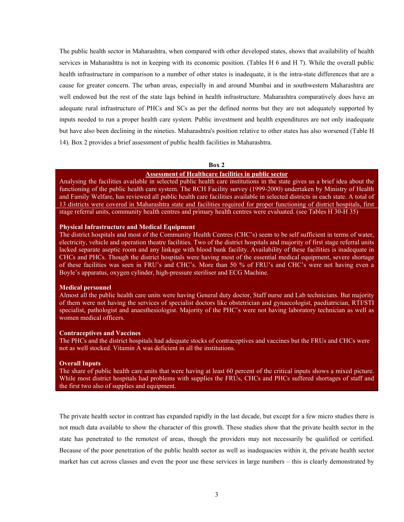The public health sector in Maharashtra, when compared with other developed states, shows that availability of health services in Maharashtra is not in keeping with its economic position. (Tables H 6 and H 7). While the overall public health infrastructure in comparison to a number of other states is inadequate, it is the intra-state differences that are a cause for greater concern. The urban areas, especially in and around Mumbai and in southwestern Maharashtra are well endowed but the rest of the state lags behind in health infrastructure. Maharashtra comparatively does have an adequate rural infrastructure of PHCs and SCs as per the defined norms but they are not adequately supported by inputs needed to run a proper health care system. Public investment and health expenditures are not only inadequate but have also been declining in the nineties. Maharashtra's position relative to other states has also worsened (Table H 14). Box 2 provides a brief assessment of public health facilities in Maharashtra.

#### **Box 2**

### **Assessment of Healthcare facilities in public sector**

Analysing the facilities available in selected public health care institutions in the state gives us a brief idea about the functioning of the public health care system. The RCH Facility survey (1999-2000) undertaken by Ministry of Health and Family Welfare, has reviewed all public health care facilities available in selected districts in each state. A total of 13 districts were covered in Maharashtra state and facilities required for proper functioning of district hospitals, first stage referral units, community health centres and primary health centres were evaluated. (see Tables H 30-H 35)

#### **Physical Infrastructure and Medical Equipment**

The district hospitals and most of the Community Health Centres (CHC's) seem to be self sufficient in terms of water, electricity, vehicle and operation theatre facilities. Two of the district hospitals and majority of first stage referral units lacked separate aseptic room and any linkage with blood bank facility. Availability of these facilities is inadequate in CHCs and PHCs. Though the district hospitals were having most of the essential medical equipment, severe shortage of these facilities was seen in FRU's and CHC's. More than 50 % of FRU's and CHC's were not having even a Boyle's apparatus, oxygen cylinder, high-pressure steriliser and ECG Machine.

#### **Medical personnel**

Almost all the public health care units were having General duty doctor, Staff nurse and Lab technicians. But majority of them were not having the services of specialist doctors like obstetrician and gynaecologist, paediatrician, RTI/STI specialist, pathologist and anaesthesiologist. Majority of the PHC's were not having laboratory technician as well as women medical officers.

### **Contraceptives and Vaccines**

The PHCs and the district hospitals had adequate stocks of contraceptives and vaccines but the FRUs and CHCs were not as well stocked. Vitamin A was deficient in all the institutions.

#### **Overall Inputs**

The share of public health care units that were having at least 60 percent of the critical inputs shows a mixed picture. While most district hospitals had problems with supplies the FRUs, CHCs and PHCs suffered shortages of staff and the first two also of supplies and equipment.

The private health sector in contrast has expanded rapidly in the last decade, but except for a few micro studies there is not much data available to show the character of this growth. These studies show that the private health sector in the state has penetrated to the remotest of areas, though the providers may not necessarily be qualified or certified. Because of the poor penetration of the public health sector as well as inadequacies within it, the private health sector market has cut across classes and even the poor use these services in large numbers – this is clearly demonstrated by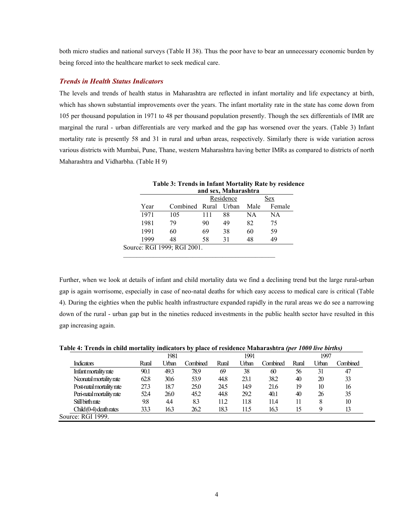both micro studies and national surveys (Table H 38). Thus the poor have to bear an unnecessary economic burden by being forced into the healthcare market to seek medical care.

### *Trends in Health Status Indicators*

The levels and trends of health status in Maharashtra are reflected in infant mortality and life expectancy at birth, which has shown substantial improvements over the years. The infant mortality rate in the state has come down from 105 per thousand population in 1971 to 48 per thousand population presently. Though the sex differentials of IMR are marginal the rural - urban differentials are very marked and the gap has worsened over the years. (Table 3) Infant mortality rate is presently 58 and 31 in rural and urban areas, respectively. Similarly there is wide variation across various districts with Mumbai, Pune, Thane, western Maharashtra having better IMRs as compared to districts of north Maharashtra and Vidharbha. (Table H 9)

| and sex, Maharashtra |                             |           |    |      |        |  |  |  |
|----------------------|-----------------------------|-----------|----|------|--------|--|--|--|
|                      |                             | Residence |    |      | Sex    |  |  |  |
| Year                 | Combined Rural Urban        |           |    | Male | Female |  |  |  |
| 1971                 | 105                         | 111       | 88 | NA   | NA     |  |  |  |
| 1981                 | 79                          | 90        | 49 | 82   | 75     |  |  |  |
| 1991                 | 60                          | 69        | 38 | 60   | 59     |  |  |  |
| 1999                 | 48                          | 58        | 31 | 48   | 49     |  |  |  |
|                      | Source: RGI 1999; RGI 2001. |           |    |      |        |  |  |  |

| Table 3: Trends in Infant Mortality Rate by residence |  |  |  |  |  |  |  |
|-------------------------------------------------------|--|--|--|--|--|--|--|
| and sex. Maharashtra                                  |  |  |  |  |  |  |  |

Further, when we look at details of infant and child mortality data we find a declining trend but the large rural-urban gap is again worrisome, especially in case of neo-natal deaths for which easy access to medical care is critical (Table 4). During the eighties when the public health infrastructure expanded rapidly in the rural areas we do see a narrowing down of the rural - urban gap but in the nineties reduced investments in the public health sector have resulted in this gap increasing again.

**Table 4: Trends in child mortality indicators by place of residence Maharashtra** *(per 1000 live births)*

|                           | 1981  |       |          | 1991  |       |          | 1997  |       |          |
|---------------------------|-------|-------|----------|-------|-------|----------|-------|-------|----------|
| <b>Indicators</b>         | Rural | Urban | Combined | Rural | Urban | Combined | Rural | Urban | Combined |
| Infant mortality rate     | 90.1  | 49.3  | 78.9     | 69    | 38    | 60       | 56    | 31    | 47       |
| Neonatal mortality rate   | 62.8  | 30.6  | 53.9     | 44.8  | 23.1  | 38.2     | 40    | 20    | 33       |
| Post-natal mortality rate | 27.3  | 18.7  | 25.0     | 24.5  | 14.9  | 21.6     | 19    | 10    | 16       |
| Peri-natal mortality rate | 52.4  | 26.0  | 45.2     | 44.8  | 29.2  | 40.1     | 40    | 26    | 35       |
| Still birth rate          | 9.8   | 4.4   | 83       | 112   | 11.8  | 11.4     |       | 8     | 10       |
| Child (0-4) death rates   | 33.3  | 16.3  | 26.2     | 18.3  | 1.5   | 16.3     | 15    |       | 13       |
| Source: RGI 1999.         |       |       |          |       |       |          |       |       |          |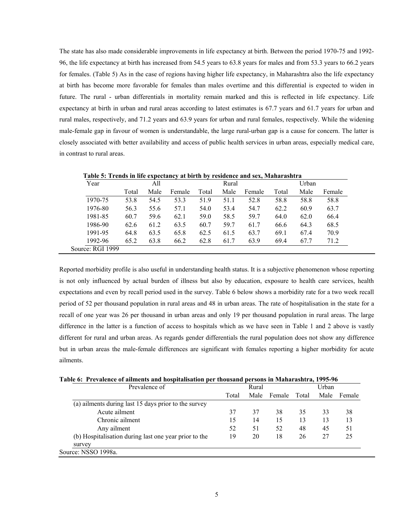The state has also made considerable improvements in life expectancy at birth. Between the period 1970-75 and 1992- 96, the life expectancy at birth has increased from 54.5 years to 63.8 years for males and from 53.3 years to 66.2 years for females. (Table 5) As in the case of regions having higher life expectancy, in Maharashtra also the life expectancy at birth has become more favorable for females than males overtime and this differential is expected to widen in future. The rural - urban differentials in mortality remain marked and this is reflected in life expectancy. Life expectancy at birth in urban and rural areas according to latest estimates is 67.7 years and 61.7 years for urban and rural males, respectively, and 71.2 years and 63.9 years for urban and rural females, respectively. While the widening male-female gap in favour of women is understandable, the large rural-urban gap is a cause for concern. The latter is closely associated with better availability and access of public health services in urban areas, especially medical care, in contrast to rural areas.

| Year             | All   |      |        |       | Rural |        |       | Urban |        |  |
|------------------|-------|------|--------|-------|-------|--------|-------|-------|--------|--|
|                  | Total | Male | Female | Total | Male  | Female | Total | Male  | Female |  |
| 1970-75          | 53.8  | 54.5 | 53.3   | 51.9  | 51.1  | 52.8   | 58.8  | 58.8  | 58.8   |  |
| 1976-80          | 56.3  | 55.6 | 57.1   | 54.0  | 53.4  | 54.7   | 62.2  | 60.9  | 63.7   |  |
| 1981-85          | 60.7  | 59.6 | 62.1   | 59.0  | 58.5  | 59.7   | 64.0  | 62.0  | 66.4   |  |
| 1986-90          | 62.6  | 61.2 | 63.5   | 60.7  | 59.7  | 61.7   | 66.6  | 64.3  | 68.5   |  |
| 1991-95          | 64.8  | 63.5 | 65.8   | 62.5  | 61.5  | 63.7   | 69.1  | 67.4  | 70.9   |  |
| 1992-96          | 65.2  | 63.8 | 66.2   | 62.8  | 61.7  | 63.9   | 69.4  | 67.7  | 71.2   |  |
| Source: RGI 1999 |       |      |        |       |       |        |       |       |        |  |

**Table 5: Trends in life expectancy at birth by residence and sex, Maharashtra** 

Reported morbidity profile is also useful in understanding health status. It is a subjective phenomenon whose reporting is not only influenced by actual burden of illness but also by education, exposure to health care services, health expectations and even by recall period used in the survey. Table 6 below shows a morbidity rate for a two week recall period of 52 per thousand population in rural areas and 48 in urban areas. The rate of hospitalisation in the state for a recall of one year was 26 per thousand in urban areas and only 19 per thousand population in rural areas. The large difference in the latter is a function of access to hospitals which as we have seen in Table 1 and 2 above is vastly different for rural and urban areas. As regards gender differentials the rural population does not show any difference but in urban areas the male-female differences are significant with females reporting a higher morbidity for acute ailments.

|  |  |  |  |  |  | Table 6: Prevalence of ailments and hospitalisation per thousand persons in Maharashtra, 1995-96 |  |
|--|--|--|--|--|--|--------------------------------------------------------------------------------------------------|--|
|--|--|--|--|--|--|--------------------------------------------------------------------------------------------------|--|

| Prevalence of                                         |       | Urban |        |       |      |        |
|-------------------------------------------------------|-------|-------|--------|-------|------|--------|
|                                                       | Total | Male  | Female | Total | Male | Female |
| (a) ailments during last 15 days prior to the survey  |       |       |        |       |      |        |
| Acute ailment                                         | 37    | 37    | 38     | 35    | 33   | 38     |
| Chronic ailment                                       | 15    | 14    | 15     | 13    | 13   | 13     |
| Any ailment                                           | 52    | 51    | 52     | 48    | 45   | 51     |
| (b) Hospitalisation during last one year prior to the | 19    | 20    | 18     | 26    | 27   | 25     |
| survey                                                |       |       |        |       |      |        |
| Source: NSSO 1998a.                                   |       |       |        |       |      |        |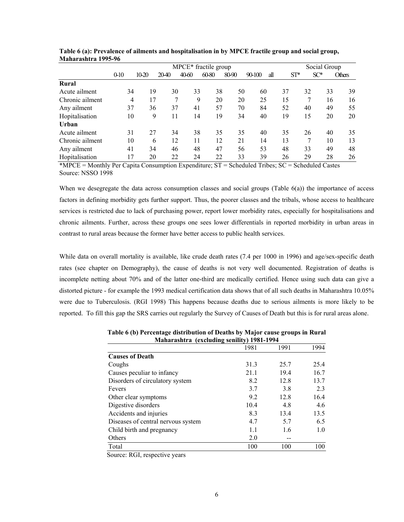|                 | MPCE* fractile group |       |      |       |       |       |        |     | Social Group |        |               |
|-----------------|----------------------|-------|------|-------|-------|-------|--------|-----|--------------|--------|---------------|
|                 | $0-10$               | 10-20 | 2040 | 40-60 | 60-80 | 80-90 | 90-100 | all | $ST^*$       | $SC^*$ | <b>Others</b> |
| Rural           |                      |       |      |       |       |       |        |     |              |        |               |
| Acute ailment   | 34                   | 19    | 30   | 33    | 38    | 50    | 60     | 37  | 32           | 33     | 39            |
| Chronic ailment | 4                    | 17    | 7    | 9     | 20    | 20    | 25     | 15  | 7            | 16     | 16            |
| Any ailment     | 37                   | 36    | 37   | 41    | 57    | 70    | 84     | 52  | 40           | 49     | 55            |
| Hopitalisation  | 10                   | 9     | 11   | 14    | 19    | 34    | 40     | 19  | 15           | 20     | 20            |
| Urban           |                      |       |      |       |       |       |        |     |              |        |               |
| Acute ailment   | 31                   | 27    | 34   | 38    | 35    | 35    | 40     | 35  | 26           | 40     | 35            |
| Chronic ailment | 10                   | 6     | 12   | 11    | 12    | 21    | 14     | 13  |              | 10     | 13            |
| Any ailment     | 41                   | 34    | 46   | 48    | 47    | 56    | 53     | 48  | 33           | 49     | 48            |
| Hopitalisation  | 17                   | 20    | 22   | 24    | 22    | 33    | 39     | 26  | 29           | 28     | 26            |

| Table 6 (a): Prevalence of ailments and hospitalisation in by MPCE fractile group and social group, |  |
|-----------------------------------------------------------------------------------------------------|--|
| Maharashtra 1995-96                                                                                 |  |

\*MPCE = Monthly Per Capita Consumption Expenditure; ST = Scheduled Tribes; SC = Scheduled Castes Source: NSSO 1998

When we desegregate the data across consumption classes and social groups (Table  $6(a)$ ) the importance of access factors in defining morbidity gets further support. Thus, the poorer classes and the tribals, whose access to healthcare services is restricted due to lack of purchasing power, report lower morbidity rates, especially for hospitalisations and chronic ailments. Further, across these groups one sees lower differentials in reported morbidity in urban areas in contrast to rural areas because the former have better access to public health services.

While data on overall mortality is available, like crude death rates (7.4 per 1000 in 1996) and age/sex-specific death rates (see chapter on Demography), the cause of deaths is not very well documented. Registration of deaths is incomplete netting about 70% and of the latter one-third are medically certified. Hence using such data can give a distorted picture - for example the 1993 medical certification data shows that of all such deaths in Maharashtra 10.05% were due to Tuberculosis. (RGI 1998) This happens because deaths due to serious ailments is more likely to be reported. To fill this gap the SRS carries out regularly the Survey of Causes of Death but this is for rural areas alone.

|                                    | 1981 | 1991 | 1994 |
|------------------------------------|------|------|------|
| <b>Causes of Death</b>             |      |      |      |
| Coughs                             | 31.3 | 25.7 | 25.4 |
| Causes peculiar to infancy         | 21.1 | 19.4 | 16.7 |
| Disorders of circulatory system    | 8.2  | 12.8 | 13.7 |
| Fevers                             | 3.7  | 3.8  | 2.3  |
| Other clear symptoms               | 9.2  | 12.8 | 16.4 |
| Digestive disorders                | 10.4 | 4.8  | 4.6  |
| Accidents and injuries             | 8.3  | 13.4 | 13.5 |
| Diseases of central nervous system | 4.7  | 5.7  | 6.5  |
| Child birth and pregnancy          | 1.1  | 1.6  | 1.0  |
| Others                             | 2.0  |      |      |
| Total                              | 100  | 100  | 100  |

**Table 6 (b) Percentage distribution of Deaths by Major cause groups in Rural Maharashtra (excluding senility) 1981-1994** 

Source: RGI, respective years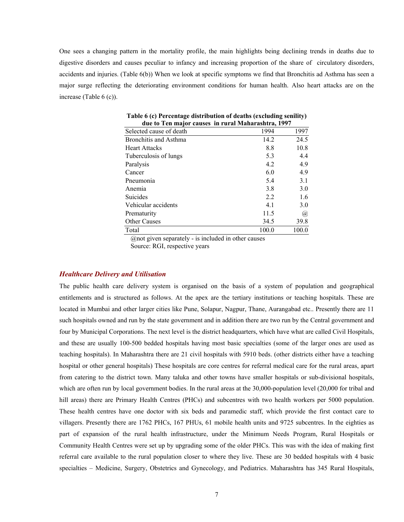One sees a changing pattern in the mortality profile, the main highlights being declining trends in deaths due to digestive disorders and causes peculiar to infancy and increasing proportion of the share of circulatory disorders, accidents and injuries. (Table 6(b)) When we look at specific symptoms we find that Bronchitis ad Asthma has seen a major surge reflecting the deteriorating environment conditions for human health. Also heart attacks are on the increase (Table 6 (c)).

| uut to Ten major Causes In Turar Maharashtra, 1777 |       |       |  |  |  |  |  |
|----------------------------------------------------|-------|-------|--|--|--|--|--|
| Selected cause of death                            | 1994  | 1997  |  |  |  |  |  |
| Bronchitis and Asthma                              | 14.2  | 24.5  |  |  |  |  |  |
| <b>Heart Attacks</b>                               | 8.8   | 10.8  |  |  |  |  |  |
| Tuberculosis of lungs                              | 5.3   | 4.4   |  |  |  |  |  |
| Paralysis                                          | 4.2   | 4.9   |  |  |  |  |  |
| Cancer                                             | 6.0   | 4.9   |  |  |  |  |  |
| Pneumonia                                          | 5.4   | 3.1   |  |  |  |  |  |
| Anemia                                             | 3.8   | 3.0   |  |  |  |  |  |
| <b>Suicides</b>                                    | 2.2   | 1.6   |  |  |  |  |  |
| Vehicular accidents                                | 4.1   | 3.0   |  |  |  |  |  |
| Prematurity                                        | 11.5  | @     |  |  |  |  |  |
| <b>Other Causes</b>                                | 34.5  | 39.8  |  |  |  |  |  |
| Total                                              | 100.0 | 100.0 |  |  |  |  |  |

**Table 6 (c) Percentage distribution of deaths (excluding senility) due to Ten major causes in rural Maharashtra, 1997** 

@not given separately - is included in other causes Source: RGI, respective years

### *Healthcare Delivery and Utilisation*

The public health care delivery system is organised on the basis of a system of population and geographical entitlements and is structured as follows. At the apex are the tertiary institutions or teaching hospitals. These are located in Mumbai and other larger cities like Pune, Solapur, Nagpur, Thane, Aurangabad etc.. Presently there are 11 such hospitals owned and run by the state government and in addition there are two run by the Central government and four by Municipal Corporations. The next level is the district headquarters, which have what are called Civil Hospitals, and these are usually 100-500 bedded hospitals having most basic specialties (some of the larger ones are used as teaching hospitals). In Maharashtra there are 21 civil hospitals with 5910 beds. (other districts either have a teaching hospital or other general hospitals) These hospitals are core centres for referral medical care for the rural areas, apart from catering to the district town. Many taluka and other towns have smaller hospitals or sub-divisional hospitals, which are often run by local government bodies. In the rural areas at the 30,000-population level (20,000 for tribal and hill areas) there are Primary Health Centres (PHCs) and subcentres with two health workers per 5000 population. These health centres have one doctor with six beds and paramedic staff, which provide the first contact care to villagers. Presently there are 1762 PHCs, 167 PHUs, 61 mobile health units and 9725 subcentres. In the eighties as part of expansion of the rural health infrastructure, under the Minimum Needs Program, Rural Hospitals or Community Health Centres were set up by upgrading some of the older PHCs. This was with the idea of making first referral care available to the rural population closer to where they live. These are 30 bedded hospitals with 4 basic specialties – Medicine, Surgery, Obstetrics and Gynecology, and Pediatrics. Maharashtra has 345 Rural Hospitals,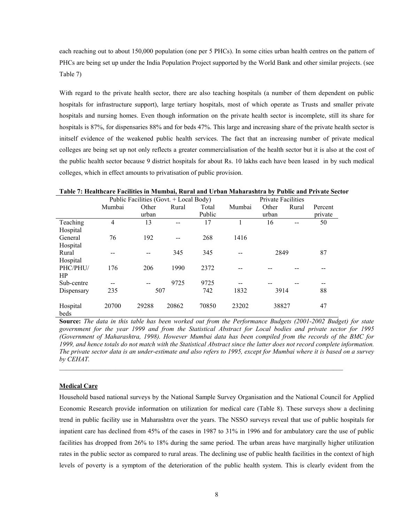each reaching out to about 150,000 population (one per 5 PHCs). In some cities urban health centres on the pattern of PHCs are being set up under the India Population Project supported by the World Bank and other similar projects. (see Table 7)

With regard to the private health sector, there are also teaching hospitals (a number of them dependent on public hospitals for infrastructure support), large tertiary hospitals, most of which operate as Trusts and smaller private hospitals and nursing homes. Even though information on the private health sector is incomplete, still its share for hospitals is 87%, for dispensaries 88% and for beds 47%. This large and increasing share of the private health sector is initself evidence of the weakened public health services. The fact that an increasing number of private medical colleges are being set up not only reflects a greater commercialisation of the health sector but it is also at the cost of the public health sector because 9 district hospitals for about Rs. 10 lakhs each have been leased in by such medical colleges, which in effect amounts to privatisation of public provision.

|            | Public Facilities (Govt. + Local Body) |       |       |        |        |       | <b>Private Facilities</b> |         |  |
|------------|----------------------------------------|-------|-------|--------|--------|-------|---------------------------|---------|--|
|            | Mumbai                                 | Other | Rural | Total  | Mumbai | Other | Rural                     | Percent |  |
|            |                                        | urban |       | Public |        | urban |                           | private |  |
| Teaching   | 4                                      | 13    | --    | 17     |        | 16    |                           | 50      |  |
| Hospital   |                                        |       |       |        |        |       |                           |         |  |
| General    | 76                                     | 192   |       | 268    | 1416   |       |                           |         |  |
| Hospital   |                                        |       |       |        |        |       |                           |         |  |
| Rural      |                                        |       | 345   | 345    |        | 2849  |                           | 87      |  |
| Hospital   |                                        |       |       |        |        |       |                           |         |  |
| PHC/PHU/   | 176                                    | 206   | 1990  | 2372   |        |       |                           |         |  |
| <b>HP</b>  |                                        |       |       |        |        |       |                           |         |  |
| Sub-centre |                                        |       | 9725  | 9725   |        |       |                           |         |  |
| Dispensary | 235                                    | 507   |       | 742    | 1832   | 3914  |                           | 88      |  |
|            |                                        |       |       |        |        |       |                           |         |  |
| Hospital   | 20700                                  | 29288 | 20862 | 70850  | 23202  | 38827 |                           | 47      |  |
| beds       |                                        |       |       |        |        |       |                           |         |  |

**Table 7: Healthcare Facilities in Mumbai, Rural and Urban Maharashtra by Public and Private Sector** 

**Source:** *The data in this table has been worked out from the Performance Budgets (2001-2002 Budget) for state government for the year 1999 and from the Statistical Abstract for Local bodies and private sector for 1995 (Government of Maharashtra, 1998). However Mumbai data has been compiled from the records of the BMC for 1999, and hence totals do not match with the Statistical Abstract since the latter does not record complete information. The private sector data is an under-estimate and also refers to 1995, except for Mumbai where it is based on a survey by CEHAT.* 

 $\mathcal{L}_\mathcal{L} = \{ \mathcal{L}_\mathcal{L} = \{ \mathcal{L}_\mathcal{L} = \{ \mathcal{L}_\mathcal{L} = \{ \mathcal{L}_\mathcal{L} = \{ \mathcal{L}_\mathcal{L} = \{ \mathcal{L}_\mathcal{L} = \{ \mathcal{L}_\mathcal{L} = \{ \mathcal{L}_\mathcal{L} = \{ \mathcal{L}_\mathcal{L} = \{ \mathcal{L}_\mathcal{L} = \{ \mathcal{L}_\mathcal{L} = \{ \mathcal{L}_\mathcal{L} = \{ \mathcal{L}_\mathcal{L} = \{ \mathcal{L}_\mathcal{$ 

### **Medical Care**

Household based national surveys by the National Sample Survey Organisation and the National Council for Applied Economic Research provide information on utilization for medical care (Table 8). These surveys show a declining trend in public facility use in Maharashtra over the years. The NSSO surveys reveal that use of public hospitals for inpatient care has declined from 45% of the cases in 1987 to 31% in 1996 and for ambulatory care the use of public facilities has dropped from 26% to 18% during the same period. The urban areas have marginally higher utilization rates in the public sector as compared to rural areas. The declining use of public health facilities in the context of high levels of poverty is a symptom of the deterioration of the public health system. This is clearly evident from the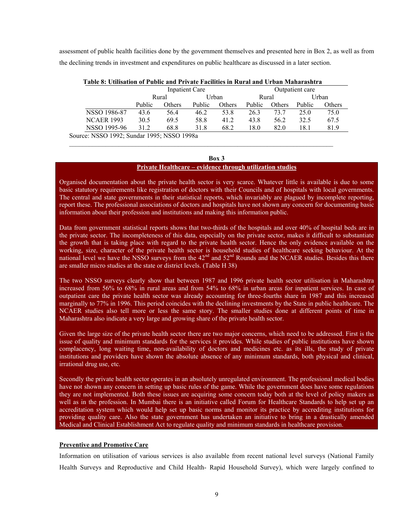assessment of public health facilities done by the government themselves and presented here in Box 2, as well as from the declining trends in investment and expenditures on public healthcare as discussed in a later section.

| Table 8: Utilisation of Public and Private Facilities in Rural and Urban Manarashtra |        |                |        |        |        |        |                 |        |  |  |
|--------------------------------------------------------------------------------------|--------|----------------|--------|--------|--------|--------|-----------------|--------|--|--|
|                                                                                      |        | Inpatient Care |        |        |        |        | Outpatient care |        |  |  |
|                                                                                      | Rural  |                | Urban  |        | Rural  |        |                 | Urban  |  |  |
|                                                                                      | Public | Others         | Public | Others | Public | Others | Public          | Others |  |  |
| NSSO 1986-87                                                                         | 43.6   | 56.4           | 46.2   | 53.8   | 26.3   | 73.7   | 25.0            | 75.0   |  |  |
| <b>NCAER 1993</b>                                                                    | 30.5   | 69.5           | 58.8   | 41.2   | 43.8   | 56.2   | 32.5            | 67.5   |  |  |
| NSSO 1995-96                                                                         | 31 2   | 68.8           | 31.8   | 68.2   | 18.0   | 82.0   | 18.1            | 81.9   |  |  |
| Source: NSSO 1992: Sundar 1995: NSSO 1998a                                           |        |                |        |        |        |        |                 |        |  |  |

**Table 8: Utilisation of Public and Private Facilities in Rural and Urban Maharashtra** 

 $\frac{1}{2}$  ,  $\frac{1}{2}$  ,  $\frac{1}{2}$  ,  $\frac{1}{2}$  ,  $\frac{1}{2}$  ,  $\frac{1}{2}$  ,  $\frac{1}{2}$  ,  $\frac{1}{2}$  ,  $\frac{1}{2}$  ,  $\frac{1}{2}$  ,  $\frac{1}{2}$  ,  $\frac{1}{2}$  ,  $\frac{1}{2}$  ,  $\frac{1}{2}$  ,  $\frac{1}{2}$  ,  $\frac{1}{2}$  ,  $\frac{1}{2}$  ,  $\frac{1}{2}$  ,  $\frac{1$ 

#### **Box 3**

### **Private Healthcare – evidence through utilization studies**

Organised documentation about the private health sector is very scarce. Whatever little is available is due to some basic statutory requirements like registration of doctors with their Councils and of hospitals with local governments. The central and state governments in their statistical reports, which invariably are plagued by incomplete reporting, report these. The professional associations of doctors and hospitals have not shown any concern for documenting basic information about their profession and institutions and making this information public.

Data from government statistical reports shows that two-thirds of the hospitals and over 40% of hospital beds are in the private sector. The incompleteness of this data, especially on the private sector, makes it difficult to substantiate the growth that is taking place with regard to the private health sector. Hence the only evidence available on the working, size, character of the private health sector is household studies of healthcare seeking behaviour. At the national level we have the NSSO surveys from the  $42<sup>nd</sup>$  and  $52<sup>nd</sup>$  Rounds and the NCAER studies. Besides this there are smaller micro studies at the state or district levels. (Table H 38)

The two NSSO surveys clearly show that between 1987 and 1996 private health sector utilisation in Maharashtra increased from 56% to 68% in rural areas and from 54% to 68% in urban areas for inpatient services. In case of outpatient care the private health sector was already accounting for three-fourths share in 1987 and this increased marginally to 77% in 1996. This period coincides with the declining investments by the State in public healthcare. The NCAER studies also tell more or less the same story. The smaller studies done at different points of time in Maharashtra also indicate a very large and growing share of the private health sector.

Given the large size of the private health sector there are two major concerns, which need to be addressed. First is the issue of quality and minimum standards for the services it provides. While studies of public institutions have shown complacency, long waiting time, non-availability of doctors and medicines etc. as its ills, the study of private institutions and providers have shown the absolute absence of any minimum standards, both physical and clinical, irrational drug use, etc.

Secondly the private health sector operates in an absolutely unregulated environment. The professional medical bodies have not shown any concern in setting up basic rules of the game. While the government does have some regulations they are not implemented. Both these issues are acquiring some concern today both at the level of policy makers as well as in the profession. In Mumbai there is an initiative called Forum for Healthcare Standards to help set up an accreditation system which would help set up basic norms and monitor its practice by accrediting institutions for providing quality care. Also the state government has undertaken an initiative to bring in a drastically amended Medical and Clinical Establishment Act to regulate quality and minimum standards in healthcare provision.

### **Preventive and Promotive Care**

Information on utilisation of various services is also available from recent national level surveys (National Family Health Surveys and Reproductive and Child Health- Rapid Household Survey), which were largely confined to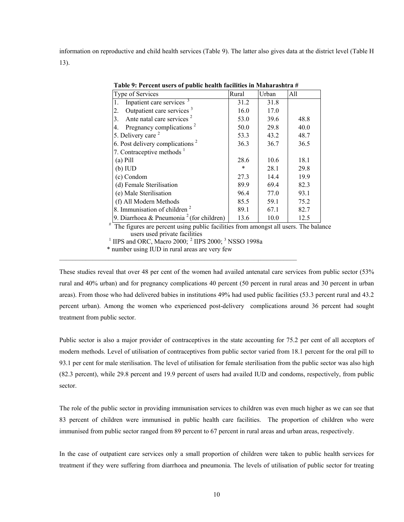information on reproductive and child health services (Table 9). The latter also gives data at the district level (Table H 13).

| Type of Services                                     | Rural | Urban | All  |
|------------------------------------------------------|-------|-------|------|
| Inpatient care services <sup>3</sup><br>1.           | 31.2  | 31.8  |      |
| Outpatient care services <sup>3</sup><br>2.          | 16.0  | 17.0  |      |
| Ante natal care services <sup>2</sup><br>3.          | 53.0  | 39.6  | 48.8 |
| Pregnancy complications <sup>2</sup><br>4.           | 50.0  | 29.8  | 40.0 |
| 5. Delivery care <sup>2</sup>                        | 53.3  | 43.2  | 48.7 |
| 6. Post delivery complications <sup>2</sup>          | 36.3  | 36.7  | 36.5 |
| 7. Contraceptive methods $1$                         |       |       |      |
| $(a)$ Pill                                           | 28.6  | 10.6  | 18.1 |
| (b) IUD                                              | *     | 28.1  | 29.8 |
| (c) Condom                                           | 27.3  | 14.4  | 19.9 |
| (d) Female Sterilisation                             | 89.9  | 69.4  | 82.3 |
| (e) Male Sterilisation                               | 96.4  | 77.0  | 93.1 |
| (f) All Modern Methods                               | 85.5  | 59.1  | 75.2 |
| 8. Immunisation of children <sup>2</sup>             | 89.1  | 67.1  | 82.7 |
| 9. Diarrhoea & Pneumonia <sup>2</sup> (for children) | 13.6  | 10.0  | 12.5 |

**Table 9: Percent users of public health facilities in Maharashtra #** 

users used private facilities

<sup>1</sup> IIPS and ORC, Macro 2000; <sup>2</sup> IIPS 2000; <sup>3</sup> NSSO 1998a

 $\_$  , and the set of the set of the set of the set of the set of the set of the set of the set of the set of the set of the set of the set of the set of the set of the set of the set of the set of the set of the set of th

\* number using IUD in rural areas are very few

These studies reveal that over 48 per cent of the women had availed antenatal care services from public sector (53% rural and 40% urban) and for pregnancy complications 40 percent (50 percent in rural areas and 30 percent in urban areas). From those who had delivered babies in institutions 49% had used public facilities (53.3 percent rural and 43.2 percent urban). Among the women who experienced post-delivery complications around 36 percent had sought treatment from public sector.

Public sector is also a major provider of contraceptives in the state accounting for 75.2 per cent of all acceptors of modern methods. Level of utilisation of contraceptives from public sector varied from 18.1 percent for the oral pill to 93.1 per cent for male sterilisation. The level of utilisation for female sterilisation from the public sector was also high (82.3 percent), while 29.8 percent and 19.9 percent of users had availed IUD and condoms, respectively, from public sector.

The role of the public sector in providing immunisation services to children was even much higher as we can see that 83 percent of children were immunised in public health care facilities. The proportion of children who were immunised from public sector ranged from 89 percent to 67 percent in rural areas and urban areas, respectively.

In the case of outpatient care services only a small proportion of children were taken to public health services for treatment if they were suffering from diarrhoea and pneumonia. The levels of utilisation of public sector for treating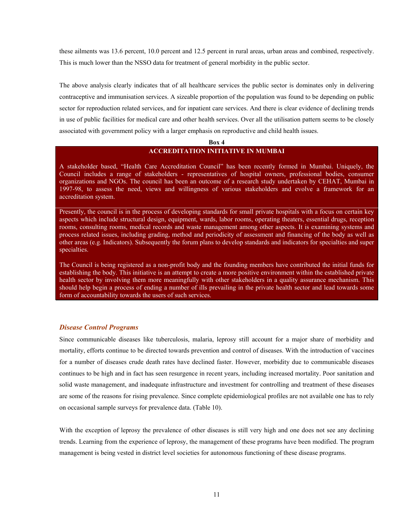these ailments was 13.6 percent, 10.0 percent and 12.5 percent in rural areas, urban areas and combined, respectively. This is much lower than the NSSO data for treatment of general morbidity in the public sector.

The above analysis clearly indicates that of all healthcare services the public sector is dominates only in delivering contraceptive and immunisation services. A sizeable proportion of the population was found to be depending on public sector for reproduction related services, and for inpatient care services. And there is clear evidence of declining trends in use of public facilities for medical care and other health services. Over all the utilisation pattern seems to be closely associated with government policy with a larger emphasis on reproductive and child health issues.

#### **Box 4**

### **ACCREDITATION INITIATIVE IN MUMBAI**

A stakeholder based, "Health Care Accreditation Council" has been recently formed in Mumbai. Uniquely, the Council includes a range of stakeholders - representatives of hospital owners, professional bodies, consumer organizations and NGOs. The council has been an outcome of a research study undertaken by CEHAT, Mumbai in 1997-98, to assess the need, views and willingness of various stakeholders and evolve a framework for an accreditation system.

Presently, the council is in the process of developing standards for small private hospitals with a focus on certain key aspects which include structural design, equipment, wards, labor rooms, operating theaters, essential drugs, reception rooms, consulting rooms, medical records and waste management among other aspects. It is examining systems and process related issues, including grading, method and periodicity of assessment and financing of the body as well as other areas (e.g. Indicators). Subsequently the forum plans to develop standards and indicators for specialties and super specialties.

The Council is being registered as a non-profit body and the founding members have contributed the initial funds for establishing the body. This initiative is an attempt to create a more positive environment within the established private health sector by involving them more meaningfully with other stakeholders in a quality assurance mechanism. This should help begin a process of ending a number of ills prevailing in the private health sector and lead towards some form of accountability towards the users of such services.

### *Disease Control Programs*

Since communicable diseases like tuberculosis, malaria, leprosy still account for a major share of morbidity and mortality, efforts continue to be directed towards prevention and control of diseases. With the introduction of vaccines for a number of diseases crude death rates have declined faster. However, morbidity due to communicable diseases continues to be high and in fact has seen resurgence in recent years, including increased mortality. Poor sanitation and solid waste management, and inadequate infrastructure and investment for controlling and treatment of these diseases are some of the reasons for rising prevalence. Since complete epidemiological profiles are not available one has to rely on occasional sample surveys for prevalence data. (Table 10).

With the exception of leprosy the prevalence of other diseases is still very high and one does not see any declining trends. Learning from the experience of leprosy, the management of these programs have been modified. The program management is being vested in district level societies for autonomous functioning of these disease programs.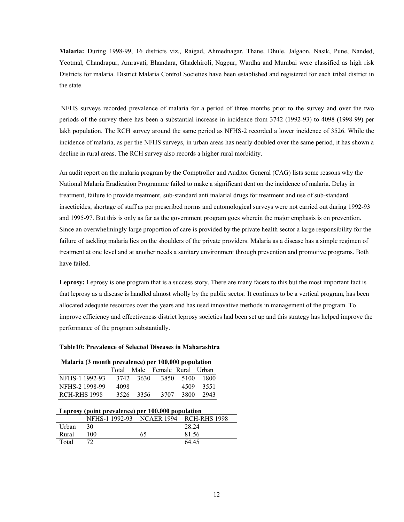**Malaria:** During 1998-99, 16 districts viz., Raigad, Ahmednagar, Thane, Dhule, Jalgaon, Nasik, Pune, Nanded, Yeotmal, Chandrapur, Amravati, Bhandara, Ghadchiroli, Nagpur, Wardha and Mumbai were classified as high risk Districts for malaria. District Malaria Control Societies have been established and registered for each tribal district in the state.

 NFHS surveys recorded prevalence of malaria for a period of three months prior to the survey and over the two periods of the survey there has been a substantial increase in incidence from 3742 (1992-93) to 4098 (1998-99) per lakh population. The RCH survey around the same period as NFHS-2 recorded a lower incidence of 3526. While the incidence of malaria, as per the NFHS surveys, in urban areas has nearly doubled over the same period, it has shown a decline in rural areas. The RCH survey also records a higher rural morbidity.

An audit report on the malaria program by the Comptroller and Auditor General (CAG) lists some reasons why the National Malaria Eradication Programme failed to make a significant dent on the incidence of malaria. Delay in treatment, failure to provide treatment, sub-standard anti malarial drugs for treatment and use of sub-standard insecticides, shortage of staff as per prescribed norms and entomological surveys were not carried out during 1992-93 and 1995-97. But this is only as far as the government program goes wherein the major emphasis is on prevention. Since an overwhelmingly large proportion of care is provided by the private health sector a large responsibility for the failure of tackling malaria lies on the shoulders of the private providers. Malaria as a disease has a simple regimen of treatment at one level and at another needs a sanitary environment through prevention and promotive programs. Both have failed.

**Leprosy:** Leprosy is one program that is a success story. There are many facets to this but the most important fact is that leprosy as a disease is handled almost wholly by the public sector. It continues to be a vertical program, has been allocated adequate resources over the years and has used innovative methods in management of the program. To improve efficiency and effectiveness district leprosy societies had been set up and this strategy has helped improve the performance of the program substantially.

#### **Table10: Prevalence of Selected Diseases in Maharashtra**

### **Malaria (3 month prevalence) per 100,000 population**

|                     |      |           | Total Male Female Rural Urban |           |           |
|---------------------|------|-----------|-------------------------------|-----------|-----------|
| NFHS-1 1992-93      |      | 3742 3630 |                               | 3850 5100 | -1800     |
| NFHS-2 1998-99      | 4098 |           |                               |           | 4509 3551 |
| <b>RCH-RHS 1998</b> |      | 3526 3356 | 3707                          | -3800-    | 2943      |

#### **Leprosy (point prevalence) per 100,000 population**

|       | NFHS-1 1992-93 NCAER 1994 |    | RCH-RHS 1998 |
|-------|---------------------------|----|--------------|
| Urban | 30                        |    | 28.24        |
| Rural | 100.                      | 65 | 81.56        |
| Total |                           |    | 64.45        |
|       |                           |    |              |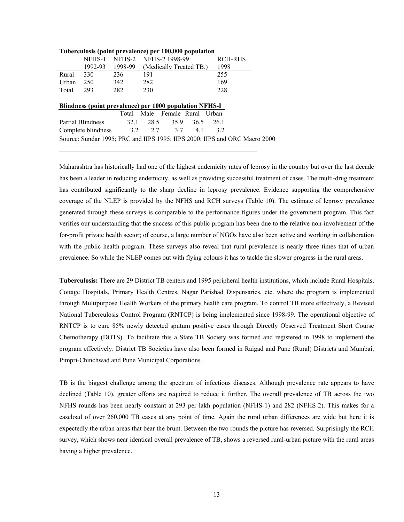|       | NFHS-1  |         | NFHS-2 NFHS-2 1998-99   | <b>RCH-RHS</b> |
|-------|---------|---------|-------------------------|----------------|
|       | 1992-93 | 1998-99 | (Medically Treated TB.) | 1998           |
| Rural | 330     | 236     | 191                     | 255            |
| Urban | 250     | 342     | 282                     | 169            |
| Total | 293     | 282     | 230                     | 228            |

#### **Tuberculosis (point prevalence) per 100,000 population**

| Blindness (point prevalence) per 1000 population NFHS-I |     |     |                               |    |    |  |  |  |  |  |
|---------------------------------------------------------|-----|-----|-------------------------------|----|----|--|--|--|--|--|
|                                                         |     |     | Total Male Female Rural Urban |    |    |  |  |  |  |  |
| <b>Partial Blindness</b>                                |     |     | 32.1 28.5 35.9 36.5 26.1      |    |    |  |  |  |  |  |
| Complete blindness                                      | 3.2 | 2.7 | 37                            | 41 | 32 |  |  |  |  |  |

Source: Sundar 1995; PRC and IIPS 1995; IIPS 2000; IIPS and ORC Macro 2000

 $\mathcal{L}_\text{max}$  , and the set of the set of the set of the set of the set of the set of the set of the set of the set of the set of the set of the set of the set of the set of the set of the set of the set of the set of the

Maharashtra has historically had one of the highest endemicity rates of leprosy in the country but over the last decade has been a leader in reducing endemicity, as well as providing successful treatment of cases. The multi-drug treatment has contributed significantly to the sharp decline in leprosy prevalence. Evidence supporting the comprehensive coverage of the NLEP is provided by the NFHS and RCH surveys (Table 10). The estimate of leprosy prevalence generated through these surveys is comparable to the performance figures under the government program. This fact verifies our understanding that the success of this public program has been due to the relative non-involvement of the for-profit private health sector; of course, a large number of NGOs have also been active and working in collaboration with the public health program. These surveys also reveal that rural prevalence is nearly three times that of urban prevalence. So while the NLEP comes out with flying colours it has to tackle the slower progress in the rural areas.

**Tuberculosis:** There are 29 District TB centers and 1995 peripheral health institutions, which include Rural Hospitals, Cottage Hospitals, Primary Health Centres, Nagar Parishad Dispensaries, etc. where the program is implemented through Multipurpose Health Workers of the primary health care program. To control TB more effectively, a Revised National Tuberculosis Control Program (RNTCP) is being implemented since 1998-99. The operational objective of RNTCP is to cure 85% newly detected sputum positive cases through Directly Observed Treatment Short Course Chemotherapy (DOTS). To facilitate this a State TB Society was formed and registered in 1998 to implement the program effectively. District TB Societies have also been formed in Raigad and Pune (Rural) Districts and Mumbai, Pimpri-Chinchwad and Pune Municipal Corporations.

TB is the biggest challenge among the spectrum of infectious diseases. Although prevalence rate appears to have declined (Table 10), greater efforts are required to reduce it further. The overall prevalence of TB across the two NFHS rounds has been nearly constant at 293 per lakh population (NFHS-1) and 282 (NFHS-2). This makes for a caseload of over 260,000 TB cases at any point of time. Again the rural urban differences are wide but here it is expectedly the urban areas that bear the brunt. Between the two rounds the picture has reversed. Surprisingly the RCH survey, which shows near identical overall prevalence of TB, shows a reversed rural-urban picture with the rural areas having a higher prevalence.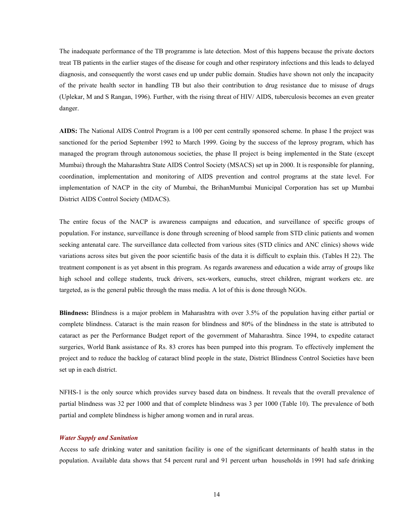The inadequate performance of the TB programme is late detection. Most of this happens because the private doctors treat TB patients in the earlier stages of the disease for cough and other respiratory infections and this leads to delayed diagnosis, and consequently the worst cases end up under public domain. Studies have shown not only the incapacity of the private health sector in handling TB but also their contribution to drug resistance due to misuse of drugs (Uplekar, M and S Rangan, 1996). Further, with the rising threat of HIV/ AIDS, tuberculosis becomes an even greater danger.

**AIDS:** The National AIDS Control Program is a 100 per cent centrally sponsored scheme. In phase I the project was sanctioned for the period September 1992 to March 1999. Going by the success of the leprosy program, which has managed the program through autonomous societies, the phase II project is being implemented in the State (except Mumbai) through the Maharashtra State AIDS Control Society (MSACS) set up in 2000. It is responsible for planning, coordination, implementation and monitoring of AIDS prevention and control programs at the state level. For implementation of NACP in the city of Mumbai, the BrihanMumbai Municipal Corporation has set up Mumbai District AIDS Control Society (MDACS).

The entire focus of the NACP is awareness campaigns and education, and surveillance of specific groups of population. For instance, surveillance is done through screening of blood sample from STD clinic patients and women seeking antenatal care. The surveillance data collected from various sites (STD clinics and ANC clinics) shows wide variations across sites but given the poor scientific basis of the data it is difficult to explain this. (Tables H 22). The treatment component is as yet absent in this program. As regards awareness and education a wide array of groups like high school and college students, truck drivers, sex-workers, eunuchs, street children, migrant workers etc. are targeted, as is the general public through the mass media. A lot of this is done through NGOs.

**Blindness:** Blindness is a major problem in Maharashtra with over 3.5% of the population having either partial or complete blindness. Cataract is the main reason for blindness and 80% of the blindness in the state is attributed to cataract as per the Performance Budget report of the government of Maharashtra. Since 1994, to expedite cataract surgeries, World Bank assistance of Rs. 83 crores has been pumped into this program. To effectively implement the project and to reduce the backlog of cataract blind people in the state, District Blindness Control Societies have been set up in each district.

NFHS-1 is the only source which provides survey based data on bindness. It reveals that the overall prevalence of partial blindness was 32 per 1000 and that of complete blindness was 3 per 1000 (Table 10). The prevalence of both partial and complete blindness is higher among women and in rural areas.

#### *Water Supply and Sanitation*

Access to safe drinking water and sanitation facility is one of the significant determinants of health status in the population. Available data shows that 54 percent rural and 91 percent urban households in 1991 had safe drinking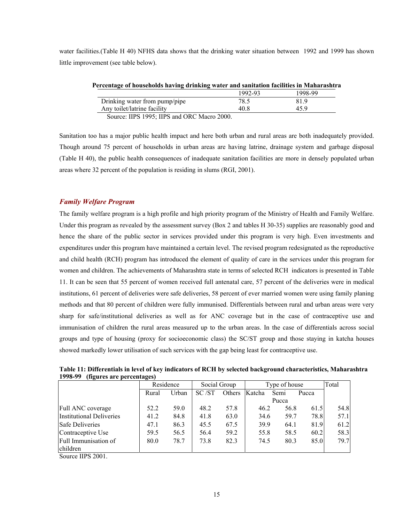water facilities.(Table H 40) NFHS data shows that the drinking water situation between 1992 and 1999 has shown little improvement (see table below).

| Percentage of households having drinking water and sanitation facilities in Maharashtra |                      |         |
|-----------------------------------------------------------------------------------------|----------------------|---------|
|                                                                                         | 1992-93              | 1998-99 |
| Drinking water from pump/pipe                                                           | 78.5                 | 819     |
| Any toilet/latrine facility                                                             | 40 R                 | 459     |
| $\cdots$ $\alpha$ $\alpha$ $\alpha$ $\alpha$ $\cdots$ $\alpha$<br>$\cdots$              | $\sim$ $\sim$ $\sim$ |         |

Source: IIPS 1995; IIPS and ORC Macro 2000.

Sanitation too has a major public health impact and here both urban and rural areas are both inadequately provided. Though around 75 percent of households in urban areas are having latrine, drainage system and garbage disposal (Table H 40), the public health consequences of inadequate sanitation facilities are more in densely populated urban areas where 32 percent of the population is residing in slums (RGI, 2001).

### *Family Welfare Program*

The family welfare program is a high profile and high priority program of the Ministry of Health and Family Welfare. Under this program as revealed by the assessment survey (Box 2 and tables H 30-35) supplies are reasonably good and hence the share of the public sector in services provided under this program is very high. Even investments and expenditures under this program have maintained a certain level. The revised program redesignated as the reproductive and child health (RCH) program has introduced the element of quality of care in the services under this program for women and children. The achievements of Maharashtra state in terms of selected RCH indicators is presented in Table 11. It can be seen that 55 percent of women received full antenatal care, 57 percent of the deliveries were in medical institutions, 61 percent of deliveries were safe deliveries, 58 percent of ever married women were using family planing methods and that 80 percent of children were fully immunised. Differentials between rural and urban areas were very sharp for safe/institutional deliveries as well as for ANC coverage but in the case of contraceptive use and immunisation of children the rural areas measured up to the urban areas. In the case of differentials across social groups and type of housing (proxy for socioeconomic class) the SC/ST group and those staying in katcha houses showed markedly lower utilisation of such services with the gap being least for contraceptive use.

**Table 11: Differentials in level of key indicators of RCH by selected background characteristics, Maharashtra 1998-99 (figures are percentages)** 

|                                 | Residence |       | Social Group |        | Type of house |       |       | Total |
|---------------------------------|-----------|-------|--------------|--------|---------------|-------|-------|-------|
|                                 | Rural     | Urban | SC/ST        | Others | Katcha        | Semi  | Pucca |       |
|                                 |           |       |              |        |               | Pucca |       |       |
| Full ANC coverage               | 52.2      | 59.0  | 48.2         | 57.8   | 46.2          | 56.8  | 61.5  | 54.8  |
| <b>Institutional Deliveries</b> | 41.2      | 84.8  | 41.8         | 63.0   | 34.6          | 59.7  | 78.8  | 57.1  |
| <b>Safe Deliveries</b>          | 47.1      | 86.3  | 45.5         | 67.5   | 39.9          | 64.1  | 81.9  | 61.2  |
| Contraceptive Use               | 59.5      | 56.5  | 56.4         | 59.2   | 55.8          | 58.5  | 60.2  | 58.3  |
| Full Immunisation of            | 80.0      | 78.7  | 73.8         | 82.3   | 74.5          | 80.3  | 85.0  | 79.7  |
| children                        |           |       |              |        |               |       |       |       |

Source IIPS 2001.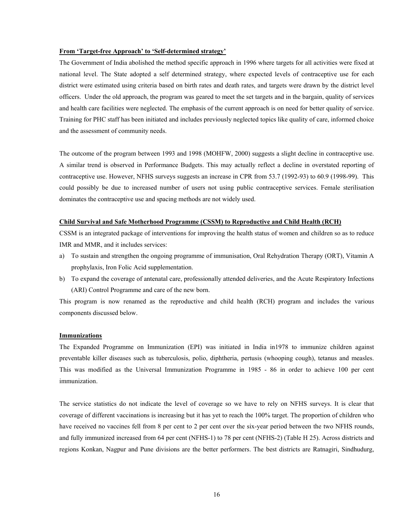### **From 'Target-free Approach' to 'Self-determined strategy'**

The Government of India abolished the method specific approach in 1996 where targets for all activities were fixed at national level. The State adopted a self determined strategy, where expected levels of contraceptive use for each district were estimated using criteria based on birth rates and death rates, and targets were drawn by the district level officers. Under the old approach, the program was geared to meet the set targets and in the bargain, quality of services and health care facilities were neglected. The emphasis of the current approach is on need for better quality of service. Training for PHC staff has been initiated and includes previously neglected topics like quality of care, informed choice and the assessment of community needs.

The outcome of the program between 1993 and 1998 (MOHFW, 2000) suggests a slight decline in contraceptive use. A similar trend is observed in Performance Budgets. This may actually reflect a decline in overstated reporting of contraceptive use. However, NFHS surveys suggests an increase in CPR from 53.7 (1992-93) to 60.9 (1998-99). This could possibly be due to increased number of users not using public contraceptive services. Female sterilisation dominates the contraceptive use and spacing methods are not widely used.

### **Child Survival and Safe Motherhood Programme (CSSM) to Reproductive and Child Health (RCH)**

CSSM is an integrated package of interventions for improving the health status of women and children so as to reduce IMR and MMR, and it includes services:

- a) To sustain and strengthen the ongoing programme of immunisation, Oral Rehydration Therapy (ORT), Vitamin A prophylaxis, Iron Folic Acid supplementation.
- b) To expand the coverage of antenatal care, professionally attended deliveries, and the Acute Respiratory Infections (ARI) Control Programme and care of the new born.

This program is now renamed as the reproductive and child health (RCH) program and includes the various components discussed below.

#### **Immunizations**

The Expanded Programme on Immunization (EPI) was initiated in India in1978 to immunize children against preventable killer diseases such as tuberculosis, polio, diphtheria, pertusis (whooping cough), tetanus and measles. This was modified as the Universal Immunization Programme in 1985 - 86 in order to achieve 100 per cent immunization.

The service statistics do not indicate the level of coverage so we have to rely on NFHS surveys. It is clear that coverage of different vaccinations is increasing but it has yet to reach the 100% target. The proportion of children who have received no vaccines fell from 8 per cent to 2 per cent over the six-year period between the two NFHS rounds, and fully immunized increased from 64 per cent (NFHS-1) to 78 per cent (NFHS-2) (Table H 25). Across districts and regions Konkan, Nagpur and Pune divisions are the better performers. The best districts are Ratnagiri, Sindhudurg,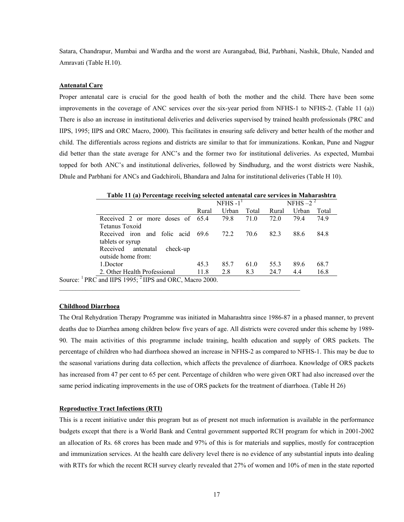Satara, Chandrapur, Mumbai and Wardha and the worst are Aurangabad, Bid, Parbhani, Nashik, Dhule, Nanded and Amravati (Table H.10).

#### **Antenatal Care**

Proper antenatal care is crucial for the good health of both the mother and the child. There have been some improvements in the coverage of ANC services over the six-year period from NFHS-1 to NFHS-2. (Table 11 (a)) There is also an increase in institutional deliveries and deliveries supervised by trained health professionals (PRC and IIPS, 1995; IIPS and ORC Macro, 2000). This facilitates in ensuring safe delivery and better health of the mother and child. The differentials across regions and districts are similar to that for immunizations. Konkan, Pune and Nagpur did better than the state average for ANC's and the former two for institutional deliveries. As expected, Mumbai topped for both ANC's and institutional deliveries, followed by Sindhudurg, and the worst districts were Nashik, Dhule and Parbhani for ANCs and Gadchiroli, Bhandara and Jalna for institutional deliveries (Table H 10).

|                                | NFHS $-11$ |       |       | NFHS $-2^2$ |       |       |
|--------------------------------|------------|-------|-------|-------------|-------|-------|
|                                | Rural      | Urban | Total | Rural       | Urban | Total |
| Received 2 or more doses of    | 65.4       | 79.8  | 71.0  | 72.0        | 79.4  | 74.9  |
| Tetanus Toxoid                 |            |       |       |             |       |       |
| Received iron and folic acid   | 69.6       | 72.2  | 70.6  | 82.3        | 88.6  | 84.8  |
| tablets or syrup               |            |       |       |             |       |       |
| Received antenatal<br>check-up |            |       |       |             |       |       |
| outside home from:             |            |       |       |             |       |       |
| 1.Doctor                       | 45.3       | 85.7  | 61.0  | 55.3        | 89.6  | 68.7  |
| 2. Other Health Professional   | 11.8       | 2.8   | 8.3   | 24.7        | 4.4   | 16.8  |

Source: <sup>1</sup> PRC and IIPS 1995; <sup>2</sup> IIPS and ORC, Macro 2000.

### **Childhood Diarrhoea**

The Oral Rehydration Therapy Programme was initiated in Maharashtra since 1986-87 in a phased manner, to prevent deaths due to Diarrhea among children below five years of age. All districts were covered under this scheme by 1989- 90. The main activities of this programme include training, health education and supply of ORS packets. The percentage of children who had diarrhoea showed an increase in NFHS-2 as compared to NFHS-1. This may be due to the seasonal variations during data collection, which affects the prevalence of diarrhoea. Knowledge of ORS packets has increased from 47 per cent to 65 per cent. Percentage of children who were given ORT had also increased over the same period indicating improvements in the use of ORS packets for the treatment of diarrhoea. (Table H 26)

#### **Reproductive Tract Infections (RTI)**

This is a recent initiative under this program but as of present not much information is available in the performance budgets except that there is a World Bank and Central government supported RCH program for which in 2001-2002 an allocation of Rs. 68 crores has been made and 97% of this is for materials and supplies, mostly for contraception and immunization services. At the health care delivery level there is no evidence of any substantial inputs into dealing with RTI's for which the recent RCH survey clearly revealed that 27% of women and 10% of men in the state reported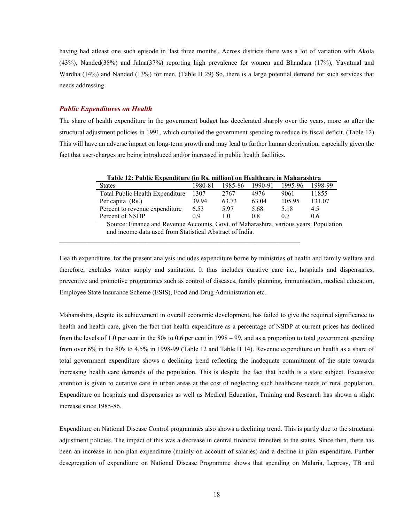having had atleast one such episode in 'last three months'. Across districts there was a lot of variation with Akola (43%), Nanded(38%) and Jalna(37%) reporting high prevalence for women and Bhandara (17%), Yavatmal and Wardha (14%) and Nanded (13%) for men. (Table H 29) So, there is a large potential demand for such services that needs addressing.

#### *Public Expenditures on Health*

The share of health expenditure in the government budget has decelerated sharply over the years, more so after the structural adjustment policies in 1991, which curtailed the government spending to reduce its fiscal deficit. (Table 12) This will have an adverse impact on long-term growth and may lead to further human deprivation, especially given the fact that user-charges are being introduced and/or increased in public health facilities.

| Table 12: Public Expenditure (in Rs. million) on Healthcare in Maharashtra |         |         |         |         |         |  |  |  |  |
|----------------------------------------------------------------------------|---------|---------|---------|---------|---------|--|--|--|--|
| <b>States</b>                                                              | 1980-81 | 1985-86 | 1990-91 | 1995-96 | 1998-99 |  |  |  |  |
| Total Public Health Expenditure                                            | 1307    | 2767    | 4976    | 9061    | 11855   |  |  |  |  |
| Per capita (Rs.)                                                           | 39 94   | 63.73   | 63.04   | 105.95  | 131.07  |  |  |  |  |
| Percent to revenue expenditure                                             | 6.53    | 597     | 5.68    | 5.18    | 4.5     |  |  |  |  |
| Percent of NSDP                                                            | 0 ዓ     | 10      | 08      | 0.7     | 06      |  |  |  |  |

Source: Finance and Revenue Accounts, Govt. of Maharashtra, various years. Population and income data used from Statistical Abstract of India.

Health expenditure, for the present analysis includes expenditure borne by ministries of health and family welfare and therefore, excludes water supply and sanitation. It thus includes curative care i.e., hospitals and dispensaries, preventive and promotive programmes such as control of diseases, family planning, immunisation, medical education, Employee State Insurance Scheme (ESIS), Food and Drug Administration etc.

Maharashtra, despite its achievement in overall economic development, has failed to give the required significance to health and health care, given the fact that health expenditure as a percentage of NSDP at current prices has declined from the levels of 1.0 per cent in the 80s to 0.6 per cent in 1998 – 99, and as a proportion to total government spending from over 6% in the 80's to 4.5% in 1998-99 (Table 12 and Table H 14). Revenue expenditure on health as a share of total government expenditure shows a declining trend reflecting the inadequate commitment of the state towards increasing health care demands of the population. This is despite the fact that health is a state subject. Excessive attention is given to curative care in urban areas at the cost of neglecting such healthcare needs of rural population. Expenditure on hospitals and dispensaries as well as Medical Education, Training and Research has shown a slight increase since 1985-86.

Expenditure on National Disease Control programmes also shows a declining trend. This is partly due to the structural adjustment policies. The impact of this was a decrease in central financial transfers to the states. Since then, there has been an increase in non-plan expenditure (mainly on account of salaries) and a decline in plan expenditure. Further desegregation of expenditure on National Disease Programme shows that spending on Malaria, Leprosy, TB and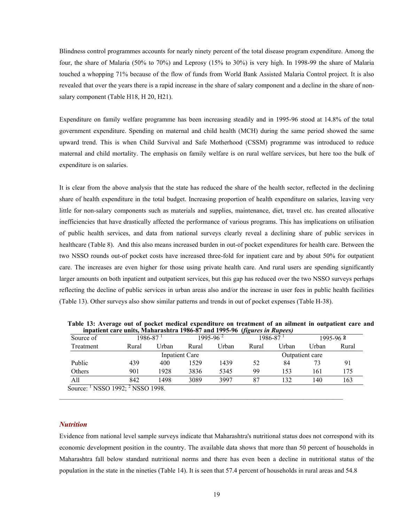Blindness control programmes accounts for nearly ninety percent of the total disease program expenditure. Among the four, the share of Malaria (50% to 70%) and Leprosy (15% to 30%) is very high. In 1998-99 the share of Malaria touched a whopping 71% because of the flow of funds from World Bank Assisted Malaria Control project. It is also revealed that over the years there is a rapid increase in the share of salary component and a decline in the share of nonsalary component (Table H18, H 20, H21).

Expenditure on family welfare programme has been increasing steadily and in 1995-96 stood at 14.8% of the total government expenditure. Spending on maternal and child health (MCH) during the same period showed the same upward trend. This is when Child Survival and Safe Motherhood (CSSM) programme was introduced to reduce maternal and child mortality. The emphasis on family welfare is on rural welfare services, but here too the bulk of expenditure is on salaries.

It is clear from the above analysis that the state has reduced the share of the health sector, reflected in the declining share of health expenditure in the total budget. Increasing proportion of health expenditure on salaries, leaving very little for non-salary components such as materials and supplies, maintenance, diet, travel etc. has created allocative inefficiencies that have drastically affected the performance of various programs. This has implications on utilisation of public health services, and data from national surveys clearly reveal a declining share of public services in healthcare (Table 8). And this also means increased burden in out-of pocket expenditures for health care. Between the two NSSO rounds out-of pocket costs have increased three-fold for inpatient care and by about 50% for outpatient care. The increases are even higher for those using private health care. And rural users are spending significantly larger amounts on both inpatient and outpatient services, but this gap has reduced over the two NSSO surveys perhaps reflecting the decline of public services in urban areas also and/or the increase in user fees in public health facilities (Table 13). Other surveys also show similar patterns and trends in out of pocket expenses (Table H-38).

| Source of      |       | 1986-87 | vo<br>1995-96 <sup>2</sup> |       |                 | 1986-87 |       | $1995 - 962$ |  |
|----------------|-------|---------|----------------------------|-------|-----------------|---------|-------|--------------|--|
| Treatment      | Rural | Urban   | Rural                      | Urban | Rural           | Urban   | Urban | Rural        |  |
| Inpatient Care |       |         |                            |       | Outpatient care |         |       |              |  |
| Public         | 439   | 400     | 1529                       | 1439  | 52              | 84      | 73    | 91           |  |
| Others         | 901   | 1928    | 3836                       | 5345  | 99              | 153     | 161   | 175          |  |
| All            | 842   | 1498    | 3089                       | 3997  | 87              | 132     | 140   | 163          |  |

 **Table 13: Average out of pocket medical expenditure on treatment of an ailment in outpatient care and inpatient care units, Maharashtra 1986-87 and 1995-96 (***figures in Rupees)* 

### *Nutrition*

Evidence from national level sample surveys indicate that Maharashtra's nutritional status does not correspond with its economic development position in the country. The available data shows that more than 50 percent of households in Maharashtra fall below standard nutritional norms and there has even been a decline in nutritional status of the population in the state in the nineties (Table 14). It is seen that 57.4 percent of households in rural areas and 54.8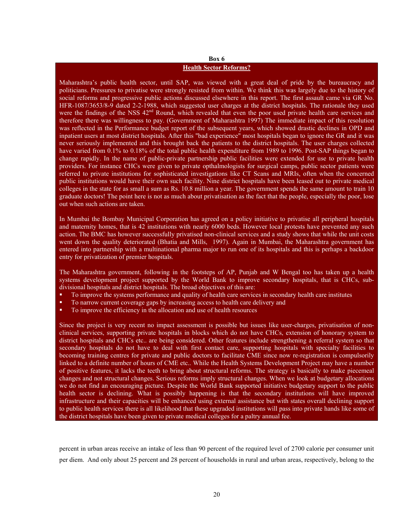### **Box 6 Health Sector Reforms?**

Maharashtra's public health sector, until SAP, was viewed with a great deal of pride by the bureaucracy and politicians. Pressures to privatise were strongly resisted from within. We think this was largely due to the history of social reforms and progressive public actions discussed elsewhere in this report. The first assault came via GR No. HFR-1087/3653/8-9 dated 2-2-1988, which suggested user charges at the district hospitals. The rationale they used were the findings of the NSS 42<sup>nd</sup> Round, which revealed that even the poor used private health care services and therefore there was willingness to pay. (Government of Maharashtra 1997) The immediate impact of this resolution was reflected in the Performance budget report of the subsequent years, which showed drastic declines in OPD and inpatient users at most district hospitals. After this "bad experience" most hospitals began to ignore the GR and it was never seriously implemented and this brought back the patients to the district hospitals. The user charges collected have varied from 0.1% to 0.18% of the total public health expenditure from 1989 to 1996. Post-SAP things began to change rapidly. In the name of public-private partnership public facilities were extended for use to private health providers. For instance CHCs were given to private opthalmologists for surgical camps, public sector patients were referred to private institutions for sophisticated investigations like CT Scans and MRIs, often when the concerned public institutions would have their own such facility. Nine district hospitals have been leased out to private medical colleges in the state for as small a sum as Rs. 10.8 million a year. The government spends the same amount to train 10 graduate doctors! The point here is not as much about privatisation as the fact that the people, especially the poor, lose out when such actions are taken.

In Mumbai the Bombay Municipal Corporation has agreed on a policy initiative to privatise all peripheral hospitals and maternity homes, that is 42 institutions with nearly 6000 beds. However local protests have prevented any such action. The BMC has however successfully privatised non-clinical services and a study shows that while the unit costs went down the quality deteriorated (Bhatia and Mills, 1997). Again in Mumbai, the Maharashtra government has entered into partnership with a multinational pharma major to run one of its hospitals and this is perhaps a backdoor entry for privatization of premier hospitals.

The Maharashtra government, following in the footsteps of AP, Punjab and W Bengal too has taken up a health systems development project supported by the World Bank to improve secondary hospitals, that is CHCs, subdivisional hospitals and district hospitals. The broad objectives of this are:

- To improve the systems performance and quality of health care services in secondary health care institutes
- To narrow current coverage gaps by increasing access to health care delivery and
- To improve the efficiency in the allocation and use of health resources

Since the project is very recent no impact assessment is possible but issues like user-charges, privatisation of nonclinical services, supporting private hospitals in blocks which do not have CHCs, extension of honorary system to district hospitals and CHCs etc.. are being considered. Other features include strengthening a referral system so that secondary hospitals do not have to deal with first contact care, supporting hospitals with specialty facilities to becoming training centres for private and public doctors to facilitate CME since now re-registration is compulsorily linked to a definite number of hours of CME etc.. While the Health Systems Development Project may have a number of positive features, it lacks the teeth to bring about structural reforms. The strategy is basically to make piecemeal changes and not structural changes. Serious reforms imply structural changes. When we look at budgetary allocations we do not find an encouraging picture. Despite the World Bank supported initiative budgetary support to the public health sector is declining. What is possibly happening is that the secondary institutions will have improved infrastructure and their capacities will be enhanced using external assistance but with states overall declining support to public health services there is all likelihood that these upgraded institutions will pass into private hands like some of the district hospitals have been given to private medical colleges for a paltry annual fee.

percent in urban areas receive an intake of less than 90 percent of the required level of 2700 calorie per consumer unit per diem. And only about 25 percent and 28 percent of households in rural and urban areas, respectively, belong to the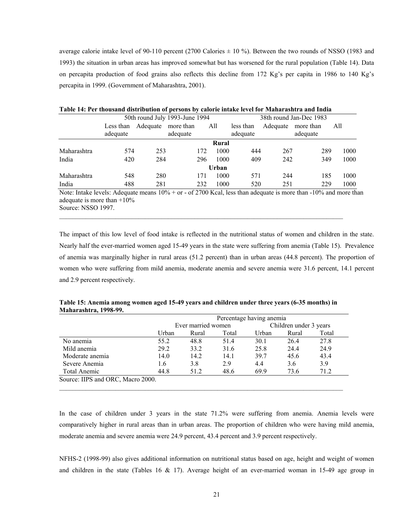average calorie intake level of 90-110 percent (2700 Calories  $\pm$  10 %). Between the two rounds of NSSO (1983 and 1993) the situation in urban areas has improved somewhat but has worsened for the rural population (Table 14). Data on percapita production of food grains also reflects this decline from 172 Kg's per capita in 1986 to 140 Kg's percapita in 1999. (Government of Maharashtra, 2001).

|             |                       |          | 50th round July 1993-June 1994 | 38th round Jan-Dec 1983 |                       |          |                       |      |
|-------------|-----------------------|----------|--------------------------------|-------------------------|-----------------------|----------|-----------------------|------|
|             | Less than<br>adequate | Adequate | more than<br>adequate          | All                     | less than<br>adequate | Adequate | more than<br>adequate | All  |
|             |                       |          |                                | Rural                   |                       |          |                       |      |
| Maharashtra | 574                   | 253      | 172                            | 1000                    | 444                   | 267      | 289                   | 1000 |
| India       | 420                   | 284      | 296                            | 1000                    | 409                   | 242      | 349                   | 1000 |
|             |                       |          |                                | Urban                   |                       |          |                       |      |
| Maharashtra | 548                   | 280      | 171                            | 1000                    | 571                   | 244      | 185                   | 1000 |
| India       | 488                   | 281      | 232                            | 1000                    | 520                   | 251      | 229                   | 1000 |

| Table 14: Per thousand distribution of persons by calorie intake level for Maharashtra and India |
|--------------------------------------------------------------------------------------------------|
|                                                                                                  |

Note: Intake levels: Adequate means  $10\%$  + or - of 2700 Kcal, less than adequate is more than -10% and more than adequate is more than  $+10\%$ Source: NSSO 1997.

 $\mathcal{L}_\mathcal{L} = \{ \mathcal{L}_\mathcal{L} = \{ \mathcal{L}_\mathcal{L} = \{ \mathcal{L}_\mathcal{L} = \{ \mathcal{L}_\mathcal{L} = \{ \mathcal{L}_\mathcal{L} = \{ \mathcal{L}_\mathcal{L} = \{ \mathcal{L}_\mathcal{L} = \{ \mathcal{L}_\mathcal{L} = \{ \mathcal{L}_\mathcal{L} = \{ \mathcal{L}_\mathcal{L} = \{ \mathcal{L}_\mathcal{L} = \{ \mathcal{L}_\mathcal{L} = \{ \mathcal{L}_\mathcal{L} = \{ \mathcal{L}_\mathcal{$ 

The impact of this low level of food intake is reflected in the nutritional status of women and children in the state. Nearly half the ever-married women aged 15-49 years in the state were suffering from anemia (Table 15). Prevalence of anemia was marginally higher in rural areas (51.2 percent) than in urban areas (44.8 percent). The proportion of women who were suffering from mild anemia, moderate anemia and severe anemia were 31.6 percent, 14.1 percent and 2.9 percent respectively.

| Table 15: Anemia among women aged 15-49 years and children under three years (6-35 months) in |  |
|-----------------------------------------------------------------------------------------------|--|
| <b>Maharashtra, 1998-99.</b>                                                                  |  |

|                                   |       | Percentage having anemia |       |       |                        |       |  |  |  |  |
|-----------------------------------|-------|--------------------------|-------|-------|------------------------|-------|--|--|--|--|
|                                   |       | Ever married women       |       |       | Children under 3 years |       |  |  |  |  |
|                                   | Urban | Rural                    | Total | Urban | Rural                  | Total |  |  |  |  |
| No anemia                         | 55.2  | 48.8                     | 51.4  | 30.1  | 26.4                   | 27.8  |  |  |  |  |
| Mild anemia                       | 29.2  | 33.2                     | 31.6  | 25.8  | 24.4                   | 24.9  |  |  |  |  |
| Moderate anemia                   | 14.0  | 14.2                     | 14.1  | 39.7  | 45.6                   | 43.4  |  |  |  |  |
| Severe Anemia                     | 1.6   | 3.8                      | 2.9   | 4.4   | 3.6                    | 3.9   |  |  |  |  |
| Total Anemic                      | 44.8  | 51.2                     | 48.6  | 69.9  | 73.6                   | 71.2  |  |  |  |  |
| Source: IIPS and ORC, Macro 2000. |       |                          |       |       |                        |       |  |  |  |  |

In the case of children under 3 years in the state 71.2% were suffering from anemia. Anemia levels were comparatively higher in rural areas than in urban areas. The proportion of children who were having mild anemia, moderate anemia and severe anemia were 24.9 percent, 43.4 percent and 3.9 percent respectively.

NFHS-2 (1998-99) also gives additional information on nutritional status based on age, height and weight of women and children in the state (Tables 16  $\&$  17). Average height of an ever-married woman in 15-49 age group in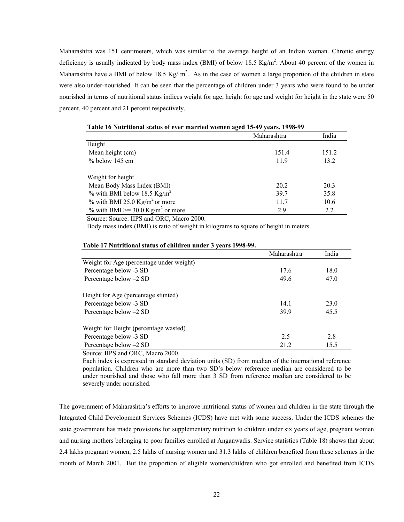Maharashtra was 151 centimeters, which was similar to the average height of an Indian woman. Chronic energy deficiency is usually indicated by body mass index (BMI) of below 18.5 Kg/m<sup>2</sup>. About 40 percent of the women in Maharashtra have a BMI of below 18.5 Kg/m<sup>2</sup>. As in the case of women a large proportion of the children in state were also under-nourished. It can be seen that the percentage of children under 3 years who were found to be under nourished in terms of nutritional status indices weight for age, height for age and weight for height in the state were 50 percent, 40 percent and 21 percent respectively.

|                                              | Maharashtra | India |
|----------------------------------------------|-------------|-------|
| Height                                       |             |       |
| Mean height (cm)                             | 151.4       | 151.2 |
| $%$ below 145 cm                             | 11.9        | 13.2  |
| Weight for height                            |             |       |
| Mean Body Mass Index (BMI)                   | 20.2        | 20.3  |
| $\%$ with BMI below 18.5 Kg/m <sup>2</sup>   | 39.7        | 35.8  |
| $\%$ with BMI 25.0 Kg/m <sup>2</sup> or more | 11.7        | 10.6  |
| % with BMI >= 30.0 Kg/m <sup>2</sup> or more | 2.9         | 2.2   |

| Table 16 Nutritional status of ever married women aged 15-49 years, 1998-99 |
|-----------------------------------------------------------------------------|
|-----------------------------------------------------------------------------|

Source: Source: IIPS and ORC, Macro 2000.

Body mass index (BMI) is ratio of weight in kilograms to square of height in meters.

|                                          | Maharashtra | India |
|------------------------------------------|-------------|-------|
| Weight for Age (percentage under weight) |             |       |
| Percentage below -3 SD                   | 17.6        | 18.0  |
| Percentage below -2 SD                   | 49.6        | 47.0  |
| Height for Age (percentage stunted)      |             |       |
| Percentage below -3 SD                   | 14.1        | 23.0  |
| Percentage below -2 SD                   | 39.9        | 45.5  |
| Weight for Height (percentage wasted)    |             |       |
| Percentage below -3 SD                   | 2.5         | 2.8   |
| Percentage below -2 SD                   | 21.2        | 15.5  |

#### **Table 17 Nutritional status of children under 3 years 1998-99.**

Source: IIPS and ORC, Macro 2000.

Each index is expressed in standard deviation units (SD) from median of the international reference population. Children who are more than two SD's below reference median are considered to be under nourished and those who fall more than 3 SD from reference median are considered to be severely under nourished.

The government of Maharashtra's efforts to improve nutritional status of women and children in the state through the Integrated Child Development Services Schemes (ICDS) have met with some success. Under the ICDS schemes the state government has made provisions for supplementary nutrition to children under six years of age, pregnant women and nursing mothers belonging to poor families enrolled at Anganwadis. Service statistics (Table 18) shows that about 2.4 lakhs pregnant women, 2.5 lakhs of nursing women and 31.3 lakhs of children benefited from these schemes in the month of March 2001. But the proportion of eligible women/children who got enrolled and benefited from ICDS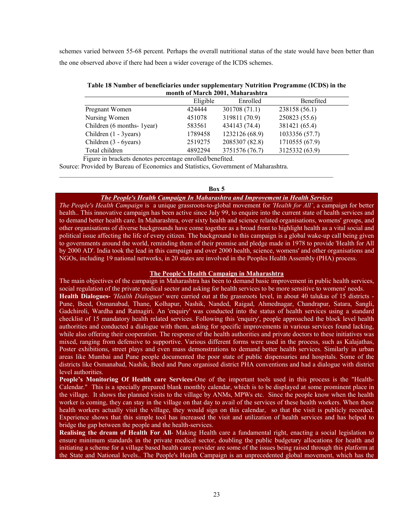schemes varied between 55-68 percent. Perhaps the overall nutritional status of the state would have been better than the one observed above if there had been a wider coverage of the ICDS schemes.

| Table 18 Number of beneficiaries under supplementary Nutrition Programme (ICDS) in the |
|----------------------------------------------------------------------------------------|
| month of March 2001, Maharashtra                                                       |

|                           | Eligible | Enrolled       | Benefited      |
|---------------------------|----------|----------------|----------------|
| Pregnant Women            | 424444   | 301708 (71.1)  | 238158 (56.1)  |
| Nursing Women             | 451078   | 319811 (70.9)  | 250823 (55.6)  |
| Children (6 months-1year) | 583561   | 434143 (74.4)  | 381421 (65.4)  |
| Children (1 - 3years)     | 1789458  | 1232126 (68.9) | 1033356 (57.7) |
| Children (3 - 6 years)    | 2519275  | 2085307 (82.8) | 1710555 (67.9) |
| Total children            | 4892294  | 3751576 (76.7) | 3125332 (63.9) |

Figure in brackets denotes percentage enrolled/benefited.

Source: Provided by Bureau of Economics and Statistics, Government of Maharashtra.

#### **Box 5**

 $\mathcal{L}_\text{max}$ 

### *The People's Health Campaign In Maharashtra and Improvement in Health Services*

*The People's Health Campaign* is a unique grassroots-to-global movement for *'Health for All'*, a campaign for better health.. This innovative campaign has been active since July 99, to enquire into the current state of health services and to demand better health care. In Maharashtra, over sixty health and science related organisations, womens' groups, and other organisations of diverse backgrounds have come together as a broad front to highlight health as a vital social and political issue affecting the life of every citizen. The background to this campaign is a global wake-up call being given to governments around the world, reminding them of their promise and pledge made in 1978 to provide 'Health for All by 2000 AD'. India took the lead in this campaign and over 2000 health, science, womens' and other organisations and NGOs, including 19 national networks, in 20 states are involved in the Peoples Health Assembly (PHA) process.

### **The People's Health Campaign in Maharashtra**

The main objectives of the campaign in Maharashtra has been to demand basic improvement in public health services, social regulation of the private medical sector and asking for health services to be more sensitive to womens' needs. **Health Dialogues-** *'Health Dialogues'* were carried out at the grassroots level, in about 40 talukas of 15 districts - Pune, Beed, Osmanabad, Thane, Kolhapur, Nashik, Nanded, Raigad, Ahmednagar, Chandrapur, Satara, Sangli, Gadchiroli, Wardha and Ratnagiri. An 'enquiry' was conducted into the status of health services using a standard checklist of 15 mandatory health related services. Following this 'enquiry', people approached the block level health authorities and conducted a dialogue with them, asking for specific improvements in various services found lacking, while also offering their cooperation. The response of the health authorities and private doctors to these initiatives was mixed, ranging from defensive to supportive. Various different forms were used in the process, such as Kalajathas, Poster exhibitions, street plays and even mass demonstrations to demand better health services. Similarly in urban areas like Mumbai and Pune people documented the poor state of public dispensaries and hospitals. Some of the districts like Osmanabad, Nashik, Beed and Pune organised district PHA conventions and had a dialogue with district level authorities.

**People's Monitoring Of Health care Services**-One of the important tools used in this process is the "Health-Calendar." This is a specially prepared blank monthly calendar, which is to be displayed at some prominent place in the village. It shows the planned visits to the village by ANMs, MPWs etc. Since the people know when the health worker is coming, they can stay in the village on that day to avail of the services of these health workers. When these health workers actually visit the village, they would sign on this calendar, so that the visit is publicly recorded. Experience shows that this simple tool has increased the visit and utilization of health services and has helped to bridge the gap between the people and the health-services.

**Realising the dream of Health For All**- Making Health care a fundamental right, enacting a social legislation to ensure minimum standards in the private medical sector, doubling the public budgetary allocations for health and initiating a scheme for a village based health care provider are some of the issues being raised through this platform at the State and National levels.. The People's Health Campaign is an unprecedented global movement, which has the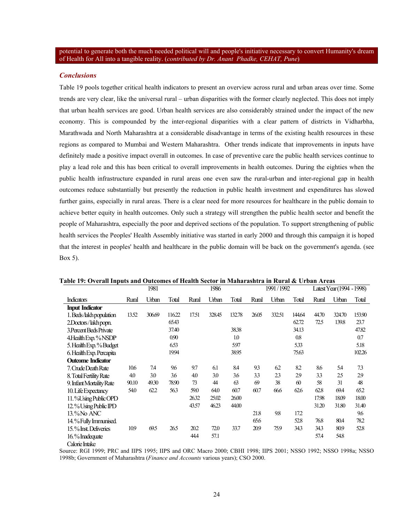potential to generate both the much needed political will and people's initiative necessary to convert Humanity's dream of Health for All into a tangible reality. (*contributed by Dr. Anant Phadke, CEHAT, Pune*)

### *Conclusions*

Calorie Intake

Table 19 pools together critical health indicators to present an overview across rural and urban areas over time. Some trends are very clear, like the universal rural – urban disparities with the former clearly neglected. This does not imply that urban health services are good. Urban health services are also considerably strained under the impact of the new economy. This is compounded by the inter-regional disparities with a clear pattern of districts in Vidharbha, Marathwada and North Maharashtra at a considerable disadvantage in terms of the existing health resources in these regions as compared to Mumbai and Western Maharashtra. Other trends indicate that improvements in inputs have definitely made a positive impact overall in outcomes. In case of preventive care the public health services continue to play a lead role and this has been critical to overall improvements in health outcomes. During the eighties when the public health infrastructure expanded in rural areas one even saw the rural-urban and inter-regional gap in health outcomes reduce substantially but presently the reduction in public health investment and expenditures has slowed further gains, especially in rural areas. There is a clear need for more resources for healthcare in the public domain to achieve better equity in health outcomes. Only such a strategy will strengthen the public health sector and benefit the people of Maharashtra, especially the poor and deprived sections of the population. To support strengthening of public health services the Peoples' Health Assembly initiative was started in early 2000 and through this campaign it is hoped that the interest in peoples' health and healthcare in the public domain will be back on the government's agenda. (see Box 5).

|                          |       | 1981   |       |       | 1986   |        |       | 1991/1992 |        |       | Latest Year (1994 - 1998) |        |
|--------------------------|-------|--------|-------|-------|--------|--------|-------|-----------|--------|-------|---------------------------|--------|
| <b>Indicators</b>        | Rural | Urban  | Total | Rural | Urban  | Total  | Rural | Urban     | Total  | Rural | Urban                     | Total  |
| <b>Input Indicator</b>   |       |        |       |       |        |        |       |           |        |       |                           |        |
| 1. Beds/lakh population  | 13.52 | 306.69 | 11622 | 17.51 | 328.45 | 132.78 | 26.05 | 332.51    | 144.64 | 44.70 | 324.70                    | 153.90 |
| 2.Doctors/lakhpopn.      |       |        | 65.43 |       |        |        |       |           | 62.72  | 72.5  | 139.8                     | 23.7   |
| 3. Percent Beds Private  |       |        | 37.40 |       |        | 38.38  |       |           | 34.13  |       |                           | 47.82  |
| 4. Health Exp. % NSDP    |       |        | 0.90  |       |        | 1.0    |       |           | 0.8    |       |                           | 0.7    |
| 5. Health Exp. % Budget  |       |        | 653   |       |        | 597    |       |           | 533    |       |                           | 5.18   |
| 6. Health Exp. Percapita |       |        | 1994  |       |        | 38.95  |       |           | 75.63  |       |                           | 10226  |
| <b>Outcome Indicator</b> |       |        |       |       |        |        |       |           |        |       |                           |        |
| 7. Crude Death Rate      | 10.6  | 74     | 96    | 9.7   | 6.1    | 8.4    | 93    | 62        | 82     | 8.6   | 5.4                       | 73     |
| 8. Total Fertility Rate  | 4.0   | 3.0    | 3.6   | 4.0   | 3.0    | 3.6    | 33    | 23        | 29     | 33    | 2.5                       | 29     |
| 9. Infant Mortality Rate | 90.10 | 49.30  | 78.90 | 73    | 44     | 63     | 69    | 38        | 60     | 58    | 31                        | 48     |
| 10. Life Expectancy      | 54.0  | 62.2   | 563   | 59.0  | 64.0   | 60.7   | 60.7  | 66.6      | 62.6   | 62.8  | 69.4                      | 652    |
| 11. % Using Public OPD   |       |        |       | 2632  | 25.02  | 26.00  |       |           |        | 17.98 | 18.09                     | 18.00  |
| 12.% Using Public IPD    |       |        |       | 43.57 | 46.23  | 44.00  |       |           |        | 31.20 | 31.80                     | 31.40  |
| 13.% No ANC              |       |        |       |       |        |        | 21.8  | 98        | 172    |       |                           | 9.6    |
| 14.% Fully Immunised.    |       |        |       |       |        |        | 65.6  |           | 52.8   | 76.8  | 80.4                      | 78.2   |
| 15.% Inst. Deliveries    | 10.9  | 69.5   | 26.5  | 20.2  | 72.0   | 33.7   | 20.9  | 75.9      | 343    | 343   | 80.9                      | 52.8   |
| 16.% Inadequate          |       |        |       | 44.4  | 57.1   |        |       |           |        | 57.4  | 54.8                      |        |

**Table 19: Overall Inputs and Outcomes of Health Sector in Maharashtra in Rural & Urban Areas** 

Source: RGI 1999; PRC and IIPS 1995; IIPS and ORC Macro 2000; CBHI 1998; IIPS 2001; NSSO 1992; NSSO 1998a; NSSO 1998b; Government of Maharashtra (*Finance and Accounts* various years); CSO 2000.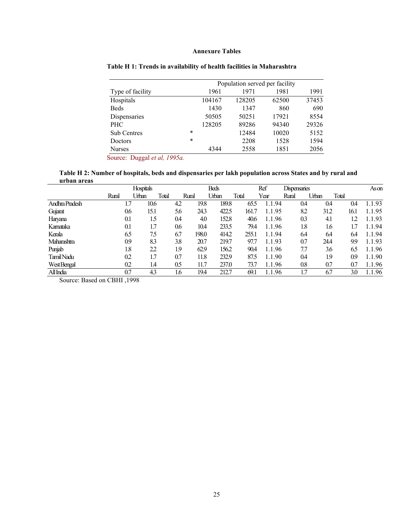### **Annexure Tables**

|                    | Population served per facility |        |        |       |       |  |  |  |  |
|--------------------|--------------------------------|--------|--------|-------|-------|--|--|--|--|
| Type of facility   |                                | 1961   | 1971   | 1981  | 1991  |  |  |  |  |
| Hospitals          |                                | 104167 | 128205 | 62500 | 37453 |  |  |  |  |
| <b>Beds</b>        |                                | 1430   | 1347   | 860   | 690   |  |  |  |  |
| Dispensaries       |                                | 50505  | 50251  | 17921 | 8554  |  |  |  |  |
| <b>PHC</b>         |                                | 128205 | 89286  | 94340 | 29326 |  |  |  |  |
| <b>Sub Centres</b> | $\ast$                         |        | 12484  | 10020 | 5152  |  |  |  |  |
| Doctors            | $\ast$                         |        | 2208   | 1528  | 1594  |  |  |  |  |
| <b>Nurses</b>      |                                | 4344   | 2558   | 1851  | 2056  |  |  |  |  |

### **Table H 1: Trends in availability of health facilities in Maharashtra**

Source: Duggal *et al, 1995a.*

**Table H 2: Number of hospitals, beds and dispensaries per lakh population across States and by rural and urban areas** 

|                | <b>Hospitals</b> |       |       |       |       | <b>Beds</b> |       |      | Ref<br><b>Dispensaries</b> |       |     |       |       | Ason |        |
|----------------|------------------|-------|-------|-------|-------|-------------|-------|------|----------------------------|-------|-----|-------|-------|------|--------|
|                | Rural            | Urban | Total | Rural |       | Urban       | Total | Year |                            | Rural |     | Urban | Total |      |        |
| Andhra Pradesh | 1.7              | 10.6  |       | 42    | 19.8  | 189.8       | 65.5  |      | 1.1.94                     |       | 0.4 | 0.4   |       | 0.4  | 1.1.93 |
| Gujarat        | 0.6              | 15.1  |       | 5.6   | 24.3  | 422.5       | 161.7 |      | 1.1.95                     |       | 8.2 | 31.2  | 16.1  |      | 1.1.95 |
| Haryana        | 0.1              | 1.5   |       | 0.4   | 4.0   | 152.8       | 40.6  |      | 1.1.96                     |       | 0.3 | 4.1   |       | 12   | 1.1.93 |
| Kamataka       | 0.1              | 1.7   |       | 0.6   | 10.4  | 233.5       | 79.4  |      | 1.1.96                     |       | 1.8 | 1.6   |       | 1.7  | 1.1.94 |
| Kerala         | 6.5              | 7.5   |       | 6.7   | 198.0 | 414.2       | 255.1 |      | 1.1.94                     |       | 6.4 | 6.4   |       | 6.4  | 1.1.94 |
| Maharashtra    | 0.9              | 83    |       | 3.8   | 20.7  | 219.7       | 97.7  |      | 1.1.93                     |       | 0.7 | 24.4  |       | 99   | 1.1.93 |
| Punjab         | 1.8              | 22    |       | 1.9   | 62.9  | 156.2       | 90.4  |      | 1.1.96                     |       | 7.7 | 3.6   | 6.5   |      | 1.1.96 |
| Tamil Nadu     | 0.2              | 1.7   |       | 0.7   | 11.8  | 232.9       | 87.5  |      | 1.1.90                     |       | 0.4 | 1.9   | 0.9   |      | 1.1.90 |
| West Bengal    | 0.2              | 1.4   |       | 0.5   | 11.7  | 237.0       | 73.7  |      | 1.1.96                     |       | 0.8 | 0.7   | 0.7   |      | 1.1.96 |
| All India      | 0.7              | 43    |       | 1.6   | 19.4  | 212.7       | 69.1  |      | .96<br>$1.1\,$             |       | 1.7 | 6.7   |       | 3.0  | 1.1.96 |

Source: Based on CBHI ,1998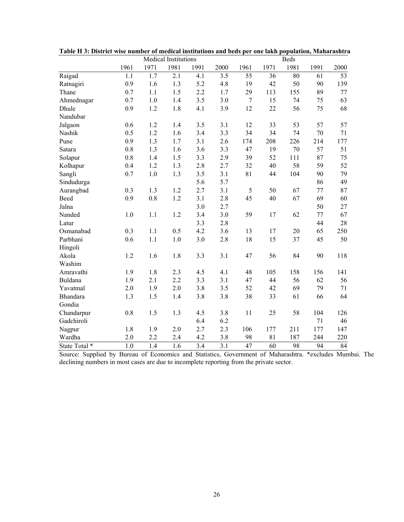|               | <b>Medical Institutions</b><br><b>Beds</b> |                  |      |                  |      |                |      |      |      |      |
|---------------|--------------------------------------------|------------------|------|------------------|------|----------------|------|------|------|------|
|               | 1961                                       | 1971             | 1981 | 1991             | 2000 | 1961           | 1971 | 1981 | 1991 | 2000 |
| Raigad        | 1.1                                        | 1.7              | 2.1  | 4.1              | 3.5  | 55             | 36   | 80   | 61   | 53   |
| Ratnagiri     | 0.9                                        | 1.6              | 1.3  | 5.2              | 4.8  | 19             | 42   | 50   | 90   | 139  |
| Thane         | 0.7                                        | 1.1              | 1.5  | 2.2              | 1.7  | 29             | 113  | 155  | 89   | 77   |
| Ahmednagar    | 0.7                                        | 1.0              | 1.4  | 3.5              | 3.0  | $\overline{7}$ | 15   | 74   | 75   | 63   |
| Dhule         | 0.9                                        | 1.2              | 1.8  | 4.1              | 3.9  | 12             | 22   | 56   | 75   | 68   |
| Nandubar      |                                            |                  |      |                  |      |                |      |      |      |      |
| Jalgaon       | 0.6                                        | 1.2              | 1.4  | 3.5              | 3.1  | 12             | 33   | 53   | 57   | 57   |
| Nashik        | 0.5                                        | 1.2              | 1.6  | 3.4              | 3.3  | 34             | 34   | 74   | 70   | 71   |
| Pune          | 0.9                                        | 1.3              | 1.7  | 3.1              | 2.6  | 174            | 208  | 226  | 214  | 177  |
| Satara        | 0.8                                        | 1.3              | 1.6  | 3.6              | 3.3  | 47             | 19   | 70   | 57   | 51   |
| Solapur       | 0.8                                        | 1.4              | 1.5  | 3.3              | 2.9  | 39             | 52   | 111  | 87   | 75   |
| Kolhapur      | 0.4                                        | 1.2              | 1.3  | 2.8              | 2.7  | 32             | 40   | 58   | 59   | 52   |
| Sangli        | 0.7                                        | $1.0\,$          | 1.3  | 3.5              | 3.1  | 81             | 44   | 104  | 90   | 79   |
| Sindudurga    |                                            |                  |      | 5.6              | 5.7  |                |      |      | 86   | 49   |
| Aurangbad     | 0.3                                        | 1.3              | 1.2  | 2.7              | 3.1  | 5              | 50   | 67   | 77   | 87   |
| Beed          | 0.9                                        | $0.8\,$          | 1.2  | 3.1              | 2.8  | 45             | 40   | 67   | 69   | 60   |
| Jalna         |                                            |                  |      | 3.0              | 2.7  |                |      |      | 50   | 27   |
| Nanded        | 1.0                                        | 1.1              | 1.2  | 3.4              | 3.0  | 59             | 17   | 62   | 77   | 67   |
| Latur         |                                            |                  |      | 3.3              | 2.8  |                |      |      | 44   | 28   |
| Osmanabad     | 0.3                                        | 1.1              | 0.5  | 4.2              | 3.6  | 13             | 17   | 20   | 65   | 250  |
| Parbhani      | 0.6                                        | 1.1              | 1.0  | 3.0              | 2.8  | 18             | 15   | 37   | 45   | 50   |
| Hingoli       |                                            |                  |      |                  |      |                |      |      |      |      |
| Akola         | 1.2                                        | 1.6              | 1.8  | 3.3              | 3.1  | 47             | 56   | 84   | 90   | 118  |
| Washim        |                                            |                  |      |                  |      |                |      |      |      |      |
| Amravathi     | 1.9                                        | 1.8              | 2.3  | 4.5              | 4.1  | 48             | 105  | 158  | 156  | 141  |
| Buldana       | 1.9                                        | 2.1              | 2.2  | 3.3              | 3.1  | 47             | 44   | 56   | 62   | 56   |
| Yavatmal      | 2.0                                        | 1.9              | 2.0  | 3.8              | 3.5  | 52             | 42   | 69   | 79   | 71   |
| Bhandara      | 1.3                                        | 1.5              | 1.4  | 3.8              | 3.8  | 38             | 33   | 61   | 66   | 64   |
| Gondia        |                                            |                  |      |                  |      |                |      |      |      |      |
| Chandarpur    | 0.8                                        | 1.5              | 1.3  | 4.5              | 3.8  | 11             | 25   | 58   | 104  | 126  |
| Gadchiroli    |                                            |                  |      | 6.4              | 6.2  |                |      |      | 71   | 46   |
| Nagpur        | 1.8                                        | 1.9              | 2.0  | 2.7              | 2.3  | 106            | 177  | 211  | 177  | 147  |
| Wardha        | 2.0                                        | 2.2              | 2.4  | 4.2              | 3.8  | 98             | 81   | 187  | 244  | 220  |
| State Total * | 1.0                                        | $\overline{1.4}$ | 1.6  | $\overline{3.4}$ | 3.1  | 47             | 60   | 98   | 94   | 84   |

**Table H 3: District wise number of medical institutions and beds per one lakh population, Maharashtra** 

Source: Supplied by Bureau of Economics and Statistics, Government of Maharashtra. \*excludes Mumbai. The declining numbers in most cases are due to incomplete reporting from the private sector.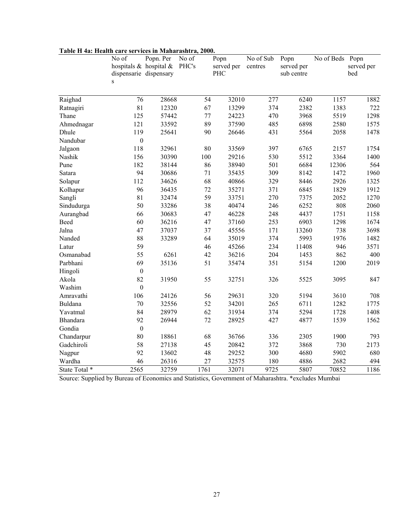| I ADIÇ II 4a. IIÇANIN ÇAFÇ SÇI VIÇÇS IN IVIANAI ASINI A, 2000. | No of<br>hospitals $\&$ hospital $\&$<br>dispensarie dispensary<br>S | Popn. Per | No of<br>PHC's |     | Popn<br>served per<br>PHC | No of Sub<br>centres |     | Popn<br>served per<br>sub centre | No of Beds Popn | served per<br>bed |
|----------------------------------------------------------------|----------------------------------------------------------------------|-----------|----------------|-----|---------------------------|----------------------|-----|----------------------------------|-----------------|-------------------|
| Raighad                                                        | $\overline{76}$                                                      | 28668     |                | 54  | 32010                     | 277                  |     | 6240                             | 1157            | 1882              |
| Ratnagiri                                                      | 81                                                                   | 12320     |                | 67  | 13299                     | 374                  |     | 2382                             | 1383            | 722               |
| Thane                                                          | 125                                                                  | 57442     |                | 77  | 24223                     | 470                  |     | 3968                             | 5519            | 1298              |
| Ahmednagar                                                     | 121                                                                  | 33592     |                | 89  | 37590                     | 485                  |     | 6898                             | 2580            | 1575              |
| Dhule                                                          | 119                                                                  | 25641     |                | 90  | 26646                     | 431                  |     | 5564                             | 2058            | 1478              |
| Nandubar                                                       | $\boldsymbol{0}$                                                     |           |                |     |                           |                      |     |                                  |                 |                   |
| Jalgaon                                                        | 118                                                                  | 32961     |                | 80  | 33569                     | 397                  |     | 6765                             | 2157            | 1754              |
| Nashik                                                         | 156                                                                  | 30390     |                | 100 | 29216                     | 530                  |     | 5512                             | 3364            | 1400              |
| Pune                                                           | 182                                                                  | 38144     |                | 86  | 38940                     | 501                  |     | 6684                             | 12306           | 564               |
| Satara                                                         | 94                                                                   | 30686     |                | 71  | 35435                     | 309                  |     | 8142                             | 1472            | 1960              |
| Solapur                                                        | 112                                                                  | 34626     |                | 68  | 40866                     | 329                  |     | 8446                             | 2926            | 1325              |
| Kolhapur                                                       | 96                                                                   | 36435     |                | 72  | 35271                     | 371                  |     | 6845                             | 1829            | 1912              |
| Sangli                                                         | 81                                                                   | 32474     |                | 59  | 33751                     | 270                  |     | 7375                             | 2052            | 1270              |
| Sindudurga                                                     | 50                                                                   | 33286     |                | 38  | 40474                     | 246                  |     | 6252                             | 808             | 2060              |
| Aurangbad                                                      | 66                                                                   | 30683     |                | 47  | 46228                     | 248                  |     | 4437                             | 1751            | 1158              |
| Beed                                                           | 60                                                                   | 36216     |                | 47  | 37160                     | 253                  |     | 6903                             | 1298            | 1674              |
| Jalna                                                          | 47                                                                   | 37037     |                | 37  | 45556                     | 171                  |     | 13260                            | 738             | 3698              |
| Nanded                                                         | 88                                                                   | 33289     |                | 64  | 35019                     |                      | 374 | 5993                             | 1976            | 1482              |
| Latur                                                          | 59                                                                   |           |                | 46  | 45266                     |                      | 234 | 11408                            | 946             | 3571              |
| Osmanabad                                                      | 55                                                                   | 6261      |                | 42  | 36216                     | 204                  |     | 1453                             | 862             | 400               |
| Parbhani                                                       | 69                                                                   | 35136     |                | 51  | 35474                     | 351                  |     | 5154                             | 1200            | 2019              |
| Hingoli                                                        | $\boldsymbol{0}$                                                     |           |                |     |                           |                      |     |                                  |                 |                   |
| Akola                                                          | 82                                                                   | 31950     |                | 55  | 32751                     | 326                  |     | 5525                             | 3095            | 847               |
| Washim                                                         | $\boldsymbol{0}$                                                     |           |                |     |                           |                      |     |                                  |                 |                   |
| Amravathi                                                      | 106                                                                  | 24126     |                | 56  | 29631                     | 320                  |     | 5194                             | 3610            | 708               |
| Buldana                                                        | 70                                                                   | 32556     |                | 52  | 34201                     | 265                  |     | 6711                             | 1282            | 1775              |
| Yavatmal                                                       | 84                                                                   | 28979     |                | 62  | 31934                     | 374                  |     | 5294                             | 1728            | 1408              |
| <b>Bhandara</b>                                                | 92                                                                   | 26944     |                | 72  | 28925                     | 427                  |     | 4877                             | 1539            | 1562              |
| Gondia                                                         | $\boldsymbol{0}$                                                     |           |                |     |                           |                      |     |                                  |                 |                   |
| Chandarpur                                                     | 80                                                                   | 18861     |                | 68  | 36766                     | 336                  |     | 2305                             | 1900            | 793               |
| Gadchiroli                                                     | 58                                                                   | 27138     |                | 45  | 20842                     | 372                  |     | 3868                             | 730             | 2173              |
| Nagpur                                                         | 92                                                                   | 13602     |                | 48  | 29252                     | 300                  |     | 4680                             | 5902            | 680               |
| Wardha                                                         | 46                                                                   | 26316     |                | 27  | 32575                     |                      | 180 | 4886                             | 2682            | 494               |
| State Total *                                                  | 2565                                                                 | 32759     | 1761           |     | 32071                     | 9725                 |     | 5807                             | 70852           | 1186              |

# **Table H 4a: Health care services in Maharashtra, 2000.**

Source: Supplied by Bureau of Economics and Statistics, Government of Maharashtra. \*excludes Mumbai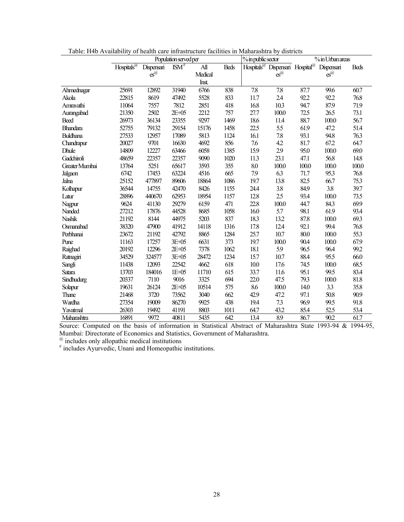|                 | Population served per  |                               |            |                 | % in public sector |      | % in Urban areas                                        |       |                  |             |
|-----------------|------------------------|-------------------------------|------------|-----------------|--------------------|------|---------------------------------------------------------|-------|------------------|-------------|
|                 | Hospitals <sup>@</sup> | Dispensari                    | $ISM^{\#}$ | $\mathbf{A}$ ll | <b>Beds</b>        |      | Hospitals <sup>@</sup> Dispensari Hospital <sup>@</sup> |       | Dispensari       | <b>Beds</b> |
|                 |                        | $\mathbf{\tilde{e}}^{\alpha}$ |            | Medical         |                    |      | $es^{\omega}$                                           |       | $es^{\omega}$    |             |
|                 |                        |                               |            | Inst.           |                    |      |                                                         |       |                  |             |
| Ahmednagar      | 25691                  | 12892                         | 31940      | 6766            | 838                | 7.8  | 7.8                                                     | 87.7  | 99.6             | 60.7        |
| Akola           | 22815                  | 8619                          | 47492      | 5528            | 833                | 11.7 | 2.4                                                     | 92.2  | 92.2             | 76.8        |
| Amravathi       | 11064                  | 7557                          | 7812       | 2851            | 418                | 16.8 | 10.3                                                    | 94.7  | 87.9             | 71.9        |
| Aurangabad      | 21350                  | 2502                          | $2E+05$    | 2212            | 757                | 27.7 | 100.0                                                   | 72.5  | 26.5             | 73.1        |
| Beed            | 26973                  | 36134                         | 23355      | 9297            | 1469               | 18.6 | 11.4                                                    | 88.7  | 100.0            | 56.7        |
| <b>Bhandara</b> | 52755                  | 79132                         | 29154      | 15176           | 1458               | 22.5 | 5.5                                                     | 61.9  | 47.2             | 51.4        |
| <b>Buldhana</b> | 27533                  | 12957                         | 17089      | 5813            | 1124               | 16.1 | 7.8                                                     | 93.1  | 94.8             | 76.3        |
| Chandrapur      | 20027                  | 9701                          | 16630      | 4692            | 856                | 7.6  | 42                                                      | 81.7  | 67.2             | 64.7        |
| Dhule           | 14809                  | 12227                         | 63466      | 6058            | 1385               | 15.9 | 29                                                      | 95.0  | 100.0            | 69.0        |
| Gadchiroli      | 48659                  | 22357                         | 22357      | 9090            | 1020               | 11.3 | 23.1                                                    | 47.1  | 56.8             | 14.8        |
| Greater Mumbai  | 13764                  | 5251                          | 65617      | 3593            | 355                | 8.0  | 100.0                                                   | 100.0 | 100.0            | 100.0       |
| Jalgaon         | 6742                   | 17453                         | 63224      | 4516            | 665                | 7.9  | 6.3                                                     | 71.7  | 95.3             | 76.8        |
| Jalna           | 25152                  | 477897                        | 89606      | 18864           | 1086               | 19.7 | 13.8                                                    | 82.5  | 66.7             | 75.3        |
| Kolhapur        | 36544                  | 14755                         | 42470      | 8426            | 1155               | 24.4 | 3.8                                                     | 84.9  | 3.8              | 39.7        |
| Latur           | 28896                  | 440670                        | 62953      | 18954           | 1157               | 12.8 | 2.5                                                     | 93.4  | 100.0            | 73.5        |
| Nagpur          | 9624                   | 41130                         | 29279      | 6159            | 471                | 22.8 | 100.0                                                   | 44.7  | 84.3             | 699         |
| Nanded          | 27212                  | 17876                         | 44528      | 8685            | 1058               | 16.0 | 5.7                                                     | 98.1  | 61.9             | 93.4        |
| Nashik          | 21192                  | 8144                          | 44975      | 5203            | 837                | 18.3 | 13.2                                                    | 87.8  | 100.0            | 69.3        |
| Osmanabad       | 38320                  | 47900                         | 41912      | 14118           | 1316               | 17.8 | 12.4                                                    | 92.1  | 99.4             | 76.8        |
| Perbhanai       | 23672                  | 21192                         | 42792      | 8865            | 1284               | 25.7 | 10.7                                                    | 80.0  | 100.0            | 55.3        |
| Pune            | 11163                  | 17257                         | 3E+05      | 6631            | 373                | 19.7 | 100.0                                                   | 90.4  | 100.0            | 67.9        |
| Raighad         | 20192                  | 12296                         | $2E+05$    | 7378            | 1062               | 18.1 | 5.9                                                     | 96.5  | 96.4             | 99.2        |
| Ratnagiri       | 34529                  | 324577                        | 3E+05      | 28472           | 1234               | 15.7 | 10.7                                                    | 88.4  | 95.5             | 66.0        |
| Sangli          | 11438                  | 12093                         | 22542      | 4662            | 618                | 10.0 | 17.6                                                    | 74.5  | 100.0            | 68.5        |
| Satara          | 13703                  | 184016                        | $1E+05$    | 11710           | 615                | 33.7 | 11.6                                                    | 95.1  | 99.5             | 83.4        |
| Sindhudurg      | 20337                  | 7110                          | 9016       | 3325            | 694                | 22.0 | 47.5                                                    | 79.3  | 100.0            | 81.8        |
| Solapur         | 19631                  | 26124                         | $2E+05$    | 10514           | 575                | 8.6  | 100.0                                                   | 14.0  | 3.3              | 35.8        |
| Thane           | 21468                  | 3720                          | 73562      | 3040            | 662                | 42.9 | 47.2                                                    | 97.1  | 50.8             | 90.9        |
| Wardha          | 27354                  | 19009                         | 86270      | 9925            | 438                | 19.4 | 73                                                      | 96.9  | 99.5             | 91.8        |
| Yavatmal        | 26303                  | 19492                         | 41191      | 8803            | 1011               | 64.7 | 43.2                                                    | 85.4  | 52.5             | 53.4        |
| Maharashtra     | 16891                  | 9972                          | 40811      | 5435            | 642                | 13.4 | 89                                                      | 86.7  | $\overline{902}$ | 61.7        |

Source: Computed on the basis of information in Statistical Abstract of Maharashtra State 1993-94 & 1994-95, Mumbai: Directorate of Economics and Statistics, Government of Maharashtra.

 $^{\textcircled{a}}$  includes only allopathic medical institutions<br>  $^{\textcircled{a}}$  includes Ayurvedic, Unani and Homeopathic institutions.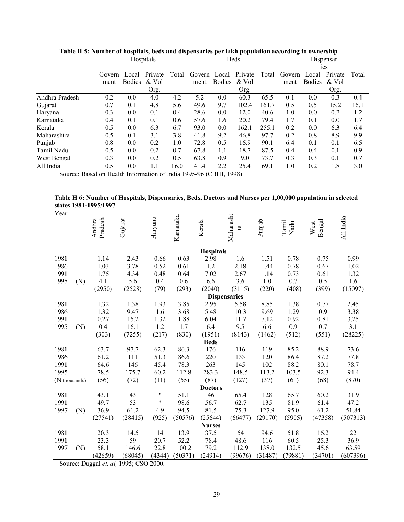| raoic in or runnoch of hospitals, ocus anu uispensaries per iaiur population accoruing to ownership |        |               | Hospitals |       |              |               | <b>Beds</b> |       |                |        | Dispensar |       |
|-----------------------------------------------------------------------------------------------------|--------|---------------|-----------|-------|--------------|---------------|-------------|-------|----------------|--------|-----------|-------|
|                                                                                                     |        |               |           |       |              |               |             |       | <sub>1es</sub> |        |           |       |
|                                                                                                     | Govern | Local         | Private   | Total | Govern Local |               | Private     | Total | Govern Local   |        | Private   | Total |
|                                                                                                     | ment   | <b>Bodies</b> | & Vol     |       | ment         | <b>Bodies</b> | & Vol       |       | ment           | Bodies | & Vol     |       |
|                                                                                                     |        |               | Org.      |       |              |               | Org.        |       |                |        | Org.      |       |
| Andhra Pradesh                                                                                      | 0.2    | 0.0           | 4.0       | 4.2   | 5.2          | 0.0           | 60.3        | 65.5  | 0.1            | 0.0    | 0.3       | 0.4   |
| Gujarat                                                                                             | 0.7    | 0.1           | 4.8       | 5.6   | 49.6         | 9.7           | 102.4       | 161.7 | 0.5            | 0.5    | 15.2      | 16.1  |
| Haryana                                                                                             | 0.3    | 0.0           | 0.1       | 0.4   | 28.6         | 0.0           | 12.0        | 40.6  | 1.0            | 0.0    | 0.2       | 1.2   |
| Karnataka                                                                                           | 0.4    | 0.1           | 0.1       | 0.6   | 57.6         | 1.6           | 20.2        | 79.4  | 1.7            | 0.1    | 0.0       | 1.7   |
| Kerala                                                                                              | 0.5    | 0.0           | 6.3       | 6.7   | 93.0         | 0.0           | 162.1       | 255.1 | 0.2            | 0.0    | 6.3       | 6.4   |
| Maharashtra                                                                                         | 0.5    | 0.1           | 3.1       | 3.8   | 41.8         | 9.2           | 46.8        | 97.7  | 0.2            | 0.8    | 8.9       | 9.9   |
| Punjab                                                                                              | 0.8    | 0.0           | 0.2       | 1.0   | 72.8         | 0.5           | 16.9        | 90.1  | 6.4            | 0.1    | 0.1       | 6.5   |
| Tamil Nadu                                                                                          | 0.5    | 0.0           | 0.2       | 0.7   | 67.8         | 1.1           | 18.7        | 87.5  | 0.4            | 0.4    | 0.1       | 0.9   |
| West Bengal                                                                                         | 0.3    | 0.0           | 0.2       | 0.5   | 63.8         | 0.9           | 9.0         | 73.7  | 0.3            | 0.3    | 0.1       | 0.7   |
| All India                                                                                           | 0.5    | 0.0           | 1.1       | 16.0  | 41.4         | 2.2           | 25.4        | 69.1  | 1.0            | 0.2    | 1.8       | 3.0   |

**Table H 5: Number of hospitals, beds and dispensaries per lakh population according to ownership** 

Source: Based on Health Information of India 1995-96 (CBHI, 1998)

### **Table H 6: Number of Hospitals, Dispensaries, Beds, Doctors and Nurses per 1,00,000 population in selected states 1981-1995/1997**

| Year          |     | Pradesh<br>Andhra | Gujarat | Haryana | Karnataka | Kerala           | Maharasht<br>ra     | Punjab  | Tamil<br>Nadu | Bengal<br>West | All India |
|---------------|-----|-------------------|---------|---------|-----------|------------------|---------------------|---------|---------------|----------------|-----------|
|               |     |                   |         |         |           | <b>Hospitals</b> |                     |         |               |                |           |
| 1981          |     | 1.14              | 2.43    | 0.66    | 0.63      | 2.98             | 1.6                 | 1.51    | 0.78          | 0.75           | 0.99      |
| 1986          |     | 1.03              | 3.78    | 0.52    | 0.61      | 1.2              | 2.18                | 1.44    | 0.78          | 0.67           | 1.02      |
| 1991          |     | 1.75              | 4.34    | 0.48    | 0.64      | 7.02             | 2.67                | 1.14    | 0.73          | 0.61           | 1.32      |
| 1995          | (N) | 4.1               | 5.6     | 0.4     | 0.6       | 6.6              | 3.6                 | 1.0     | 0.7           | 0.5            | 1.6       |
|               |     | (2950)            | (2528)  | (79)    | (293)     | (2040)           | (3115)              | (220)   | (408)         | (399)          | (15097)   |
|               |     |                   |         |         |           |                  | <b>Dispensaries</b> |         |               |                |           |
| 1981          |     | 1.32              | 1.38    | 1.93    | 3.85      | 2.95             | 5.58                | 8.85    | 1.38          | 0.77           | 2.45      |
| 1986          |     | 1.32              | 9.47    | 1.6     | 3.68      | 5.48             | 10.3                | 9.69    | 1.29          | 0.9            | 3.38      |
| 1991          |     | 0.27              | 15.2    | 1.32    | 1.88      | 6.04             | 11.7                | 7.12    | 0.92          | 0.81           | 3.25      |
| 1995          | (N) | 0.4               | 16.1    | 1.2     | 1.7       | 6.4              | 9.5                 | 6.6     | 0.9           | 0.7            | 3.1       |
|               |     | (303)             | (7255)  | (217)   | (830)     | (1951)           | (8143)              | (1462)  | (512)         | (551)          | (28225)   |
|               |     |                   |         |         |           | <b>Beds</b>      |                     |         |               |                |           |
| 1981          |     | 63.7              | 97.7    | 62.3    | 86.3      | 176              | 116                 | 119     | 85.2          | 88.9           | 73.6      |
| 1986          |     | 61.2              | 111     | 51.3    | 86.6      | 220              | 133                 | 120     | 86.4          | 87.2           | 77.8      |
| 1991          |     | 64.6              | 146     | 45.4    | 78.3      | 263              | 145                 | 102     | 88.2          | 80.1           | 78.7      |
| 1995          |     | 78.5              | 175.7   | 60.2    | 112.8     | 283.3            | 148.5               | 113.2   | 103.5         | 92.3           | 94.4      |
| (N thousands) |     | (56)              | (72)    | (11)    | (55)      | (87)             | (127)               | (37)    | (61)          | (68)           | (870)     |
|               |     |                   |         |         |           | <b>Doctors</b>   |                     |         |               |                |           |
| 1981          |     | 43.1              | 43      | $\ast$  | 51.1      | 46               | 65.4                | 128     | 65.7          | 60.2           | 31.9      |
| 1991          |     | 49.7              | 53      | $\ast$  | 98.6      | 56.7             | 62.7                | 135     | 81.9          | 61.4           | 47.2      |
| 1997          | (N) | 36.9              | 61.2    | 4.9     | 94.5      | 81.5             | 75.3                | 127.9   | 95.0          | 61.2           | 51.84     |
|               |     | (27541)           | (28415) | (925)   | (50576)   | (25644)          | (66477)             | (29170) | (5905)        | (47358)        | (507313)  |
|               |     |                   |         |         |           | <b>Nurses</b>    |                     |         |               |                |           |
| 1981          |     | 20.3              | 14.5    | 14      | 13.9      | 37.5             | 54                  | 94.6    | 51.8          | 16.2           | 22        |
| 1991          |     | 23.3              | 59      | 20.7    | 52.2      | 78.4             | 48.6                | 116     | 60.5          | 25.3           | 36.9      |
| 1997          | (N) | 58.1              | 146.6   | 22.8    | 100.2     | 79.2             | 112.9               | 138.0   | 132.5         | 45.6           | 63.59     |
|               |     | (42659)           | (68045) | (4344)  | (50371)   | (24914)          | (99676)             | (31487) | (79881)       | (34701)        | (607396)  |

Source: Duggal *et. al,* 1995; CSO 2000.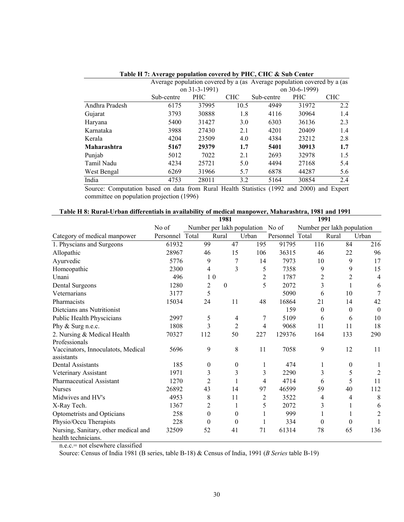|                | Average population covered by a (as Average population covered by a (as |               |            |            |               |            |
|----------------|-------------------------------------------------------------------------|---------------|------------|------------|---------------|------------|
|                |                                                                         | on 31-3-1991) |            |            | on 30-6-1999) |            |
|                | Sub-centre                                                              | <b>PHC</b>    | <b>CHC</b> | Sub-centre | <b>PHC</b>    | <b>CHC</b> |
| Andhra Pradesh | 6175                                                                    | 37995         | 10.5       | 4949       | 31972         | 2.2        |
| Gujarat        | 3793                                                                    | 30888         | 1.8        | 4116       | 30964         | 1.4        |
| Haryana        | 5400                                                                    | 31427         | 3.0        | 6303       | 36136         | 2.3        |
| Karnataka      | 3988                                                                    | 27430         | 2.1        | 4201       | 20409         | 1.4        |
| Kerala         | 4204                                                                    | 23509         | 4.0        | 4384       | 23212         | 2.8        |
| Maharashtra    | 5167                                                                    | 29379         | 1.7        | 5401       | 30913         | 1.7        |
| Punjab         | 5012                                                                    | 7022          | 2.1        | 2693       | 32978         | 1.5        |
| Tamil Nadu     | 4234                                                                    | 25721         | 5.0        | 4494       | 27168         | 5.4        |
| West Bengal    | 6269                                                                    | 31966         | 5.7        | 6878       | 44287         | 5.6        |
| India          | 4753                                                                    | 28011         | 3.2        | 5164       | 30854         | 2.4        |

**Table H 7: Average population covered by PHC, CHC & Sub Center** 

Source: Computation based on data from Rural Health Statistics (1992 and 2000) and Expert committee on population projection (1996)

|                                      | 1981<br>1991 |                |                |                  |                                  |                 |                            |                  |                  |
|--------------------------------------|--------------|----------------|----------------|------------------|----------------------------------|-----------------|----------------------------|------------------|------------------|
|                                      | No of        |                |                |                  | Number per lakh population No of |                 | Number per lakh population |                  |                  |
| Category of medical manpower         | Personnel    | Total          | Rural          |                  | Urban                            | Personnel Total |                            | Rural            | Urban            |
| 1. Physcians and Surgeons            | 61932        | 99             |                | 47               | 195                              | 91795           | 116                        | 84               | 216              |
| Allopathic                           | 28967        | 46             |                | 15               | 106                              | 36315           | 46                         | 22               | 96               |
| Ayurvedic                            | 5776         | 9              |                | 7                | 14                               | 7973            | 10                         | 9                | 17               |
| Homeopathic                          | 2300         | 4              |                | 3                | 5                                | 7358            | 9                          | 9                | 15               |
| Unani                                | 496          |                | 1 <sub>0</sub> |                  | $\overline{2}$                   | 1787            | $\overline{c}$             | $\overline{2}$   | 4                |
| Dental Surgeons                      | 1280         | $\overline{c}$ | $\theta$       |                  | 5                                | 2072            | 3                          |                  | 6                |
| Veternarians                         | 3177         | 5              |                |                  |                                  | 5090            | 6                          | 10               | 7                |
| Pharmacists                          | 15034        | 24             |                | 11               | 48                               | 16864           | 21                         | 14               | 42               |
| Dietcians ans Nutritionist           |              |                |                |                  |                                  | 159             | $\theta$                   | $\boldsymbol{0}$ | $\boldsymbol{0}$ |
| Public Health Physcicians            | 2997         | 5              |                | 4                | 7                                | 5109            | 6                          | 6                | 10               |
| Phy & Surg n.e.c.                    | 1808         | 3              |                | $\overline{2}$   | 4                                | 9068            | 11                         | 11               | 18               |
| 2. Nursing & Medical Health          | 70327        | 112            |                | 50               | 227                              | 129376          | 164                        | 133              | 290              |
| Professionals                        |              |                |                |                  |                                  |                 |                            |                  |                  |
| Vaccinators, Innoculatots, Medical   | 5696         | 9              |                | 8                | 11                               | 7058            | 9                          | 12               | 11               |
| assistants                           |              |                |                |                  |                                  |                 |                            |                  |                  |
| <b>Dental Assistants</b>             | 185          | $\theta$       |                | $\boldsymbol{0}$ | 1                                | 474             | 1                          | $\boldsymbol{0}$ | 1                |
| Veterinary Assistant                 | 1971         | 3              |                | 3                | 3                                | 2290            | 3                          | 5                | $\overline{2}$   |
| <b>Pharmaceutical Assistant</b>      | 1270         | $\overline{2}$ |                |                  | 4                                | 4714            | 6                          | 5                | 11               |
| <b>Nurses</b>                        | 26892        | 43             |                | 14               | 97                               | 46599           | 59                         | 40               | 112              |
| Midwives and HV's                    | 4953         | 8              |                | 11               | 2                                | 3522            | 4                          | 4                | 8                |
| X-Ray Tech.                          | 1367         | 2              |                | 1                | 5                                | 2072            | 3                          | 1                | 6                |
| Optometrists and Opticians           | 258          | $\mathbf{0}$   |                | $\mathbf{0}$     | 1                                | 999             |                            |                  | 2                |
| Physio/Occu Therapists               | 228          | $\theta$       |                | $\theta$         | 1                                | 334             | $\theta$                   | $\theta$         |                  |
| Nursing, Sanitary, other medical and | 32509        | 52             |                | 41               | 71                               | 61314           | 78                         | 65               | 136              |
| health technicians.                  |              |                |                |                  |                                  |                 |                            |                  |                  |

| Table H 8: Rural-Urban differentials in availability of medical manpower, Maharashtra, 1981 and 1991 |  |  |  |
|------------------------------------------------------------------------------------------------------|--|--|--|
|                                                                                                      |  |  |  |

n.e.c.= not elsewhere classified

Source: Census of India 1981 (B series, table B-18) & Census of India, 1991 (*B Series* table B-19)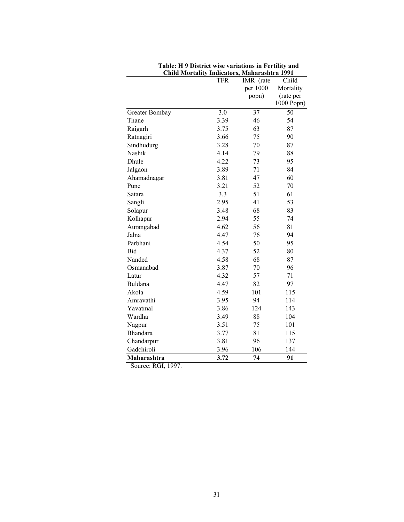|                | <b>TFR</b> | IMR (rate | Child      |
|----------------|------------|-----------|------------|
|                |            | per 1000  | Mortality  |
|                |            | popn)     | (rate per  |
|                |            |           | 1000 Popn) |
| Greater Bombay | 3.0        | 37        | 50         |
| Thane          | 3.39       | 46        | 54         |
| Raigarh        | 3.75       | 63        | 87         |
| Ratnagiri      | 3.66       | 75        | 90         |
| Sindhudurg     | 3.28       | 70        | 87         |
| Nashik         | 4.14       | 79        | 88         |
| Dhule          | 4.22       | 73        | 95         |
| Jalgaon        | 3.89       | 71        | 84         |
| Ahamadnagar    | 3.81       | 47        | 60         |
| Pune           | 3.21       | 52        | 70         |
| Satara         | 3.3        | 51        | 61         |
| Sangli         | 2.95       | 41        | 53         |
| Solapur        | 3.48       | 68        | 83         |
| Kolhapur       | 2.94       | 55        | 74         |
| Aurangabad     | 4.62       | 56        | 81         |
| Jalna          | 4.47       | 76        | 94         |
| Parbhani       | 4.54       | 50        | 95         |
| Bid            | 4.37       | 52        | 80         |
| Nanded         | 4.58       | 68        | 87         |
| Osmanabad      | 3.87       | 70        | 96         |
| Latur          | 4.32       | 57        | 71         |
| Buldana        | 4.47       | 82        | 97         |
| Akola          | 4.59       | 101       | 115        |
| Amravathi      | 3.95       | 94        | 114        |
| Yavatmal       | 3.86       | 124       | 143        |
| Wardha         | 3.49       | 88        | 104        |
| Nagpur         | 3.51       | 75        | 101        |
| Bhandara       | 3.77       | 81        | 115        |
| Chandarpur     | 3.81       | 96        | 137        |
| Gadchiroli     | 3.96       | 106       | 144        |
| Maharashtra    | 3.72       | 74        | 91         |
|                |            |           |            |

**Table: H 9 District wise variations in Fertility and Child Mortality Indicators, Maharashtra 1991**

Source: RGI, 1997.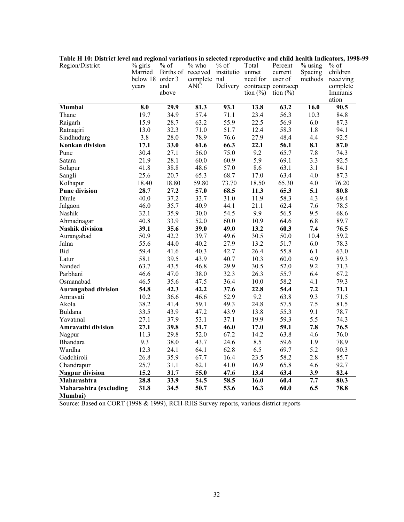| Table 11 TV. District level and regional variations in selected reproductive and child neath mulcators, 1996-<br>Region/District | $\sqrt[9]{\frac{1}{12}}$ girls | $\frac{9}{6}$ of | $%$ who                             | $\overline{\frac{9}{6}}$ of | Total        | Percent             | $\frac{9}{6}$ using | $%$ of    |
|----------------------------------------------------------------------------------------------------------------------------------|--------------------------------|------------------|-------------------------------------|-----------------------------|--------------|---------------------|---------------------|-----------|
|                                                                                                                                  | Married                        |                  | Births of received institutio unmet |                             |              | current             | Spacing             | children  |
|                                                                                                                                  | below 18 order 3               |                  | complete nal                        |                             | need for     | user of             | methods             | receiving |
|                                                                                                                                  | years                          | and              | ANĈ                                 | Delivery                    |              | contracep contracep |                     | complete  |
|                                                                                                                                  |                                | above            |                                     |                             | tion $(\% )$ | tion $(\% )$        |                     | Immunis   |
|                                                                                                                                  |                                |                  |                                     |                             |              |                     |                     | ation     |
| Mumbai                                                                                                                           | 8.0                            | 29.9             | 81.3                                | 93.1                        | 13.8         | 63.2                | 16.0                | 90.5      |
| Thane                                                                                                                            | 19.7                           | 34.9             | 57.4                                | 71.1                        | 23.4         | 56.3                | 10.3                | 84.8      |
| Raigarh                                                                                                                          | 15.9                           | 28.7             | 63.2                                | 55.9                        | 22.5         | 56.9                | 6.0                 | 87.3      |
| Ratnagiri                                                                                                                        | 13.0                           | 32.3             | 71.0                                | 51.7                        | 12.4         | 58.3                | 1.8                 | 94.1      |
| Sindhudurg                                                                                                                       | 3.8                            | 28.0             | 78.9                                | 76.6                        | 27.9         | 48.4                | 4.4                 | 92.5      |
| Konkan division                                                                                                                  | 17.1                           | 33.0             | 61.6                                | 66.3                        | 22.1         | 56.1                | 8.1                 | 87.0      |
| Pune                                                                                                                             | 30.4                           | 27.1             | 56.0                                | 75.0                        | 9.2          | 65.7                | 7.8                 | 74.3      |
| Satara                                                                                                                           | 21.9                           | 28.1             | 60.0                                | 60.9                        | 5.9          | 69.1                | 3.3                 | 92.5      |
| Solapur                                                                                                                          | 41.8                           | 38.8             | 48.6                                | 57.0                        | 8.6          | 63.1                | 3.1                 | 84.1      |
| Sangli                                                                                                                           | 25.6                           | 20.7             | 65.3                                | 68.7                        | 17.0         | 63.4                | 4.0                 | 87.3      |
| Kolhapur                                                                                                                         | 18.40                          | 18.80            | 59.80                               | 73.70                       | 18.50        | 65.30               | 4.0                 | 76.20     |
| <b>Pune division</b>                                                                                                             | 28.7                           | 27.2             | 57.0                                | 68.5                        | 11.3         | 65.3                | 5.1                 | 80.8      |
| Dhule                                                                                                                            | 40.0                           | 37.2             | 33.7                                | 31.0                        | 11.9         | 58.3                | 4.3                 | 69.4      |
| Jalgaon                                                                                                                          | 46.0                           | 35.7             | 40.9                                | 44.1                        | 21.1         | 62.4                | 7.6                 | 78.5      |
| Nashik                                                                                                                           | 32.1                           | 35.9             | 30.0                                | 54.5                        | 9.9          | 56.5                | 9.5                 | 68.6      |
| Ahmadnagar                                                                                                                       | 40.8                           | 33.9             | 52.0                                | 60.0                        | 10.9         | 64.6                | 6.8                 | 89.7      |
| <b>Nashik division</b>                                                                                                           | 39.1                           | 35.6             | 39.0                                | 49.0                        | 13.2         | 60.3                | 7.4                 | 76.5      |
| Aurangabad                                                                                                                       | 50.9                           | 42.2             | 39.7                                | 49.6                        | 30.5         | 50.0                | 10.4                | 59.2      |
| Jalna                                                                                                                            | 55.6                           | 44.0             | 40.2                                | 27.9                        | 13.2         | 51.7                | 6.0                 | 78.3      |
| Bid                                                                                                                              | 59.4                           | 41.6             | 40.3                                | 42.7                        | 26.4         | 55.8                | 6.1                 | 63.0      |
| Latur                                                                                                                            | 58.1                           | 39.5             | 43.9                                | 40.7                        | 10.3         | 60.0                | 4.9                 | 89.3      |
| Nanded                                                                                                                           | 63.7                           | 43.5             | 46.8                                | 29.9                        | 30.5         | 52.0                | 9.2                 | 71.3      |
| Parbhani                                                                                                                         | 46.6                           | 47.0             | 38.0                                | 32.3                        | 26.3         | 55.7                | 6.4                 | 67.2      |
| Osmanabad                                                                                                                        | 46.5                           | 35.6             | 47.5                                | 36.4                        | 10.0         | 58.2                | 4.1                 | 79.3      |
| <b>Aurangabad division</b>                                                                                                       | 54.8                           | 42.3             | 42.2                                | 37.6                        | 22.8         | 54.4                | 7.2                 | 71.1      |
| Amravati                                                                                                                         | 10.2                           | 36.6             | 46.6                                | 52.9                        | 9.2          | 63.8                | 9.3                 | 71.5      |
| Akola                                                                                                                            | 38.2                           | 41.4             | 59.1                                | 49.3                        | 24.8         | 57.5                | $7.5$               | 81.5      |
| Buldana                                                                                                                          | 33.5                           | 43.9             | 47.2                                | 43.9                        | 13.8         | 55.3                | 9.1                 | 78.7      |
| Yavatmal                                                                                                                         | 27.1                           | 37.9             | 53.1                                | 37.1                        | 19.9         | 59.3                | 5.5                 | 74.3      |
| Amravathi division                                                                                                               | 27.1                           | 39.8             | 51.7                                | 46.0                        | 17.0         | 59.1                | 7.8                 | 76.5      |
| Nagpur                                                                                                                           | 11.3                           | 29.8             | 52.0                                | 67.2                        | 14.2         | 63.8                | 4.6                 | 76.0      |
| Bhandara                                                                                                                         | 9.3                            | 38.0             | 43.7                                | 24.6                        | 8.5          | 59.6                | 1.9                 | 78.9      |
| Wardha                                                                                                                           | 12.3                           | 24.1             | 64.1                                | 62.8                        | 6.5          | 69.7                | 5.2                 | 90.3      |
| Gadchiroli                                                                                                                       | 26.8                           | 35.9             | 67.7                                | 16.4                        | 23.5         | 58.2                | 2.8                 | 85.7      |
| Chandrapur                                                                                                                       | 25.7                           | 31.1             | 62.1                                | 41.0                        | 16.9         | 65.8                | 4.6                 | 92.7      |
| <b>Nagpur division</b>                                                                                                           | 15.2                           | 31.7             | 55.0                                | 47.6                        | 13.4         | 63.4                | 3.9                 | 82.4      |
| Maharashtra                                                                                                                      | 28.8                           | 33.9             | 54.5                                | 58.5                        | 16.0         | 60.4                | 7.7                 | 80.3      |
| Maharashtra (excluding                                                                                                           | 31.8                           | 34.5             | 50.7                                | 53.6                        | 16.3         | 60.0                | 6.5                 | 78.8      |
| Mumbai)                                                                                                                          |                                |                  |                                     |                             |              |                     |                     |           |

**Table H 10: District level and regional variations in selected reproductive and child health Indicators, 1998-99**

Source: Based on CORT (1998 & 1999), RCH-RHS Survey reports, various district reports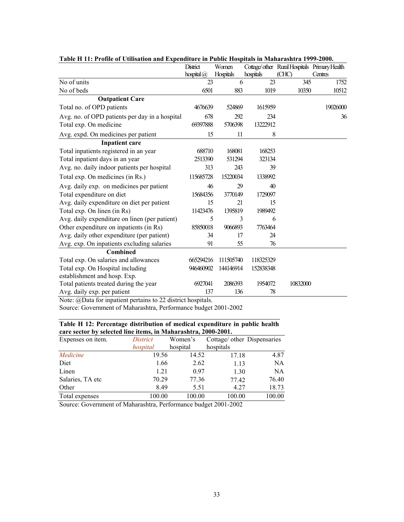| solv 11 11, 1 1 ohk of Cumsuton und En                       | chaith c m 1 aphe 1109<br>District | Women            |           | Cottage/other Rural Hospitals Primary Health |          |
|--------------------------------------------------------------|------------------------------------|------------------|-----------|----------------------------------------------|----------|
|                                                              | hospital $(a)$                     | <b>Hospitals</b> | hospitals | (CHC)                                        | Centres  |
| No of units                                                  | 23                                 | 6                | 23        | 345                                          | 1752     |
| No of beds                                                   | 6501                               | 883              | 1019      | 10350                                        | 10512    |
| <b>Outpatient Care</b>                                       |                                    |                  |           |                                              |          |
| Total no. of OPD patients                                    | 4676639                            | 524869           | 1615959   |                                              | 19026000 |
| Avg. no. of OPD patients per day in a hospital               | 678                                | 292              | 234       |                                              | 36       |
| Total exp. On medicine                                       | 69397888                           | 5706398          | 13222912  |                                              |          |
| Avg. expd. On medicines per patient                          | 15                                 | 11               | 8         |                                              |          |
| <b>Inpatient care</b>                                        |                                    |                  |           |                                              |          |
| Total inpatients registered in an year                       | 688710                             | 168081           | 168253    |                                              |          |
| Total inpatient days in an year                              | 2513390                            | 531294           | 323134    |                                              |          |
| Avg. no. daily indoor patients per hospital                  | 313                                | 243              | 39        |                                              |          |
| Total exp. On medicines (in Rs.)                             | 115685728                          | 15220034         | 1338992   |                                              |          |
| Avg. daily exp. on medicines per patient                     | 46                                 | 29               | 40        |                                              |          |
| Total expenditure on diet                                    | 15684356                           | 3770149          | 1729097   |                                              |          |
| Avg. daily expenditure on diet per patient                   | 15                                 | 21               | 15        |                                              |          |
| Total exp. On linen (in Rs)                                  | 11423476                           | 1395819          | 1989492   |                                              |          |
| Avg. daily expenditure on linen (per patient)                | 5                                  | 3                | 6         |                                              |          |
| Other expenditure on inpatients (in Rs)                      | 85850018                           | 9066893          | 7763464   |                                              |          |
| Avg. daily other expenditure (per patient)                   | 34                                 | 17               | 24        |                                              |          |
| Avg. exp. On inpatients excluding salaries                   | 91                                 | 55               | 76        |                                              |          |
| <b>Combined</b>                                              |                                    |                  |           |                                              |          |
| Total exp. On salaries and allowances                        | 665294216                          | 111505740        | 118325329 |                                              |          |
| Total exp. On Hospital including                             | 946460902                          | 144146914        | 152838348 |                                              |          |
| establishment and hosp. Exp.                                 |                                    |                  |           |                                              |          |
| Total patients treated during the year                       | 6927041                            | 2086393          | 1954072   | 10832000                                     |          |
| Avg. daily exp. per patient                                  | 137                                | 136              | 78        |                                              |          |
| Note: @Data for inpatient pertains to 22 district hospitals. |                                    |                  |           |                                              |          |

| Table H 11: Profile of Utilisation and Expenditure in Public Hospitals in Maharashtra 1999-2000. |
|--------------------------------------------------------------------------------------------------|
|--------------------------------------------------------------------------------------------------|

Source: Government of Maharashtra, Performance budget 2001-2002

| Table H 12: Percentage distribution of medical expenditure in public health |
|-----------------------------------------------------------------------------|
| care sector by selected line items, in Maharashtra, 2000-2001.              |

| Expenses on item. | District | Women's  | Cottage/ other Dispensaries |        |
|-------------------|----------|----------|-----------------------------|--------|
|                   | hospital | hospital | hospitals                   |        |
| Medicine          | 19.56    | 14.52    | 17.18                       | 4.87   |
| Diet              | 1.66     | 2.62     | 1.13                        | NA     |
| Linen             | 1.21     | 0.97     | 1.30                        | NA     |
| Salaries, TA etc  | 70.29    | 77.36    | 77.42                       | 76.40  |
| Other             | 8.49     | 5.51     | 4.27                        | 18.73  |
| Total expenses    | 100.00   | 100.00   | 100.00                      | 100.00 |

Source: Government of Maharashtra, Performance budget 2001-2002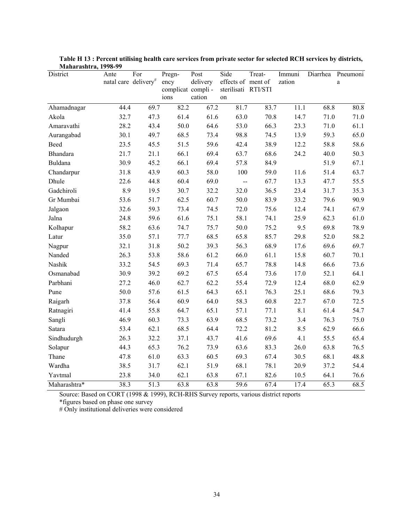| $\mathbf{1}$ lanai asiiti a, $\mathbf{1} \mathcal{I} \mathcal{I} \mathbf{0}^{-} \mathcal{I} \mathcal{I}$<br>District | Ante<br>natal care delivery# | For               | Pregn-<br>ency<br>complicat compli-<br>ions | Post<br>delivery<br>cation | Side<br>effects of ment of<br>sterilisati RTI/STI<br>on | Treat- | Immuni<br>zation | Diarrhea | Pneumoni<br>$\mathbf{a}$ |
|----------------------------------------------------------------------------------------------------------------------|------------------------------|-------------------|---------------------------------------------|----------------------------|---------------------------------------------------------|--------|------------------|----------|--------------------------|
| Ahamadnagar                                                                                                          | 44.4                         | 69.7              | 82.2                                        | 67.2                       | 81.7                                                    | 83.7   | 11.1             | 68.8     | 80.8                     |
| Akola                                                                                                                | 32.7                         | 47.3              | 61.4                                        | 61.6                       | 63.0                                                    | 70.8   | 14.7             | 71.0     | 71.0                     |
| Amaravathi                                                                                                           | 28.2                         | 43.4              | 50.0                                        | 64.6                       | 53.0                                                    | 66.3   | 23.3             | 71.0     | 61.1                     |
| Aurangabad                                                                                                           | 30.1                         | 49.7              | 68.5                                        | 73.4                       | 98.8                                                    | 74.5   | 13.9             | 59.3     | 65.0                     |
| Beed                                                                                                                 | 23.5                         | 45.5              | 51.5                                        | 59.6                       | 42.4                                                    | 38.9   | 12.2             | 58.8     | 58.6                     |
| <b>Bhandara</b>                                                                                                      | 21.7                         | 21.1              | 66.1                                        | 69.4                       | 63.7                                                    | 68.6   | 24.2             | 40.0     | 50.3                     |
| <b>Buldana</b>                                                                                                       | 30.9                         | 45.2              | 66.1                                        | 69.4                       | 57.8                                                    | 84.9   |                  | 51.9     | 67.1                     |
| Chandarpur                                                                                                           | 31.8                         | 43.9              | 60.3                                        | 58.0                       | 100                                                     | 59.0   | 11.6             | 51.4     | 63.7                     |
| Dhule                                                                                                                | 22.6                         | 44.8              | 60.4                                        | 69.0                       | $\overline{a}$                                          | 67.7   | 13.3             | 47.7     | 55.5                     |
| Gadchiroli                                                                                                           | 8.9                          | 19.5              | 30.7                                        | 32.2                       | 32.0                                                    | 36.5   | 23.4             | 31.7     | 35.3                     |
| Gr Mumbai                                                                                                            | 53.6                         | 51.7              | 62.5                                        | 60.7                       | 50.0                                                    | 83.9   | 33.2             | 79.6     | 90.9                     |
| Jalgaon                                                                                                              | 32.6                         | 59.3              | 73.4                                        | 74.5                       | 72.0                                                    | 75.6   | 12.4             | 74.1     | 67.9                     |
| Jalna                                                                                                                | 24.8                         | 59.6              | 61.6                                        | 75.1                       | 58.1                                                    | 74.1   | 25.9             | 62.3     | 61.0                     |
| Kolhapur                                                                                                             | 58.2                         | 63.6              | 74.7                                        | 75.7                       | 50.0                                                    | 75.2   | 9.5              | 69.8     | 78.9                     |
| Latur                                                                                                                | 35.0                         | 57.1              | 77.7                                        | 68.5                       | 65.8                                                    | 85.7   | 29.8             | 52.0     | 58.2                     |
| Nagpur                                                                                                               | 32.1                         | 31.8              | 50.2                                        | 39.3                       | 56.3                                                    | 68.9   | 17.6             | 69.6     | 69.7                     |
| Nanded                                                                                                               | 26.3                         | 53.8              | 58.6                                        | 61.2                       | 66.0                                                    | 61.1   | 15.8             | 60.7     | 70.1                     |
| Nashik                                                                                                               | 33.2                         | 54.5              | 69.3                                        | 71.4                       | 65.7                                                    | 78.8   | 14.8             | 66.6     | 73.6                     |
| Osmanabad                                                                                                            | 30.9                         | 39.2              | 69.2                                        | 67.5                       | 65.4                                                    | 73.6   | 17.0             | 52.1     | 64.1                     |
| Parbhani                                                                                                             | 27.2                         | 46.0              | 62.7                                        | 62.2                       | 55.4                                                    | 72.9   | 12.4             | 68.0     | 62.9                     |
| Pune                                                                                                                 | 50.0                         | 57.6              | 61.5                                        | 64.3                       | 65.1                                                    | 76.3   | 25.1             | 68.6     | 79.3                     |
| Raigarh                                                                                                              | 37.8                         | 56.4              | 60.9                                        | 64.0                       | 58.3                                                    | 60.8   | 22.7             | 67.0     | 72.5                     |
| Ratnagiri                                                                                                            | 41.4                         | 55.8              | 64.7                                        | 65.1                       | 57.1                                                    | 77.1   | 8.1              | 61.4     | 54.7                     |
| Sangli                                                                                                               | 46.9                         | 60.3              | 73.3                                        | 63.9                       | 68.5                                                    | 73.2   | 3.4              | 76.3     | 75.0                     |
| Satara                                                                                                               | 53.4                         | 62.1              | 68.5                                        | 64.4                       | 72.2                                                    | 81.2   | 8.5              | 62.9     | 66.6                     |
| Sindhudurgh                                                                                                          | 26.3                         | 32.2              | 37.1                                        | 43.7                       | 41.6                                                    | 69.6   | 4.1              | 55.5     | 65.4                     |
| Solapur                                                                                                              | 44.3                         | 65.3              | 76.2                                        | 73.9                       | 63.6                                                    | 83.3   | 26.0             | 63.8     | 76.5                     |
| Thane                                                                                                                | 47.8                         | 61.0              | 63.3                                        | 60.5                       | 69.3                                                    | 67.4   | 30.5             | 68.1     | 48.8                     |
| Wardha                                                                                                               | 38.5                         | 31.7              | 62.1                                        | 51.9                       | 68.1                                                    | 78.1   | 20.9             | 37.2     | 54.4                     |
| Yavtmal                                                                                                              | 23.8                         | 34.0              | 62.1                                        | 63.8                       | 67.1                                                    | 82.6   | 10.5             | 64.1     | 76.6                     |
| Maharashtra*                                                                                                         | 38.3                         | $\overline{51.3}$ | 63.8                                        | 63.8                       | $\overline{59.6}$                                       | 67.4   | 17.4             | 65.3     | 68.5                     |

**Table H 13 : Percent utilising health care services from private sector for selected RCH services by districts, Maharashtra, 1998-99** 

Source: Based on CORT (1998 & 1999), RCH-RHS Survey reports, various district reports

\*figures based on phase one survey

# Only institutional deliveries were considered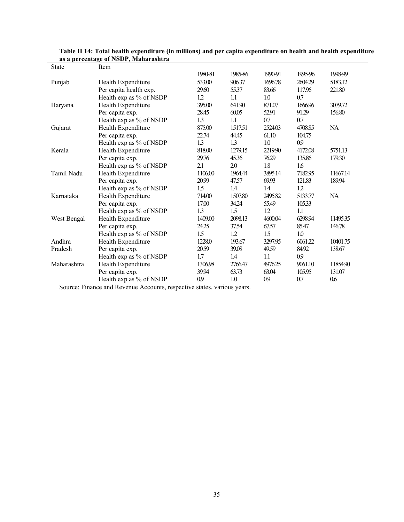| State       | Item                    |         |         |         |         |           |
|-------------|-------------------------|---------|---------|---------|---------|-----------|
|             |                         | 1980-81 | 1985-86 | 1990-91 | 1995 96 | 1998-99   |
| Punjab      | Health Expenditure      | 533.00  | 906.37  | 1696.78 | 2604.29 | 5183.12   |
|             | Per capita health exp.  | 29.60   | 55.37   | 83.66   | 117.96  | 221.80    |
|             | Health exp as % of NSDP | 12      | 1.1     | 1.0     | 0.7     |           |
| Haryana     | Health Expenditure      | 395.00  | 641.90  | 871.07  | 1666.96 | 3079.72   |
|             | Per capita exp.         | 28.45   | 60.05   | 52.91   | 91.29   | 156.80    |
|             | Health exp as % of NSDP | 1.3     | 1.1     | 0.7     | 0.7     |           |
| Gujarat     | Health Expenditure      | 875.00  | 1517.51 | 2524.03 | 4708.85 | <b>NA</b> |
|             | Per capita exp.         | 22.74   | 44.45   | 61.10   | 104.75  |           |
|             | Health exp as % of NSDP | 13      | 13      | 1.0     | 0.9     |           |
| Kerala      | Health Expenditure      | 818.00  | 1279.15 | 221990  | 4172.08 | 5751.13   |
|             | Per capita exp.         | 29.76   | 45.36   | 76.29   | 135.86  | 179.30    |
|             | Health exp as % of NSDP | 2.1     | 2.0     | $1.8\,$ | 1.6     |           |
| Tamil Nadu  | Health Expenditure      | 1106.00 | 1964.44 | 3895.14 | 7182.95 | 11667.14  |
|             | Per capita exp.         | 20.99   | 47.57   | 69.93   | 121.83  | 189.94    |
|             | Health exp as % of NSDP | 1.5     | 1.4     | 1.4     | 12      |           |
| Karnataka   | Health Expenditure      | 714.00  | 1507.80 | 2495.82 | 5133.77 | NA        |
|             | Per capita exp.         | 17.00   | 34.24   | 55.49   | 105.33  |           |
|             | Health exp as % of NSDP | 1.3     | 1.5     | 1.2     | 1.1     |           |
| West Bengal | Health Expenditure      | 1409.00 | 2098.13 | 4600.04 | 6298.94 | 11495.35  |
|             | Per capita exp.         | 24.25   | 37.54   | 67.57   | 85.47   | 146.78    |
|             | Health exp as % of NSDP | 1.5     | 1.2     | 1.5     | $1.0\,$ |           |
| Andhra      | Health Expenditure      | 1228.0  | 193.67  | 3297.95 | 6061.22 | 10401.75  |
| Pradesh     | Per capita exp.         | 20.59   | 39.08   | 49.59   | 84.92   | 138.67    |
|             | Health exp as % of NSDP | 1.7     | 1.4     | 1.1     | 0.9     |           |
| Maharashtra | Health Expenditure      | 1306.98 | 2766.47 | 4976.25 | 9061.10 | 11854.90  |
|             | Per capita exp.         | 39.94   | 63.73   | 63.04   | 105.95  | 131.07    |
|             | Health exp as % of NSDP | 0.9     | 1.0     | 0.9     | 0.7     | 0.6       |

| Table H 14: Total health expenditure (in millions) and per capita expenditure on health and health expenditure |  |
|----------------------------------------------------------------------------------------------------------------|--|
| as a percentage of NSDP, Maharashtra                                                                           |  |

Source: Finance and Revenue Accounts, respective states, various years.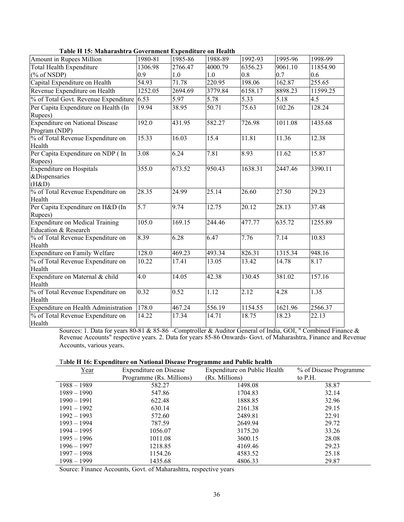|                                                         |         | Sovernment Expenditure |         |         |         |          |
|---------------------------------------------------------|---------|------------------------|---------|---------|---------|----------|
| Amount in Rupees Million                                | 1980-81 | 1985-86                | 1988-89 | 1992-93 | 1995-96 | 1998-99  |
| <b>Total Health Expenditure</b>                         | 1306.98 | 2766.47                | 4000.79 | 6356.23 | 9061.10 | 11854.90 |
| $(\%$ of NSDP)                                          | 0.9     | 1.0                    | 1.0     | 0.8     | 0.7     | 0.6      |
| Capital Expenditure on Health                           | 54.93   | 71.78                  | 220.95  | 198.06  | 162.87  | 255.65   |
| Revenue Expenditure on Health                           | 1252.05 | 2694.69                | 3779.84 | 6158.17 | 8898.23 | 11599.25 |
| % of Total Govt. Revenue Expenditure                    | 6.53    | 5.97                   | 5.78    | 5.33    | 5.18    | 4.5      |
| Per Capita Expenditure on Health (In                    | 19.94   | 38.95                  | 50.71   | 75.63   | 102.26  | 128.24   |
| Rupees)                                                 |         |                        |         |         |         |          |
| <b>Expenditure on National Disease</b><br>Program (NDP) | 192.0   | 431.95                 | 582.27  | 726.98  | 1011.08 | 1435.68  |
| % of Total Revenue Expenditure on<br>Health             | 15.33   | 16.03                  | 15.4    | 11.81   | 11.36   | 12.38    |
| Per Capita Expenditure on NDP (In                       | 3.08    | 6.24                   | 7.81    | 8.93    | 11.62   | 15.87    |
| Rupees)<br><b>Expenditure on Hospitals</b>              | 355.0   | 673.52                 | 950.43  | 1638.31 | 2447.46 | 3390.11  |
| &Dispensaries                                           |         |                        |         |         |         |          |
| (H&D)                                                   |         |                        |         |         |         |          |
| % of Total Revenue Expenditure on                       | 28.35   | 24.99                  | 25.14   | 26.60   | 27.50   | 29.23    |
| Health                                                  |         |                        |         |         |         |          |
| Per Capita Expenditure on H&D (In                       | 5.7     | 9.74                   | 12.75   | 20.12   | 28.13   | 37.48    |
| Rupees)                                                 |         |                        |         |         |         |          |
| <b>Expenditure on Medical Training</b>                  | 105.0   | 169.15                 | 244.46  | 477.77  | 635.72  | 1255.89  |
| Education & Research                                    |         |                        |         |         |         |          |
| % of Total Revenue Expenditure on                       | 8.39    | 6.28                   | 6.47    | 7.76    | 7.14    | 10.83    |
| Health                                                  |         |                        |         |         |         |          |
| <b>Expenditure on Family Welfare</b>                    | 128.0   | 469.23                 | 493.34  | 826.31  | 1315.34 | 948.16   |
| % of Total Revenue Expenditure on<br>Health             | 10.22   | 17.41                  | 13.05   | 13.42   | 14.78   | 8.17     |
| Expenditure on Maternal & child                         | 4.0     | 14.05                  | 42.38   | 130.45  | 381.02  | 157.16   |
| Health                                                  |         |                        |         |         |         |          |
| % of Total Revenue Expenditure on                       | 0.32    | 0.52                   | 1.12    | 2.12    | 4.28    | 1.35     |
| Health                                                  |         |                        |         |         |         |          |
| Expenditure on Health Administration                    | 178.0   | 467.24                 | 556.19  | 1154.55 | 1621.96 | 2566.37  |
| % of Total Revenue Expenditure on<br>Health             | 14.22   | 17.34                  | 14.71   | 18.75   | 18.23   | 22.13    |

**Table H 15: Maharashtra Government Expenditure on Health** 

Sources: 1. Data for years 80-81 & 85-86 -Comptroller & Auditor General of India, GOI, " Combined Finance & Revenue Accounts" respective years. 2. Data for years 85-86 Onwards- Govt. of Maharashtra, Finance and Revenue Accounts, various years.

| Year          | <b>Expenditure on Disease</b> | $\sim$<br>Expenditure on Public Health | % of Disease Programme |
|---------------|-------------------------------|----------------------------------------|------------------------|
|               | Programme (Rs. Millions)      | (Rs. Millions)                         | to $P.H.$              |
| $1988 - 1989$ | 582.27                        | 1498.08                                | 38.87                  |
| $1989 - 1990$ | 547.86                        | 1704.83                                | 32.14                  |
| $1990 - 1991$ | 622.48                        | 1888.85                                | 32.96                  |
| $1991 - 1992$ | 630.14                        | 2161.38                                | 29.15                  |
| $1992 - 1993$ | 572.60                        | 2489.81                                | 22.91                  |
| $1993 - 1994$ | 787.59                        | 2649.94                                | 29.72                  |
| $1994 - 1995$ | 1056.07                       | 3175.20                                | 33.26                  |
| $1995 - 1996$ | 1011.08                       | 3600.15                                | 28.08                  |
| $1996 - 1997$ | 1218.85                       | 4169.46                                | 29.23                  |
| $1997 - 1998$ | 1154.26                       | 4583.52                                | 25.18                  |
| $1998 - 1999$ | 1435.68                       | 4806.33                                | 29.87                  |

Source: Finance Accounts, Govt. of Maharashtra, respective years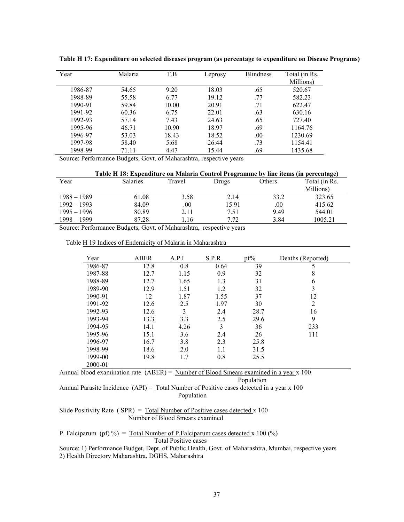| Year    | Malaria | T.B   | Leprosy | <b>Blindness</b> | Total (in Rs. |
|---------|---------|-------|---------|------------------|---------------|
|         |         |       |         |                  | Millions)     |
| 1986-87 | 54.65   | 9.20  | 18.03   | .65              | 520.67        |
| 1988-89 | 55.58   | 6.77  | 19.12   | .77              | 582.23        |
| 1990-91 | 59.84   | 10.00 | 20.91   | .71              | 622.47        |
| 1991-92 | 60.36   | 6.75  | 22.01   | .63              | 630.16        |
| 1992-93 | 57.14   | 7.43  | 24.63   | .65              | 727.40        |
| 1995-96 | 46.71   | 10.90 | 18.97   | .69              | 1164.76       |
| 1996-97 | 53.03   | 18.43 | 18.52   | .00              | 1230.69       |
| 1997-98 | 58.40   | 5.68  | 26.44   | .73              | 1154.41       |
| 1998-99 | 71.11   | 4.47  | 15.44   | .69              | 1435.68       |

**Table H 17: Expenditure on selected diseases program (as percentage to expenditure on Disease Programs)** 

Source: Performance Budgets, Govt. of Maharashtra, respective years

|               | Table H 18: Expenditure on Malaria Control Programme by line items (in percentage) |                           |       |               |           |
|---------------|------------------------------------------------------------------------------------|---------------------------|-------|---------------|-----------|
| Year          | <b>Salaries</b>                                                                    | Others<br>Travel<br>Drugs |       | Total (in Rs. |           |
|               |                                                                                    |                           |       |               | Millions) |
| $1988 - 1989$ | 61.08                                                                              | 3.58                      | 2.14  | 33.2          | 323.65    |
| $1992 - 1993$ | 84.09                                                                              | .00                       | 15.91 | .00           | 415.62    |
| $1995 - 1996$ | 80.89                                                                              | 2.11                      | 7.51  | 9.49          | 544.01    |
| $1998 - 1999$ | 87.28                                                                              | l.16                      | 7.72  | 3.84          | 1005.21   |

Source: Performance Budgets, Govt. of Maharashtra, respective years

| Year                                                                                     | <b>ABER</b> | A.P.I | S.P.R | $pf\%$ | Deaths (Reported) |  |
|------------------------------------------------------------------------------------------|-------------|-------|-------|--------|-------------------|--|
| 1986-87                                                                                  | 12.8        | 0.8   | 0.64  | 39     | 5                 |  |
| 1987-88                                                                                  | 12.7        | 1.15  | 0.9   | 32     | 8                 |  |
| 1988-89                                                                                  | 12.7        | 1.65  | 1.3   | 31     | 6                 |  |
| 1989-90                                                                                  | 12.9        | 1.51  | 1.2   | 32     | 3                 |  |
| 1990-91                                                                                  | 12          | 1.87  | 1.55  | 37     | 12                |  |
| 1991-92                                                                                  | 12.6        | 2.5   | 1.97  | 30     | $\overline{2}$    |  |
| 1992-93                                                                                  | 12.6        | 3     | 2.4   | 28.7   | 16                |  |
| 1993-94                                                                                  | 13.3        | 3.3   | 2.5   | 29.6   | 9                 |  |
| 1994-95                                                                                  | 14.1        | 4.26  | 3     | 36     | 233               |  |
| 1995-96                                                                                  | 15.1        | 3.6   | 2.4   | 26     | 111               |  |
| 1996-97                                                                                  | 16.7        | 3.8   | 2.3   | 25.8   |                   |  |
| 1998-99                                                                                  | 18.6        | 2.0   | 1.1   | 31.5   |                   |  |
| 1999-00                                                                                  | 19.8        | 1.7   | 0.8   | 25.5   |                   |  |
| 2000-01                                                                                  |             |       |       |        |                   |  |
| Annual blood examination rate $(ABER)$ = Number of Blood Smears examined in a year x 100 |             |       |       |        |                   |  |

Population Annual Parasite Incidence (API) = Total Number of Positive cases detected in a year x 100 Population

Slide Positivity Rate (  $SPR$ ) = Total Number of Positive cases detected x 100 Number of Blood Smears examined

P. Falciparum (pf) %) =  $Total Number of P. Falconium cases detected x 100 (%)$ Total Positive cases

Source: 1) Performance Budget, Dept. of Public Health, Govt. of Maharashtra, Mumbai, respective years 2) Health Directory Maharashtra, DGHS, Maharashtra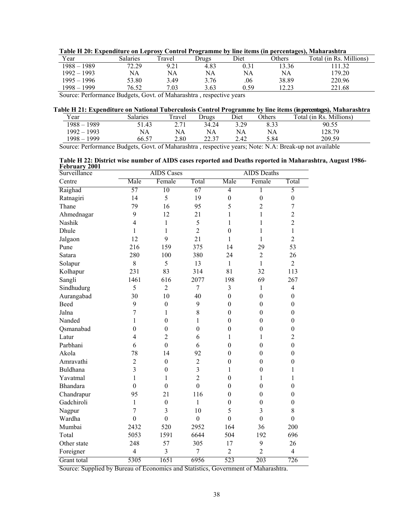| Table II 20) Expenditure on Eeprosy Control Frogramme by the hems (in percentages), trainarashera |          |       |       |      |               |                         |
|---------------------------------------------------------------------------------------------------|----------|-------|-------|------|---------------|-------------------------|
| Year                                                                                              | Salaries | ravel | Drugs | Diet | <b>Others</b> | Total (in Rs. Millions) |
| 1988 - 1989                                                                                       | 72.29    | 9.21  | 4.83  |      | 3.36          | 11.32                   |
| 1992 – 1993                                                                                       | NA       | NA    | NA    | NA   | NA            | 179.20                  |
| 1995 – 1996                                                                                       | 53.80    | 3.49  | 3.76  | .06  | 38.89         | 220.96                  |
| 1998 – 1999                                                                                       | 76.52    | 7.03  | 3.63  | 0.59 | 12.23         | 221.68                  |

**Table H 20: Expenditure on Leprosy Control Programme by line items (in percentages), Maharashtra** 

Source: Performance Budgets, Govt. of Maharashtra , respective years

### **Table H 21: Expenditure on National Tuberculosis Control Programme by line items (in percentages), Maharashtra**

| Year               | <b>Salaries</b> | Travel       | Jrugs | Diet | Others | Millions)<br>Total (in Rs. $_1$ ) |
|--------------------|-----------------|--------------|-------|------|--------|-----------------------------------|
| $1988 - 1$<br>1989 | 51.43           | 271<br>، ، ۱ | 34.24 | 3.29 | 8.33   | 90.55                             |
| $1992 - 1993$      | NA              | NA           | NA    | NA   | NA     | 128.79                            |
| $1998 -$<br>1999   | 66.57           | 2.80         | 22.37 | 2.42 | 5.84   | 209.59                            |

Source: Performance Budgets, Govt. of Maharashtra , respective years; Note: N.A: Break-up not available

**Table H 22: District wise number of AIDS cases reported and Deaths reported in Maharashtra, August 1986- February 2001** 

| Surveillance<br>$\mathbf{v}$ |                          | <b>AIDS</b> Cases |                |                  | <b>AIDS</b> Deaths |                  |  |
|------------------------------|--------------------------|-------------------|----------------|------------------|--------------------|------------------|--|
| Centre                       | Male                     | Female            | Total          | Male             | Female             | Total            |  |
| Raighad                      | 57                       | 10                | 67             | $\overline{4}$   | 1                  | 5                |  |
| Ratnagiri                    | 14                       | 5                 | 19             | $\boldsymbol{0}$ | $\boldsymbol{0}$   | $\boldsymbol{0}$ |  |
| Thane                        | 79                       | 16                | 95             | 5                | $\overline{c}$     | $\overline{7}$   |  |
| Ahmednagar                   | 9                        | 12                | 21             | 1                | 1                  | $\overline{c}$   |  |
| Nashik                       | $\overline{4}$           | 1                 | 5              | 1                | 1                  | $\overline{2}$   |  |
| Dhule                        | 1                        | $\mathbf{1}$      | $\overline{2}$ | $\boldsymbol{0}$ | 1                  | $\mathbf{1}$     |  |
| Jalgaon                      | 12                       | 9                 | 21             | $\mathbf{1}$     | 1                  | $\overline{2}$   |  |
| Pune                         | 216                      | 159               | 375            | 14               | 29                 | 53               |  |
| Satara                       | 280                      | 100               | 380            | 24               | $\overline{2}$     | 26               |  |
| Solapur                      | 8                        | 5                 | 13             | $\mathbf{1}$     | $\mathbf{1}$       | $\overline{2}$   |  |
| Kolhapur                     | 231                      | 83                | 314            | 81               | 32                 | 113              |  |
| Sangli                       | 1461                     | 616               | 2077           | 198              | 69                 | 267              |  |
| Sindhudurg                   | 5                        | $\overline{2}$    | $\overline{7}$ | $\overline{3}$   | $\mathbf{1}$       | $\overline{4}$   |  |
| Aurangabad                   | 30                       | 10                | 40             | $\mathbf{0}$     | $\mathbf{0}$       | $\boldsymbol{0}$ |  |
| Beed                         | 9                        | $\boldsymbol{0}$  | 9              | $\boldsymbol{0}$ | $\boldsymbol{0}$   | $\boldsymbol{0}$ |  |
| Jalna                        | $\overline{7}$           | $\mathbf{1}$      | 8              | $\boldsymbol{0}$ | $\mathbf{0}$       | $\boldsymbol{0}$ |  |
| Nanded                       | 1                        | $\boldsymbol{0}$  | 1              | $\boldsymbol{0}$ | $\mathbf{0}$       | $\boldsymbol{0}$ |  |
| Qsmanabad                    | $\boldsymbol{0}$         | $\boldsymbol{0}$  | $\mathbf{0}$   | $\boldsymbol{0}$ | $\boldsymbol{0}$   | $\boldsymbol{0}$ |  |
| Latur                        | $\overline{4}$           | $\overline{2}$    | 6              | $\mathbf{1}$     | 1                  | $\overline{c}$   |  |
| Parbhani                     | 6                        | $\mathbf{0}$      | 6              | $\boldsymbol{0}$ | $\boldsymbol{0}$   | $\boldsymbol{0}$ |  |
| Akola                        | 78                       | 14                | 92             | $\boldsymbol{0}$ | $\boldsymbol{0}$   | $\boldsymbol{0}$ |  |
| Amravathi                    | $\overline{c}$           | $\boldsymbol{0}$  | $\mathbf 2$    | $\boldsymbol{0}$ | $\boldsymbol{0}$   | $\boldsymbol{0}$ |  |
| Buldhana                     | $\overline{3}$           | $\mathbf{0}$      | $\overline{3}$ | 1                | $\mathbf{0}$       | $\mathbf{1}$     |  |
| Yavatmal                     | $\mathbf{1}$             | 1                 | $\overline{2}$ | $\mathbf{0}$     | 1                  | $\mathbf{1}$     |  |
| <b>Bhandara</b>              | $\mathbf{0}$             | $\mathbf{0}$      | $\overline{0}$ | $\mathbf{0}$     | $\mathbf{0}$       | $\mathbf{0}$     |  |
| Chandrapur                   | 95                       | 21                | 116            | $\boldsymbol{0}$ | $\boldsymbol{0}$   | $\mathbf{0}$     |  |
| Gadchiroli                   | $\mathbf{1}$             | $\boldsymbol{0}$  | $\mathbf{1}$   | $\boldsymbol{0}$ | $\boldsymbol{0}$   | $\boldsymbol{0}$ |  |
| Nagpur                       | $\overline{7}$           | 3                 | 10             | 5                | 3                  | 8                |  |
| Wardha                       | $\mathbf{0}$             | $\mathbf{0}$      | $\mathbf{0}$   | $\mathbf{0}$     | $\boldsymbol{0}$   | $\boldsymbol{0}$ |  |
| Mumbai                       | 2432                     | 520               | 2952           | 164              | 36                 | 200              |  |
| Total                        | 5053                     | 1591              | 6644           | 504              | 192                | 696              |  |
| Other state                  | 248                      | 57                | 305            | 17               | 9                  | 26               |  |
| Foreigner                    | $\overline{\mathcal{L}}$ | 3                 | $\overline{7}$ | $\overline{2}$   | $\overline{2}$     | $\overline{4}$   |  |
| Grant total                  | 5305                     | 1651              | 6956           | 523              | 203                | 726              |  |

Source: Supplied by Bureau of Economics and Statistics, Government of Maharashtra.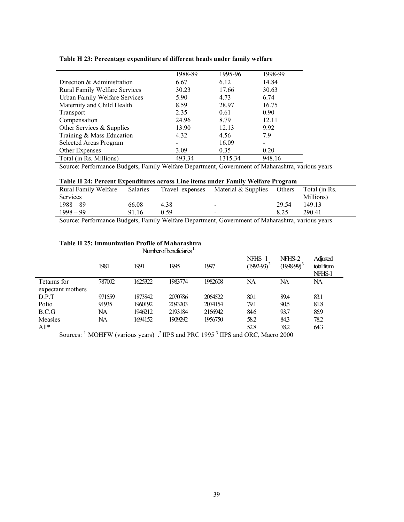|  | Table H 23: Percentage expenditure of different heads under family welfare |  |  |  |
|--|----------------------------------------------------------------------------|--|--|--|
|  |                                                                            |  |  |  |

|                                      | 1988-89 | 1995-96 | 1998-99 |
|--------------------------------------|---------|---------|---------|
| Direction & Administration           | 6.67    | 6.12    | 14.84   |
| <b>Rural Family Welfare Services</b> | 30.23   | 17.66   | 30.63   |
| Urban Family Welfare Services        | 5.90    | 4.73    | 6.74    |
| Maternity and Child Health           | 8.59    | 28.97   | 16.75   |
| Transport                            | 2.35    | 0.61    | 0.90    |
| Compensation                         | 24.96   | 8.79    | 12.11   |
| Other Services & Supplies            | 13.90   | 12.13   | 9.92    |
| Training & Mass Education            | 4.32    | 4.56    | 7.9     |
| Selected Areas Program               |         | 16.09   |         |
| Other Expenses                       | 3.09    | 0.35    | 0.20    |
| Total (in Rs. Millions)              | 493.34  | 1315.34 | 948.16  |

Source: Performance Budgets, Family Welfare Department, Government of Maharashtra, various years

### **Table H 24: Percent Expenditures across Line items under Family Welfare Program**

| Rural Family Welfare<br>Services | <b>Salaries</b> | Travel expenses | Material & Supplies      | Others | Total (in Rs.<br>Millions) |
|----------------------------------|-----------------|-----------------|--------------------------|--------|----------------------------|
| $1988 - 89$                      | 66.08           | 4.38            | $\blacksquare$           | 29.54  | 149.13                     |
| $1998 - 99$                      | 91.16           | 0.59            | $\overline{\phantom{0}}$ | 8.25   | 290.41                     |
|                                  |                 |                 |                          |        |                            |

Source: Performance Budgets, Family Welfare Department, Government of Maharashtra, various years

### **Table H 25: Immunization Profile of Maharashtra**

| Number of beneficiaries <sup>11</sup> |        |         |         |         |                           |                         |                                  |
|---------------------------------------|--------|---------|---------|---------|---------------------------|-------------------------|----------------------------------|
|                                       | 1981   | 1991    | 1995    | 1997    | $NFHS-1$<br>$(1992-93)^2$ | NFHS-2<br>$(1998-99)^3$ | Adjusted<br>total from<br>NFHS-1 |
| Tetanus for                           | 787002 | 1625322 | 1983774 | 1982608 | NA                        | NA                      | NA                               |
| expectant mothers                     |        |         |         |         |                           |                         |                                  |
| D.P.T                                 | 971559 | 1873842 | 2070786 | 2064522 | 80.1                      | 89.4                    | 83.1                             |
| Polio                                 | 91935  | 1960192 | 2093203 | 2074154 | 79.1                      | 90.5                    | 81.8                             |
| B.C.G                                 | NA     | 1946212 | 2193184 | 2166942 | 84.6                      | 93.7                    | 86.9                             |
| Measles                               | NA     | 1694152 | 1909292 | 1956750 | 58.2                      | 84.3                    | 78.2                             |
| $All*$                                |        |         |         |         | 52.8                      | 78.2                    | 64.3                             |

Sources: <sup>1.</sup> MOHFW (various years) .<sup>2</sup> IIPS and PRC 1995<sup>3</sup> IIPS and ORC, Macro 2000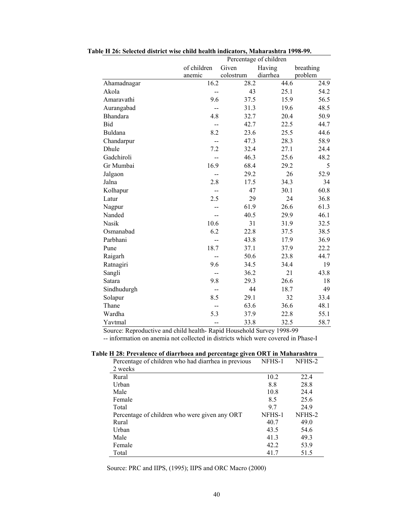|             | Percentage of children |           |          |           |
|-------------|------------------------|-----------|----------|-----------|
|             | of children            | Given     | Having   | breathing |
|             | anemic                 | colostrum | diarrhea | problem   |
| Ahamadnagar | 16.2                   | 28.2      | 44.6     | 24.9      |
| Akola       | --                     | 43        | 25.1     | 54.2      |
| Amaravathi  | 9.6                    | 37.5      | 15.9     | 56.5      |
| Aurangabad  |                        | 31.3      | 19.6     | 48.5      |
| Bhandara    | 4.8                    | 32.7      | 20.4     | 50.9      |
| Bid         |                        | 42.7      | 22.5     | 44.7      |
| Buldana     | 8.2                    | 23.6      | 25.5     | 44.6      |
| Chandarpur  | $-$                    | 47.3      | 28.3     | 58.9      |
| Dhule       | 7.2                    | 32.4      | 27.1     | 24.4      |
| Gadchiroli  | --                     | 46.3      | 25.6     | 48.2      |
| Gr Mumbai   | 16.9                   | 68.4      | 29.2     | 5         |
| Jalgaon     |                        | 29.2      | 26       | 52.9      |
| Jalna       | 2.8                    | 17.5      | 34.3     | 34        |
| Kolhapur    | $-$                    | 47        | 30.1     | 60.8      |
| Latur       | 2.5                    | 29        | 24       | 36.8      |
| Nagpur      |                        | 61.9      | 26.6     | 61.3      |
| Nanded      | --                     | 40.5      | 29.9     | 46.1      |
| Nasik       | 10.6                   | 31        | 31.9     | 32.5      |
| Osmanabad   | 6.2                    | 22.8      | 37.5     | 38.5      |
| Parbhani    |                        | 43.8      | 17.9     | 36.9      |
| Pune        | 18.7                   | 37.1      | 37.9     | 22.2      |
| Raigarh     | --                     | 50.6      | 23.8     | 44.7      |
| Ratnagiri   | 9.6                    | 34.5      | 34.4     | 19        |
| Sangli      | --                     | 36.2      | 21       | 43.8      |
| Satara      | 9.8                    | 29.3      | 26.6     | 18        |
| Sindhudurgh | $\overline{a}$         | 44        | 18.7     | 49        |
| Solapur     | 8.5                    | 29.1      | 32       | 33.4      |
| Thane       |                        | 63.6      | 36.6     | 48.1      |
| Wardha      | 5.3                    | 37.9      | 22.8     | 55.1      |
| Yavtmal     | $-$                    | 33.8      | 32.5     | 58.7      |

 **Table H 26: Selected district wise child health indicators, Maharashtra 1998-99.**

Source: Reproductive and child health- Rapid Household Survey 1998-99

-- information on anemia not collected in districts which were covered in Phase-I

| Percentage of children who had diarrhea in previous | NFHS-1 | NFHS-2 |
|-----------------------------------------------------|--------|--------|
| 2 weeks                                             |        |        |
| Rural                                               | 10.2   | 22.4   |
| Urban                                               | 8.8    | 28.8   |
| Male                                                | 10.8   | 24.4   |
| Female                                              | 8.5    | 25.6   |
| Total                                               | 97     | 24.9   |
| Percentage of children who were given any ORT       | NFHS-1 | NFHS-2 |
| Rural                                               | 40.7   | 49.0   |
| Urban                                               | 43.5   | 54.6   |
| Male                                                | 41.3   | 49.3   |
| Female                                              | 42.2   | 53.9   |
| Total                                               | 41.7   | 51.5   |

 **Table H 28: Prevalence of diarrhoea and percentage given ORT in Maharashtra** 

Source: PRC and IIPS, (1995); IIPS and ORC Macro (2000)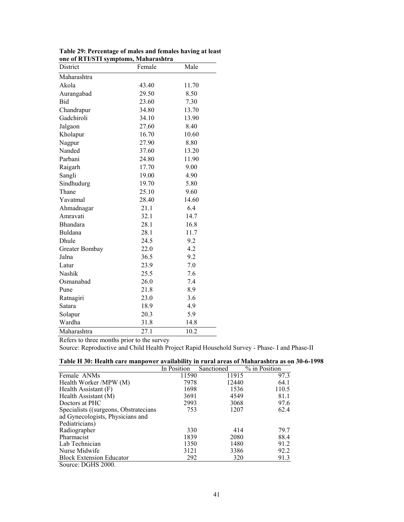| District        | Female | Male  |
|-----------------|--------|-------|
| Maharashtra     |        |       |
| Akola           | 43.40  | 11.70 |
| Aurangabad      | 29.50  | 8.50  |
| Bid             | 23.60  | 7.30  |
| Chandrapur      | 34.80  | 13.70 |
| Gadchiroli      | 34.10  | 13.90 |
| Jalgaon         | 27.60  | 8.40  |
| Kholapur        | 16.70  | 10.60 |
| Nagpur          | 27.90  | 8.80  |
| Nanded          | 37.60  | 13.20 |
| Parbani         | 24.80  | 11.90 |
| Raigarh         | 17.70  | 9.00  |
| Sangli          | 19.00  | 4.90  |
| Sindhudurg      | 19.70  | 5.80  |
| Thane           | 25.10  | 9.60  |
| Yavatmal        | 28.40  | 14.60 |
| Ahmadnagar      | 21.1   | 6.4   |
| Amravati        | 32.1   | 14.7  |
| <b>Bhandara</b> | 28.1   | 16.8  |
| Buldana         | 28.1   | 11.7  |
| Dhule           | 24.5   | 9.2   |
| Greater Bombay  | 22.0   | 4.2   |
| Jalna           | 36.5   | 9.2   |
| Latur           | 23.9   | 7.0   |
| Nashik          | 25.5   | 7.6   |
| Osmanabad       | 26.0   | 7.4   |
| Pune            | 21.8   | 8.9   |
| Ratnagiri       | 23.0   | 3.6   |
| Satara          | 18.9   | 4.9   |
| Solapur         | 20.3   | 5.9   |
| Wardha          | 31.8   | 14.8  |
| Maharashtra     | 27.1   | 10.2  |

**Table 29: Percentage of males and females having at least one of RTI/STI symptoms, Maharashtra**  $\mathbb{R}$ 

Refers to three months prior to the survey

Source: Reproductive and Child Health Project Rapid Household Survey - Phase- I and Phase-II

|  | Table H 30: Health care manpower availability in rural areas of Maharashtra as on 30-6-1998 |
|--|---------------------------------------------------------------------------------------------|
|--|---------------------------------------------------------------------------------------------|

|                                        | In Position | Sanctioned | % in Position |
|----------------------------------------|-------------|------------|---------------|
| Female ANMs                            | 11590       | 11915      | 97.3          |
| Health Worker /MPW (M)                 | 7978        | 12440      | 64.1          |
| Health Assistant $(F)$                 | 1698        | 1536       | 110.5         |
| Health Assistant (M)                   | 3691        | 4549       | 81.1          |
| Doctors at PHC                         | 2993        | 3068       | 97.6          |
| Specialists ((surgeons, Obstratecians) | 753         | 1207       | 62.4          |
| ad Gynecologists, Physicians and       |             |            |               |
| Pediatricians)                         |             |            |               |
| Radiographer                           | 330         | 414        | 79.7          |
| Pharmacist                             | 1839        | 2080       | 88.4          |
| Lab Technician                         | 1350        | 1480       | 91.2          |
| Nurse Midwife                          | 3121        | 3386       | 92.2          |
| <b>Block Extension Educator</b>        | 292         | 320        | 91.3          |
| $C_{\text{out}}$ OCHC 2000             |             |            |               |

Source: DGHS 2000.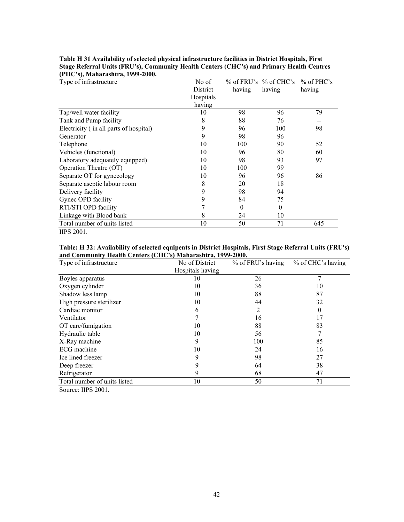| Type of infrastructure                 | No of     |          | % of FRU's % of CHC's % of PHC's |        |
|----------------------------------------|-----------|----------|----------------------------------|--------|
|                                        | District  | having   | having                           | having |
|                                        | Hospitals |          |                                  |        |
|                                        | having    |          |                                  |        |
| Tap/well water facility                | 10        | 98       | 96                               | 79     |
| Tank and Pump facility                 | 8         | 88       | 76                               |        |
| Electricity (in all parts of hospital) | 9         | 96       | 100                              | 98     |
| Generator                              | 9         | 98       | 96                               |        |
| Telephone                              | 10        | 100      | 90                               | 52     |
| Vehicles (functional)                  | 10        | 96       | 80                               | 60     |
| Laboratory adequately equipped)        | 10        | 98       | 93                               | 97     |
| Operation Theatre (OT)                 | 10        | 100      | 99                               |        |
| Separate OT for gynecology             | 10        | 96       | 96                               | 86     |
| Separate aseptic labour room           | 8         | 20       | 18                               |        |
| Delivery facility                      | 9         | 98       | 94                               |        |
| Gynec OPD facility                     | 9         | 84       | 75                               |        |
| RTI/STI OPD facility                   |           | $\theta$ | 0                                |        |
| Linkage with Blood bank                | 8         | 24       | 10                               |        |
| Total number of units listed           | 10        | 50       | 71                               | 645    |
| <b>IIPS 2001.</b>                      |           |          |                                  |        |

**Table H 31 Availability of selected physical infrastructure facilities in District Hospitals, First Stage Referral Units (FRU's), Community Health Centers (CHC's) and Primary Health Centres (PHC's), Maharashtra, 1999-2000.** 

**Table: H 32: Availability of selected equipents in District Hospitals, First Stage Referral Units (FRU's) and Community Health Centers (CHC's) Maharashtra, 1999-2000.** 

| Type of infrastructure       | No of District   | % of FRU's having | % of CHC's having |
|------------------------------|------------------|-------------------|-------------------|
|                              | Hospitals having |                   |                   |
| Boyles apparatus             | 10               | 26                | 7                 |
| Oxygen cylinder              | 10               | 36                | 10                |
| Shadow less lamp             | 10               | 88                | 87                |
| High pressure sterilizer     | 10               | 44                | 32                |
| Cardiac monitor              | 6                | 2                 | 0                 |
| Ventilator                   |                  | 16                | 17                |
| OT care/fumigation           | 10               | 88                | 83                |
| Hydraulic table              | 10               | 56                |                   |
| X-Ray machine                | 9                | 100               | 85                |
| ECG machine                  | 10               | 24                | 16                |
| Ice lined freezer            | 9                | 98                | 27                |
| Deep freezer                 |                  | 64                | 38                |
| Refrigerator                 | 9                | 68                | 47                |
| Total number of units listed | 10               | 50                | 71                |

Source: IIPS 2001.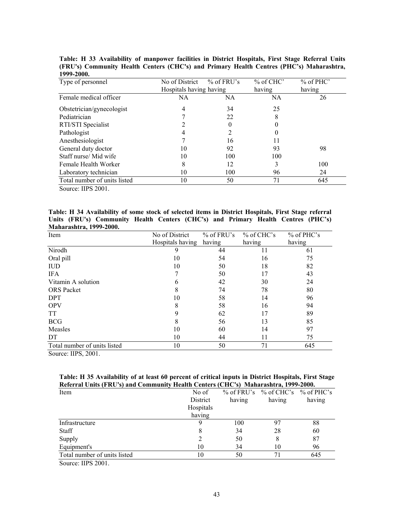| 1999-2000.                   |                         |              |             |             |
|------------------------------|-------------------------|--------------|-------------|-------------|
| Type of personnel            | No of District          | $%$ of FRU's | $%$ of CHC' | $%$ of PHC' |
|                              | Hospitals having having |              | having      | having      |
| Female medical officer       | NA                      | NA           | <b>NA</b>   | 26          |
| Obstetrician/gynecologist    | 4                       | 34           | 25          |             |
| Pediatrician                 |                         | 22           | 8           |             |
| RTI/STI Specialist           | 2                       | 0            | 0           |             |
| Pathologist                  | 4                       | 2            | 0           |             |
| Anesthesiologist             | ┑                       | 16           | 11          |             |
| General duty doctor          | 10                      | 92           | 93          | 98          |
| Staff nurse/ Mid wife        | 10                      | 100          | 100         |             |
| Female Health Worker         | 8                       | 12           | 3           | 100         |
| Laboratory technician        | 10                      | 100          | 96          | 24          |
| Total number of units listed | 10                      | 50           | 71          | 645         |

**Table: H 33 Availability of manpower facilities in District Hospitals, First Stage Referral Units (FRU's) Community Health Centers (CHC's) and Primary Health Centres (PHC's) Maharashtra, 1999-2000.** 

Source: IIPS 2001.

**Table: H 34 Availability of some stock of selected items in District Hospitals, First Stage referral Units (FRU's) Community Health Centers (CHC's) and Primary Health Centres (PHC's) Maharashtra, 1999-2000.** 

| Item                         | No of District   | $%$ of FRU's | $%$ of CHC's | $%$ of PHC's |
|------------------------------|------------------|--------------|--------------|--------------|
|                              | Hospitals having | having       | having       | having       |
| Nirodh                       | 9                | 44           | 11           | 61           |
| Oral pill                    | 10               | 54           | 16           | 75           |
| <b>IUD</b>                   | 10               | 50           | 18           | 82           |
| <b>IFA</b>                   |                  | 50           | 17           | 43           |
| Vitamin A solution           | 6                | 42           | 30           | 24           |
| <b>ORS</b> Packet            | 8                | 74           | 78           | 80           |
| <b>DPT</b>                   | 10               | 58           | 14           | 96           |
| <b>OPV</b>                   | 8                | 58           | 16           | 94           |
| <b>TT</b>                    | 9                | 62           | 17           | 89           |
| <b>BCG</b>                   | 8                | 56           | 13           | 85           |
| Measles                      | 10               | 60           | 14           | 97           |
| DT                           | 10               | 44           | 11           | 75           |
| Total number of units listed | 10               | 50           | 71           | 645          |
| $\sim$<br>$TTDM = AAA$       |                  |              |              |              |

Source: IIPS, 2001.

| Table: H 35 Availability of at least 60 percent of critical inputs in District Hospitals, First Stage |  |  |
|-------------------------------------------------------------------------------------------------------|--|--|
| Referral Units (FRU's) and Community Health Centers (CHC's)  Maharashtra, 1999-2000.                  |  |  |

| No of     |        |        |                                           |
|-----------|--------|--------|-------------------------------------------|
| District  | having | having | having                                    |
| Hospitals |        |        |                                           |
| having    |        |        |                                           |
|           | 100    |        | 88                                        |
| 8         | 34     | 28     | 60                                        |
|           | 50     | 8      | 87                                        |
| 10        | 34     | 10     | 96                                        |
| 10        | 50     |        | 645                                       |
|           |        |        | $\%$ of FRU's $\%$ of CHC's $\%$ of PHC's |

Source: IIPS 2001.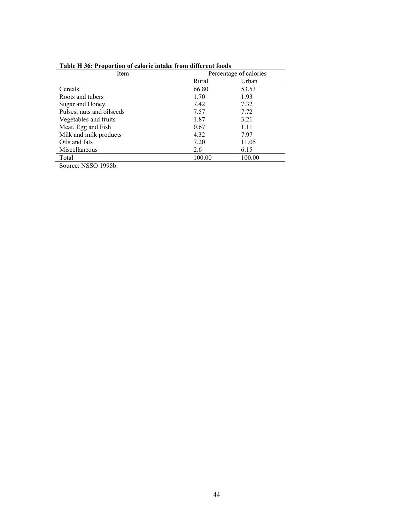| Item                      | Percentage of calories |        |  |  |  |  |
|---------------------------|------------------------|--------|--|--|--|--|
|                           | Rural                  | Urban  |  |  |  |  |
| Cereals                   | 66.80                  | 53.53  |  |  |  |  |
| Roots and tubers          | 1.70                   | 1.93   |  |  |  |  |
| Sugar and Honey           | 7.42                   | 7.32   |  |  |  |  |
| Pulses, nuts and oilseeds | 7.57                   | 7.72   |  |  |  |  |
| Vegetables and fruits     | 1.87                   | 3.21   |  |  |  |  |
| Meat, Egg and Fish        | 0.67                   | 1.11   |  |  |  |  |
| Milk and milk products    | 4.32                   | 7.97   |  |  |  |  |
| Oils and fats             | 7.20                   | 11.05  |  |  |  |  |
| Miscellaneous             | 2.6                    | 6.15   |  |  |  |  |
| Total                     | 100.00                 | 100.00 |  |  |  |  |

# **Table H 36: Proportion of calorie intake from different foods**

Source: NSSO 1998b.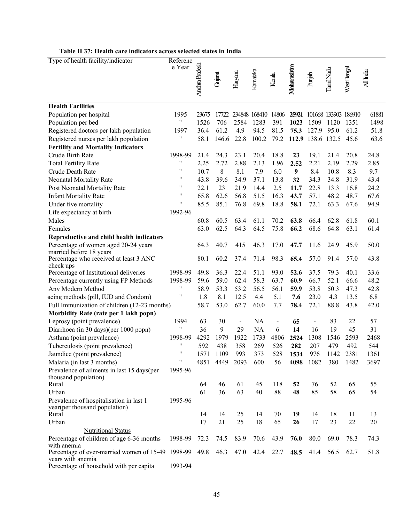| Table H 37: Health care indicators across selected states in India |
|--------------------------------------------------------------------|
|--------------------------------------------------------------------|

| Type of health facility/indicator                                           | Referenc                      |                |         |                          |               |                          |             |                          |           |                      |           |
|-----------------------------------------------------------------------------|-------------------------------|----------------|---------|--------------------------|---------------|--------------------------|-------------|--------------------------|-----------|----------------------|-----------|
|                                                                             | e Year                        | Andhra Pradesh |         |                          |               |                          | Maharashtra |                          |           |                      |           |
|                                                                             |                               |                | Gujarat | Haryana                  | Kamataka      | Kerala                   |             | Punjab                   | TamilNadu | West Bengal          | All India |
|                                                                             |                               |                |         |                          |               |                          |             |                          |           |                      |           |
|                                                                             |                               |                |         |                          |               |                          |             |                          |           |                      |           |
| <b>Health Facilities</b>                                                    |                               |                |         |                          |               |                          |             |                          |           |                      |           |
| Population per hospital                                                     | 1995                          | 23675          | 17722   |                          | 234848 168410 | 14806                    | 25921       |                          |           | 101668 133903 186910 | 61881     |
| Population per bed                                                          | $\pmb{\mathsf{H}}$            | 1526           | 706     | 2584                     | 1283          | 391                      | 1023        | 1509                     | 1120      | 1351                 | 1498      |
| Registered doctors per lakh population                                      | 1997                          | 36.4           | 61.2    | 4.9                      | 94.5          | 81.5                     | 75.3        | 127.9                    | 95.0      | 61.2                 | 51.8      |
| Registered nurses per lakh population                                       | Ħ                             | 58.1           | 146.6   | 22.8                     | 100.2         | 79.2                     |             | 112.9 138.6 132.5        |           | 45.6                 | 63.6      |
| <b>Fertility and Mortality Indicators</b>                                   |                               |                |         |                          |               |                          |             |                          |           |                      |           |
| Crude Birth Rate                                                            | 1998-99                       | 21.4           | 24.3    | 23.1                     | 20.4          | 18.8                     | 23          | 19.1                     | 21.4      | 20.8                 | 24.8      |
| <b>Total Fertility Rate</b>                                                 | "                             | 2.25           | 2.72    | 2.88                     | 2.13          | 1.96                     | 2.52        | 2.21                     | 2.19      | 2.29                 | 2.85      |
| Crude Death Rate                                                            | 11                            | 10.7           | 8       | 8.1                      | 7.9           | 6.0                      | 9           | 8.4                      | 10.8      | 8.3                  | 9.7       |
| Neonatal Mortality Rate                                                     | $\pmb{\mathsf{H}}$            | 43.8           | 39.6    | 34.9                     | 37.1          | 13.8                     | 32          | 34.3                     | 34.8      | 31.9                 | 43.4      |
| Post Neonatal Mortality Rate                                                | $\pmb{\mathsf{H}}$            | 22.1           | 23      | 21.9                     | 14.4          | 2.5                      | 11.7        | 22.8                     | 13.3      | 16.8                 | 24.2      |
| <b>Infant Mortality Rate</b>                                                | "                             | 65.8           | 62.6    | 56.8                     | 51.5          | 16.3                     | 43.7        | 57.1                     | 48.2      | 48.7                 | 67.6      |
| Under five mortality                                                        | 11                            | 85.5           | 85.1    | 76.8                     | 69.8          | 18.8                     | 58.1        | 72.1                     | 63.3      | 67.6                 | 94.9      |
| Life expectancy at birth                                                    | 1992-96                       |                |         |                          |               |                          |             |                          |           |                      |           |
| Males                                                                       |                               | 60.8           | 60.5    | 63.4                     | 61.1          | 70.2                     | 63.8        | 66.4                     | 62.8      | 61.8                 | 60.1      |
| Females                                                                     |                               | 63.0           | 62.5    | 64.3                     | 64.5          | 75.8                     | 66.2        | 68.6                     | 64.8      | 63.1                 | 61.4      |
| Reproductive and child health indicators                                    |                               |                |         |                          |               |                          |             |                          |           |                      |           |
| Percentage of women aged 20-24 years                                        |                               | 64.3           | 40.7    | 415                      | 46.3          | 17.0                     | 47.7        | 11.6                     | 24.9      | 45.9                 | 50.0      |
| married before 18 years                                                     |                               |                |         |                          |               |                          |             |                          |           |                      |           |
| Percentage who received at least 3 ANC                                      |                               | 80.1           | 60.2    | 37.4                     | 71.4          | 98.3                     | 65.4        | 57.0                     | 91.4      | 57.0                 | 43.8      |
| check ups                                                                   |                               |                |         |                          |               |                          |             |                          |           |                      |           |
| Percentage of Institutional deliveries                                      | 1998-99                       | 49.8           | 36.3    | 22.4                     | 51.1          | 93.0                     | 52.6        | 37.5                     | 79.3      | 40.1                 | 33.6      |
| Percentage currently using FP Methods                                       | 1998-99<br>$\pmb{\mathsf{H}}$ | 59.6           | 59.0    | 62.4                     | 58.3          | 63.7                     | 60.9        | 66.7                     | 52.1      | 66.6                 | 48.2      |
| Any Modern Method                                                           | $^{\prime\prime}$             | 58.9           | 53.3    | 53.2                     | 56.5          | 56.1                     | 59.9        | 53.8                     | 50.3      | 47.3                 | 42.8      |
| acing methods (pill, IUD and Condom)                                        |                               | 1.8            | 8.1     | 12.5                     | 4.4           | 5.1                      | 7.6         | 23.0                     | 4.3       | 13.5                 | 6.8       |
| Full Immunization of children (12-23 months)                                |                               | 58.7           | 53.0    | 62.7                     | 60.0          | 7.7                      | 78.4        | 72.1                     | 88.8      | 43.8                 | 42.0      |
| Morbidity Rate (rate per 1 lakh popn)                                       |                               |                |         |                          |               |                          |             |                          |           |                      |           |
| Leprosy (point prevalence)                                                  | 1994<br>11                    | 63             | 30      | $\overline{\phantom{a}}$ | NA            | $\overline{\phantom{0}}$ | 65          | $\overline{\phantom{m}}$ | 83        | 22                   | 57        |
| Diarrhoea (in 30 days)(per 1000 popn)                                       |                               | 36             | 9       | 29                       | <b>NA</b>     | 6                        | 14          | 16                       | 19        | 45                   | 31        |
| Asthma (point prevalence)                                                   | 1998-99<br>11                 | 4292           | 1979    | 1922                     | 1733          | 4806                     | 2524        | 1308                     | 1546      | 2593                 | 2468      |
| Tuberculosis (point prevalence)                                             | "                             | 592            | 438     | 358                      | 269           | 526                      | 282         | 207                      | 479       | 492                  | 544       |
| Jaundice (point prevalence)                                                 | "                             | 1571           | 1109    | 993                      | 373           | 528                      | 1534        | 976                      | 1142      | 2381                 | 1361      |
| Malaria (in last 3 months)                                                  |                               | 4851           | 4449    | 2093                     | 600           | 56                       | 4098        | 1082                     | 380       | 1482                 | 3697      |
| Prevalence of ailments in last 15 days(per<br>thousand population)          | 1995-96                       |                |         |                          |               |                          |             |                          |           |                      |           |
| Rural                                                                       |                               | 64             | 46      | 61                       | 45            | 118                      | 52          | 76                       | 52        | 65                   | 55        |
| Urban                                                                       |                               | 61             | 36      | 63                       | 40            | 88                       | 48          | 85                       | 58        | 65                   | 54        |
| Prevalence of hospitalisation in last 1                                     | 1995-96                       |                |         |                          |               |                          |             |                          |           |                      |           |
| year(per thousand population)                                               |                               |                |         |                          |               |                          |             |                          |           |                      |           |
| Rural                                                                       |                               | 14             | 14      | 25                       | 14            | 70                       | 19          | 14                       | 18        | 11                   | 13        |
| Urban                                                                       |                               | 17             | 21      | 25                       | 18            | 65                       | 26          | 17                       | 23        | $22\,$               | 20        |
| <b>Nutritional Status</b>                                                   |                               |                |         |                          |               |                          |             |                          |           |                      |           |
| Percentage of children of age 6-36 months                                   | 1998-99                       | 72.3           | 74.5    | 83.9                     | 70.6          | 43.9                     | 76.0        | 80.0                     | 69.0      | 78.3                 | 74.3      |
| with anemia                                                                 |                               |                |         |                          |               |                          |             |                          |           |                      |           |
| Percentage of ever-married women of 15-49 1998-99 49.8<br>years with anemia |                               |                | 46.3    | 47.0                     | 42.4          | 22.7                     | 48.5        | 41.4                     | 56.5      | 62.7                 | 51.8      |
| Percentage of household with per capita                                     | 1993-94                       |                |         |                          |               |                          |             |                          |           |                      |           |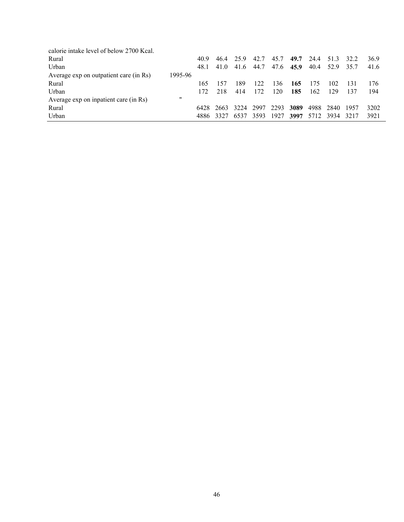| calorie intake level of below 2700 Kcal. |                   |      |      |      |      |      |      |      |      |      |      |
|------------------------------------------|-------------------|------|------|------|------|------|------|------|------|------|------|
| Rural                                    |                   | 40.9 | 464  | 259  | 42.7 | 45.7 | 49.7 | 24.4 | 51.3 | 32.2 | 36.9 |
| Urban                                    |                   | 48.1 | 41.0 | 41.6 | 44.7 | 47.6 | 45.9 | 40.4 | 52.9 | 35.7 | 41.6 |
| Average exp on outpatient care (in Rs)   | 1995-96           |      |      |      |      |      |      |      |      |      |      |
| Rural                                    |                   | 165  | 157  | 189  | 122  | 36   | 165  | 175  | 102  | 131  | 176  |
| Urban                                    |                   | 172  | 218  | 414  | 172  | 120  | 185  | 162  | 129  | 137  | 194  |
| Average exp on inpatient care (in Rs)    | $^{\prime\prime}$ |      |      |      |      |      |      |      |      |      |      |
| Rural                                    |                   | 6428 | 2663 | 3224 | 2997 | 2293 | 3089 | 4988 | 2840 | 1957 | 3202 |
| Urban                                    |                   | 4886 | 3327 | 6537 | 3593 | 1927 | 3997 | 5712 | 3934 | 3217 | 3921 |
|                                          |                   |      |      |      |      |      |      |      |      |      |      |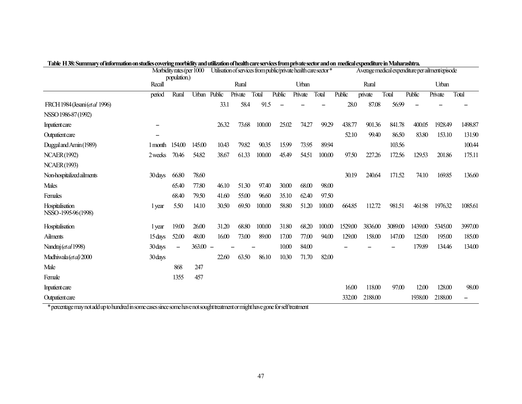|                                        | Morbidity rates (per 1000 |                   |            | TADIC 11 30; SUMMEN YOH INOHERION ON SUGUES COVERING HOLDUILY AHU UMZAUOH OFIEAUH CAFESEI VICES IFOHI PHYAC SEGUT AHU OH TIEGIKAI CAPERIGIULI C IH PEARIFASHU A.<br>Utilisation of services from public/private health care sector * |         |        |        |         |        | Average medical expenditure per ailment/episode |         |         |         |         |         |
|----------------------------------------|---------------------------|-------------------|------------|--------------------------------------------------------------------------------------------------------------------------------------------------------------------------------------------------------------------------------------|---------|--------|--------|---------|--------|-------------------------------------------------|---------|---------|---------|---------|---------|
|                                        | population.)<br>Recall    |                   |            | Rural                                                                                                                                                                                                                                |         |        | Urban  |         |        | Rural                                           |         |         | Urban   |         |         |
|                                        | period                    | Rural             | Urban      | Public                                                                                                                                                                                                                               | Private | Total  | Public | Private | Total  | Public                                          | private | Total   | Public  | Private | Total   |
| FRCH 1984 (Jesani (et al 1996)         |                           |                   |            | 33.1                                                                                                                                                                                                                                 | 58.4    | 91.5   |        |         |        | 28.0                                            | 87.08   | 56.99   |         |         |         |
| NSSO 1986-87 (1992)                    |                           |                   |            |                                                                                                                                                                                                                                      |         |        |        |         |        |                                                 |         |         |         |         |         |
| Inpatient care                         |                           |                   |            | 26.32                                                                                                                                                                                                                                | 73.68   | 100.00 | 25.02  | 74.27   | 99.29  | 438.77                                          | 901.36  | 841.78  | 400.05  | 1928.49 | 1498.87 |
| Outpatient care                        |                           |                   |            |                                                                                                                                                                                                                                      |         |        |        |         |        | 52.10                                           | 99.40   | 86.50   | 83.80   | 153.10  | 131.90  |
| Duggal and Amin (1989)                 | 1 month                   | 154.00            | 145.00     | 10.43                                                                                                                                                                                                                                | 79.82   | 90.35  | 15.99  | 73.95   | 89.94  |                                                 |         | 103.56  |         |         | 100.44  |
| <b>NCAER(1992)</b>                     | 2 weeks                   | 70.46             | 54.82      | 38.67                                                                                                                                                                                                                                | 61.33   | 100.00 | 45.49  | 54.51   | 100.00 | 97.50                                           | 227.26  | 172.56  | 129.53  | 201.86  | 175.11  |
| <b>NCAER(1993)</b>                     |                           |                   |            |                                                                                                                                                                                                                                      |         |        |        |         |        |                                                 |         |         |         |         |         |
| Non-hospitalized ailments              | 30 days                   | 66.80             | 78.60      |                                                                                                                                                                                                                                      |         |        |        |         |        | 30.19                                           | 240.64  | 171.52  | 74.10   | 169.85  | 136.60  |
| <b>Males</b>                           |                           | 65.40             | 77.80      | 46.10                                                                                                                                                                                                                                | 51.30   | 97.40  | 30.00  | 68.00   | 98.00  |                                                 |         |         |         |         |         |
| Females                                |                           | 68.40             | 79.50      | 41.60                                                                                                                                                                                                                                | 55.00   | 96.60  | 35.10  | 62.40   | 97.50  |                                                 |         |         |         |         |         |
| Hospitalisation<br>NSSO-1995-96 (1998) | 1 year                    | 5.50              | 14.10      | 30.50                                                                                                                                                                                                                                | 69.50   | 100.00 | 58.80  | 51.20   | 100.00 | 664.85                                          | 112.72  | 981.51  | 461.98  | 1976.32 | 1085.61 |
| Hospitalisation                        | 1 year                    | 19.00             | 26.00      | 31.20                                                                                                                                                                                                                                | 68.80   | 100.00 | 31.80  | 68.20   | 100.00 | 1529.00                                         | 3836.00 | 3089.00 | 1439.00 | 5345.00 | 3997.00 |
| Ailments                               | 15 days                   | 52.00             | 48.00      | 16.00                                                                                                                                                                                                                                | 73.00   | 89.00  | 17.00  | 77.00   | 94.00  | 129.00                                          | 158.00  | 147.00  | 125.00  | 195.00  | 185.00  |
| Nandraj (et al 1998)                   | 30 days                   | $\qquad \qquad -$ | $363.00 -$ |                                                                                                                                                                                                                                      |         |        | 10.00  | 84.00   |        |                                                 |         |         | 179.89  | 134.46  | 134.00  |
| Madhiwala (et al) 2000                 | 30 days                   |                   |            | 22.60                                                                                                                                                                                                                                | 63.50   | 86.10  | 10.30  | 71.70   | 82.00  |                                                 |         |         |         |         |         |
| Male                                   |                           | 868               | 247        |                                                                                                                                                                                                                                      |         |        |        |         |        |                                                 |         |         |         |         |         |
| Female                                 |                           | 1355              | 457        |                                                                                                                                                                                                                                      |         |        |        |         |        |                                                 |         |         |         |         |         |
| Inpatient care                         |                           |                   |            |                                                                                                                                                                                                                                      |         |        |        |         |        | 16.00                                           | 118.00  | 97.00   | 12.00   | 128.00  | 98.00   |
| Outpatient care                        |                           |                   |            |                                                                                                                                                                                                                                      |         |        |        |         |        | 332.00                                          | 2188.00 |         | 1938.00 | 2188.00 |         |

**Table H 38: Summary of information on studies covering morbidity and utilization of health care services from private sector and on medical expenditure in Maharashtra.** 

\* percentage may not add up to hundred in some cases since some have not sought treatment or might have gone for self treatment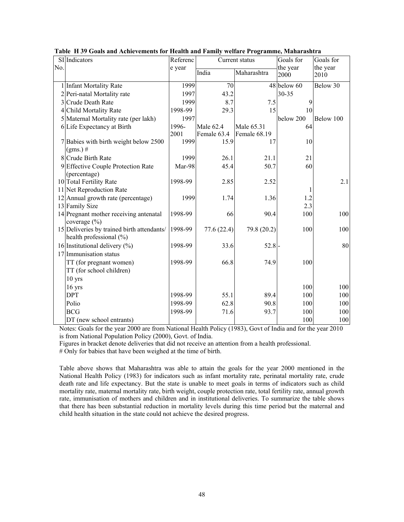|     | SI Indicators                                                         | Referenc |             | Current status | Goals for   | Goals for |
|-----|-----------------------------------------------------------------------|----------|-------------|----------------|-------------|-----------|
| No. |                                                                       | e year   |             |                | the year    | the year  |
|     |                                                                       |          | India       | Maharashtra    | 2000        | 2010      |
|     | 1 Infant Mortality Rate                                               | 1999     | 70          |                | 48 below 60 | Below 30  |
|     | 2 Peri-natal Mortality rate                                           | 1997     | 43.2        |                | 30-35       |           |
|     | 3 Crude Death Rate                                                    | 1999     | 8.7         | 7.5            | 9           |           |
|     | 4 Child Mortality Rate                                                | 1998-99  | 29.3        | 15             | 10          |           |
|     | 5 Maternal Mortality rate (per lakh)                                  | 1997     |             |                | below 200   | Below 100 |
|     | 6 Life Expectancy at Birth                                            | 1996-    | Male 62.4   | Male 65.31     | 64          |           |
|     |                                                                       | 2001     | Female 63.4 | Female 68.19   |             |           |
|     | 7 Babies with birth weight below 2500                                 | 1999     | 15.9        | 17             | 10          |           |
|     | $(gms.)$ #                                                            |          |             |                |             |           |
|     | 8 Crude Birth Rate                                                    | 1999     | 26.1        | 21.1           | 21          |           |
|     | 9 Effective Couple Protection Rate                                    | Mar-98   | 45.4        | 50.7           | 60          |           |
|     | (percentage)                                                          |          |             |                |             |           |
|     | 10 Total Fertility Rate                                               | 1998-99  | 2.85        | 2.52           |             | 2.1       |
|     | 11 Net Reproduction Rate                                              |          |             |                |             |           |
|     | 12 Annual growth rate (percentage)                                    | 1999     | 1.74        | 1.36           | 1.2         |           |
|     | 13 Family Size                                                        |          |             |                | 2.3         |           |
|     | 14 Pregnant mother receiving antenatal<br>coverage $(\% )$            | 1998-99  | 66          | 90.4           | 100         | 100       |
|     | 15 Deliveries by trained birth attendants/<br>health professional (%) | 1998-99  | 77.6(22.4)  | 79.8 (20.2)    | 100         | 100       |
|     | 16 Institutional delivery $(\% )$                                     | 1998-99  | 33.6        | $52.8 -$       |             | 80        |
|     | 17 Immunisation status                                                |          |             |                |             |           |
|     | TT (for pregnant women)                                               | 1998-99  | 66.8        | 74.9           | 100         |           |
|     | TT (for school children)                                              |          |             |                |             |           |
|     | $10$ yrs                                                              |          |             |                |             |           |
|     | $16$ yrs                                                              |          |             |                | 100         | 100       |
|     | <b>DPT</b>                                                            | 1998-99  | 55.1        | 89.4           | 100         | 100       |
|     | Polio                                                                 | 1998-99  | 62.8        | 90.8           | 100         | 100       |
|     | <b>BCG</b>                                                            | 1998-99  | 71.6        | 93.7           | 100         | 100       |
|     | DT (new school entrants)                                              |          |             |                | 100         | 100       |

**Table H 39 Goals and Achievements for Health and Family welfare Programme, Maharashtra** 

Notes: Goals for the year 2000 are from National Health Policy (1983), Govt of India and for the year 2010 is from National Population Policy (2000), Govt. of India.

Figures in bracket denote deliveries that did not receive an attention from a health professional.

# Only for babies that have been weighed at the time of birth.

Table above shows that Maharashtra was able to attain the goals for the year 2000 mentioned in the National Health Policy (1983) for indicators such as infant mortality rate, perinatal mortality rate, crude death rate and life expectancy. But the state is unable to meet goals in terms of indicators such as child mortality rate, maternal mortality rate, birth weight, couple protection rate, total fertility rate, annual growth rate, immunisation of mothers and children and in institutional deliveries. To summarize the table shows that there has been substantial reduction in mortality levels during this time period but the maternal and child health situation in the state could not achieve the desired progress.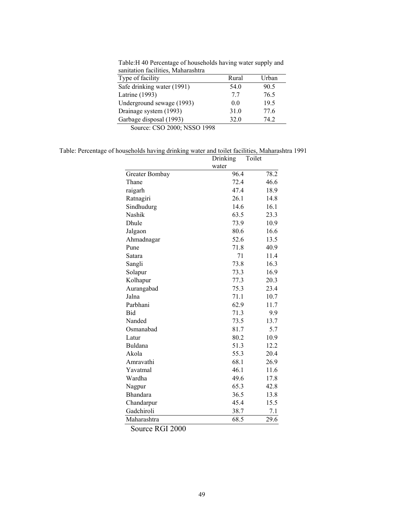Table:H 40 Percentage of households having water supply and sanitation facilities, Maharashtra

| sanitation facilities, manarashtra        |       |       |
|-------------------------------------------|-------|-------|
| Type of facility                          | Rural | Urban |
| Safe drinking water (1991)                | 54.0  | 90.5  |
| Latrine (1993)                            | 77    | 76.5  |
| Underground sewage (1993)                 | 0.0   | 19.5  |
| Drainage system (1993)                    | 31.0  | 77.6  |
| Garbage disposal (1993)                   | 32.0  | 74 2  |
| $0 \leq \ldots \leq CQQ$ 2000, MERCO 1000 |       |       |

Source: CSO 2000; NSSO 1998

Table: Percentage of households having drinking water and toilet facilities, Maharashtra 1991

|                | Drinking | Toilet |      |
|----------------|----------|--------|------|
|                | water    |        |      |
| Greater Bombay | 96.4     |        | 78.2 |
| Thane          | 72.4     |        | 46.6 |
| raigarh        | 47.4     |        | 18.9 |
| Ratnagiri      | 26.1     |        | 14.8 |
| Sindhudurg     | 14.6     |        | 16.1 |
| Nashik         | 63.5     |        | 23.3 |
| Dhule          | 73.9     |        | 10.9 |
| Jalgaon        | 80.6     |        | 16.6 |
| Ahmadnagar     | 52.6     |        | 13.5 |
| Pune           | 71.8     |        | 40.9 |
| Satara         | 71       |        | 11.4 |
| Sangli         | 73.8     |        | 16.3 |
| Solapur        | 73.3     |        | 16.9 |
| Kolhapur       | 77.3     |        | 20.3 |
| Aurangabad     | 75.3     |        | 23.4 |
| Jalna          | 71.1     |        | 10.7 |
| Parbhani       | 62.9     |        | 11.7 |
| Bid            | 71.3     |        | 9.9  |
| Nanded         | 73.5     |        | 13.7 |
| Osmanabad      | 81.7     |        | 5.7  |
| Latur          | 80.2     |        | 10.9 |
| Buldana        | 51.3     |        | 12.2 |
| Akola          | 55.3     |        | 20.4 |
| Amravathi      | 68.1     |        | 26.9 |
| Yavatmal       | 46.1     |        | 11.6 |
| Wardha         | 49.6     |        | 17.8 |
| Nagpur         | 65.3     |        | 42.8 |
| Bhandara       | 36.5     |        | 13.8 |
| Chandarpur     | 45.4     |        | 15.5 |
| Gadchiroli     | 38.7     |        | 7.1  |
| Maharashtra    | 68.5     |        | 29.6 |

Source RGI 2000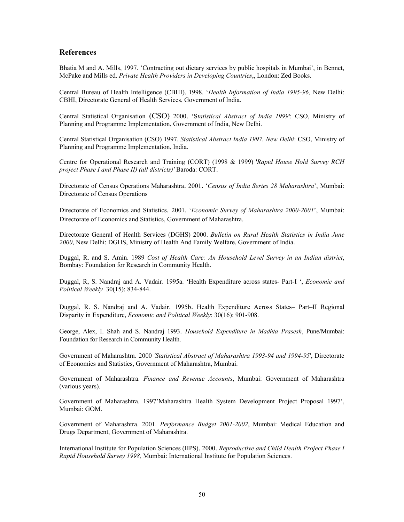### **References**

Bhatia M and A. Mills, 1997. 'Contracting out dietary services by public hospitals in Mumbai', in Bennet, McPake and Mills ed. *Private Health Providers in Developing Countries*,, London: Zed Books.

Central Bureau of Health Intelligence (CBHI). 1998. '*Health Information of India 1995-96,* New Delhi: CBHI, Directorate General of Health Services, Government of India.

Central Statistical Organisation (CSO) 2000. 'S*tatistical Abstract of India 1999'*: CSO, Ministry of Planning and Programme Implementation, Government of India, New Delhi.

Central Statistical Organisation (CSO) 1997. *Statistical Abstract India 1997. New Delhi*: CSO, Ministry of Planning and Programme Implementation, India.

Centre for Operational Research and Training (CORT) (1998 & 1999) '*Rapid House Hold Survey RCH project Phase I and Phase II) (all districts)'* Baroda: CORT.

Directorate of Census Operations Maharashtra. 2001. '*Census of India Series 28 Maharashtra*', Mumbai: Directorate of Census Operations

Directorate of Economics and Statistics. 2001. '*Economic Survey of Maharashtra 2000-2001*', Mumbai: Directorate of Economics and Statistics, Government of Maharashtra.

Directorate General of Health Services (DGHS) 2000. *Bulletin on Rural Health Statistics in India June 2000*, New Delhi: DGHS, Ministry of Health And Family Welfare, Government of India.

Duggal, R. and S. Amin. 1989 *Cost of Health Care: An Household Level Survey in an Indian district*, Bombay: Foundation for Research in Community Health.

Duggal, R, S. Nandraj and A. Vadair. 1995a. 'Health Expenditure across states- Part-I ', *Economic and Political Weekly* 30(15): 834-844.

Duggal, R. S. Nandraj and A. Vadair. 1995b. Health Expenditure Across States– Part–II Regional Disparity in Expenditure, *Economic and Political Weekly*: 30(16): 901-908.

George, Alex, I. Shah and S. Nandraj 1993. *Household Expenditure in Madhta Prasesh*, Pune/Mumbai: Foundation for Research in Community Health.

Government of Maharashtra. 2000 *'Statistical Abstract of Maharashtra 1993-94 and 1994-95*', Directorate of Economics and Statistics, Government of Maharashtra, Mumbai.

Government of Maharashtra. *Finance and Revenue Accounts*, Mumbai: Government of Maharashtra (various years).

Government of Maharashtra. 1997'Maharashtra Health System Development Project Proposal 1997', Mumbai: GOM.

Government of Maharashtra. 2001. *Performance Budget 2001-2002*, Mumbai: Medical Education and Drugs Department, Government of Maharashtra.

International Institute for Population Sciences (IIPS). 2000. *Reproductive and Child Health Project Phase I Rapid Household Survey 1998,* Mumbai: International Institute for Population Sciences.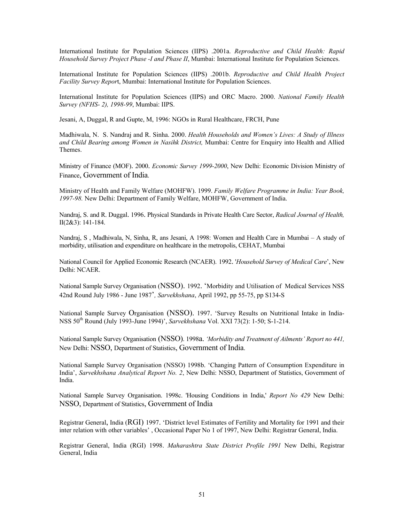International Institute for Population Sciences (IIPS) .2001a. *Reproductive and Child Health: Rapid Household Survey Project Phase -I and Phase II*, Mumbai: International Institute for Population Sciences.

International Institute for Population Sciences (IIPS) .2001b. *Reproductive and Child Health Project Facility Survey Repor*t, Mumbai: International Institute for Population Sciences.

International Institute for Population Sciences (IIPS) and ORC Macro. 2000. *National Family Health Survey (NFHS- 2), 1998-99*, Mumbai: IIPS.

Jesani, A, Duggal, R and Gupte, M, 1996: NGOs in Rural Healthcare, FRCH, Pune

Madhiwala, N. S. Nandraj and R. Sinha. 2000. *Health Households and Women's Lives: A Study of Illness and Child Bearing among Women in Nasihk District,* Mumbai: Centre for Enquiry into Health and Allied Themes.

Ministry of Finance (MOF). 2000. *Economic Survey 1999-2000*, New Delhi: Economic Division Ministry of Finance, Government of India.

Ministry of Health and Family Welfare (MOHFW). 1999. *Family Welfare Programme in India: Year Book, 1997-98.* New Delhi: Department of Family Welfare, MOHFW, Government of India.

Nandraj, S. and R. Duggal. 1996. Physical Standards in Private Health Care Sector, *Radical Journal of Health,* II(2&3): 141-184.

Nandraj, S , Madhiwala, N, Sinha, R, ans Jesani, A 1998: Women and Health Care in Mumbai – A study of morbidity, utilisation and expenditure on healthcare in the metropolis, CEHAT, Mumbai

National Council for Applied Economic Research (NCAER). 1992. '*Household Survey of Medical Care*', New Delhi: NCAER.

National Sample Survey Organisation (NSSO). 1992. 'Morbidity and Utilisation of Medical Services NSS 42nd Round July 1986 - June 1987'*, Sarvekhshana*, April 1992, pp 55-75, pp S134-S

National Sample Survey Organisation (NSSO). 1997. 'Survey Results on Nutritional Intake in India-NSS 50th Round (July 1993-June 1994)', *Sarvekhshana* Vol. XXI 73(2): 1-50; S-1-214.

National Sample Survey Organisation (NSSO). 1998a. *'Morbidity and Treatment of Ailments' Report no 441,* New Delhi: NSSO, Department of Statistics, Government of India.

National Sample Survey Organisation (NSSO) 1998b. 'Changing Pattern of Consumption Expenditure in India', *Sarvekhshana Analytical Report No. 2*, New Delhi: NSSO, Department of Statistics, Government of India.

National Sample Survey Organisation. 1998c. 'Housing Conditions in India,' *Report No 429* New Delhi: NSSO, Department of Statistics, Government of India

Registrar General, India (RGI) 1997. 'District level Estimates of Fertility and Mortality for 1991 and their inter relation with other variables' , Occasional Paper No 1 of 1997, New Delhi: Registrar General, India.

Registrar General, India (RGI) 1998. *Maharashtra State District Profile 1991* New Delhi, Registrar General, India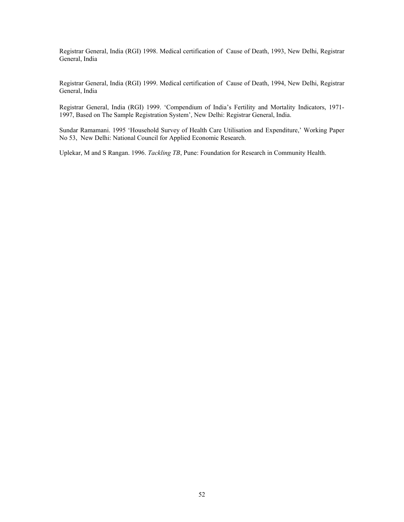Registrar General, India (RGI) 1998. Medical certification of Cause of Death, 1993, New Delhi, Registrar General, India

Registrar General, India (RGI) 1999. Medical certification of Cause of Death, 1994, New Delhi, Registrar General, India

Registrar General, India (RGI) 1999. 'Compendium of India's Fertility and Mortality Indicators, 1971- 1997, Based on The Sample Registration System', New Delhi: Registrar General, India.

Sundar Ramamani. 1995 'Household Survey of Health Care Utilisation and Expenditure,' Working Paper No 53, New Delhi: National Council for Applied Economic Research.

Uplekar, M and S Rangan. 1996. *Tackling TB*, Pune: Foundation for Research in Community Health.